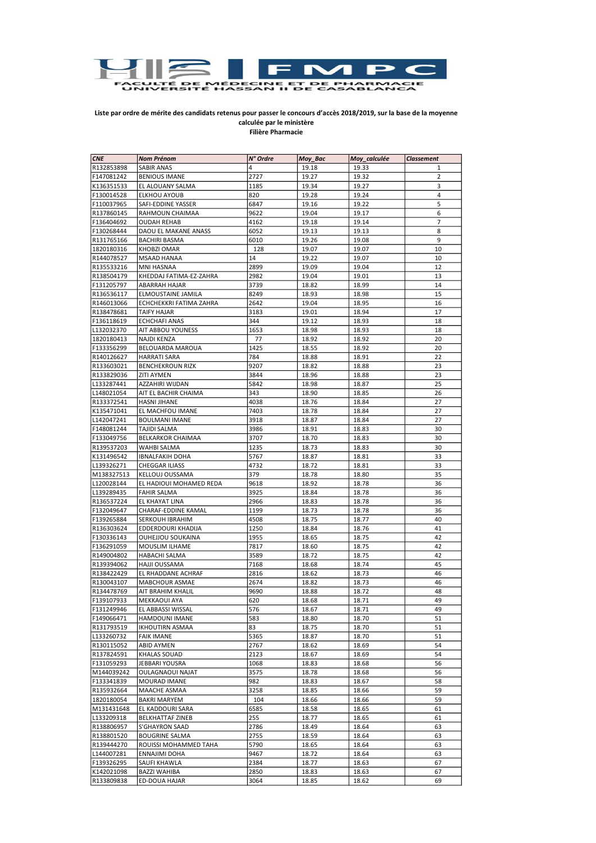

## Liste par ordre de mérite des candidats retenus pour passer le concours d'accès 2018/2019, sur la base de la moyenne calculée par le ministère Filière Pharmacie

| <b>CNE</b>               | <b>Nom Prénom</b>                        | N° Ordre | Moy_Bac | Moy_calculée | <b>Classement</b> |
|--------------------------|------------------------------------------|----------|---------|--------------|-------------------|
| R132853898               | <b>SABIR ANAS</b>                        | 4        | 19.18   | 19.33        | 1                 |
| F147081242               | <b>BENIOUS IMANE</b>                     | 2727     | 19.27   | 19.32        | 2                 |
| K136351533               | EL ALOUANY SALMA                         | 1185     | 19.34   | 19.27        | 3                 |
| F130014528               | ELKHOU AYOUB                             | 820      | 19.28   | 19.24        | 4                 |
| F110037965               | SAFI-EDDINE YASSER                       | 6847     | 19.16   | 19.22        | 5                 |
| R137860145               | RAHMOUN CHAIMAA                          | 9622     | 19.04   | 19.17        | 6                 |
| F136404692               | <b>OUDAH REHAB</b>                       | 4162     | 19.18   | 19.14        | $\overline{7}$    |
| F130268444               | DAOU EL MAKANE ANASS                     | 6052     | 19.13   | 19.13        | 8                 |
| R131765166               | <b>BACHIRI BASMA</b>                     | 6010     | 19.26   | 19.08        | 9                 |
| 1820180316               | KHOBZI OMAR                              | 128      | 19.07   | 19.07        | 10                |
| R144078527               | <b>MSAAD HANAA</b>                       | 14       | 19.22   | 19.07        | 10                |
| R135533216               | <b>MNI HASNAA</b>                        | 2899     | 19.09   | 19.04        | 12                |
|                          |                                          | 2982     | 19.04   |              |                   |
| R138504179<br>F131205797 | KHEDDAJ FATIMA-EZ-ZAHRA<br>ABARRAH HAJAR | 3739     |         | 19.01        | 13<br>14          |
|                          | ELMOUSTAINE JAMILA                       | 8249     | 18.82   | 18.99        | 15                |
| R136536117               |                                          |          | 18.93   | 18.98        |                   |
| R146013066               | ECHCHEKKRI FATIMA ZAHRA                  | 2642     | 19.04   | 18.95        | 16                |
| R138478681               | <b>TAIFY HAJAR</b>                       | 3183     | 19.01   | 18.94        | 17                |
| F136118619               | <b>ECHCHAFI ANAS</b>                     | 344      | 19.12   | 18.93        | 18                |
| L132032370               | AIT ABBOU YOUNESS                        | 1653     | 18.98   | 18.93        | 18                |
| 1820180413               | NAJDI KENZA                              | 77       | 18.92   | 18.92        | 20                |
| F133356299               | <b>BELOUARDA MAROUA</b>                  | 1425     | 18.55   | 18.92        | 20                |
| R140126627               | <b>HARRATI SARA</b>                      | 784      | 18.88   | 18.91        | 22                |
| R133603021               | <b>BENCHEKROUN RIZK</b>                  | 9207     | 18.82   | 18.88        | 23                |
| R133829036               | <b>ZITI AYMEN</b>                        | 3844     | 18.96   | 18.88        | 23                |
| L133287441               | AZZAHIRI WIJDAN                          | 5842     | 18.98   | 18.87        | 25                |
| L148021054               | AIT EL BACHIR CHAIMA                     | 343      | 18.90   | 18.85        | 26                |
| R133372541               | <b>HASNI JIHANE</b>                      | 4038     | 18.76   | 18.84        | 27                |
| K135471041               | EL MACHFOU IMANE                         | 7403     | 18.78   | 18.84        | 27                |
| L142047241               | <b>BOULMANI IMANE</b>                    | 3918     | 18.87   | 18.84        | 27                |
| F148081244               | <b>TAJIDI SALMA</b>                      | 3986     | 18.91   | 18.83        | 30                |
| F133049756               | BELKARKOR CHAIMAA                        | 3707     | 18.70   | 18.83        | 30                |
| R139537203               | WAHBI SALMA                              | 1235     | 18.73   | 18.83        | 30                |
| K131496542               | <b>IBNALFAKIH DOHA</b>                   | 5767     | 18.87   | 18.81        | 33                |
| L139326271               | CHEGGAR ILIASS                           | 4732     | 18.72   | 18.81        | 33                |
| M138327513               | KELLOUJ OUSSAMA                          | 379      | 18.78   | 18.80        | 35                |
| L120028144               | EL HADIOUI MOHAMED REDA                  | 9618     | 18.92   | 18.78        | 36                |
| L139289435               | <b>FAHIR SALMA</b>                       | 3925     | 18.84   | 18.78        | 36                |
| R136537224               | EL KHAYAT LINA                           | 2966     | 18.83   | 18.78        | 36                |
| F132049647               | CHARAF-EDDINE KAMAL                      | 1199     | 18.73   | 18.78        | 36                |
| F139265884               | SERKOUH IBRAHIM                          | 4508     | 18.75   | 18.77        | 40                |
| R136303624               | EDDERDOURI KHADIJA                       | 1250     | 18.84   | 18.76        | 41                |
| F130336143               | OUHEJJOU SOUKAINA                        | 1955     | 18.65   | 18.75        | 42                |
| F136291059               | MOUSLIM ILHAME                           | 7817     | 18.60   | 18.75        | 42                |
| R149004802               | <b>HABACHI SALMA</b>                     | 3589     | 18.72   | 18.75        | 42                |
| R139394062               | HAJJI OUSSAMA                            | 7168     | 18.68   | 18.74        | 45                |
| R138422429               | EL RHADDANE ACHRAF                       | 2816     | 18.62   | 18.73        | 46                |
| R130043107               | MABCHOUR ASMAE                           | 2674     | 18.82   | 18.73        | 46                |
| R134478769               | AIT BRAHIM KHALIL                        | 9690     | 18.88   | 18.72        | 48                |
| F139107933               | <b>MEKKAOUI AYA</b>                      | 620      | 18.68   | 18.71        | 49                |
| F131249946               | EL ABBASSI WISSAL                        | 576      | 18.67   | 18.71        | 49                |
| F149066471               | HAMDOUNI IMANE                           | 583      | 18.80   | 18.70        | 51                |
| R131793519               | IKHOUTIRN ASMAA                          | 83       | 18.75   | 18.70        | 51                |
| L133260732               | <b>FAIK IMANE</b>                        | 5365     | 18.87   | 18.70        | 51                |
| R130115052               | <b>ABID AYMEN</b>                        | 2767     | 18.62   | 18.69        | 54                |
| R137824591               | KHALAS SOUAD                             | 2123     | 18.67   | 18.69        | 54                |
| F131059293               | JEBBARI YOUSRA                           | 1068     | 18.83   | 18.68        | 56                |
| M144039242               | <b>OULAGNAOUI NAJAT</b>                  | 3575     | 18.78   | 18.68        | 56                |
| F133341839               | MOURAD IMANE                             | 982      | 18.83   | 18.67        | 58                |
| R135932664               | MAACHE ASMAA                             | 3258     | 18.85   | 18.66        | 59                |
| 1820180054               | BAKRI MARYEM                             | 104      | 18.66   | 18.66        | 59                |
| M131431648               | EL KADDOURI SARA                         | 6585     | 18.58   | 18.65        | 61                |
| L133209318               | <b>BELKHATTAF ZINEB</b>                  | 255      | 18.77   | 18.65        | 61                |
| R138806957               | <b>S'GHAYRON SAAD</b>                    | 2786     | 18.49   | 18.64        | 63                |
| R138801520               | <b>BOUGRINE SALMA</b>                    | 2755     | 18.59   | 18.64        | 63                |
| R139444270               | ROUISSI MOHAMMED TAHA                    |          |         |              | 63                |
|                          |                                          | 5790     | 18.65   | 18.64        |                   |
| L144007281               | ENNAJIMI DOHA                            | 9467     | 18.72   | 18.64        | 63                |
| F139326295               | SAUFI KHAWLA                             | 2384     | 18.77   | 18.63        | 67                |
| K142021098               | <b>BAZZI WAHIBA</b>                      | 2850     | 18.83   | 18.63        | 67                |
| R133809838               | <b>ED-DOUA HAJAR</b>                     | 3064     | 18.85   | 18.62        | 69                |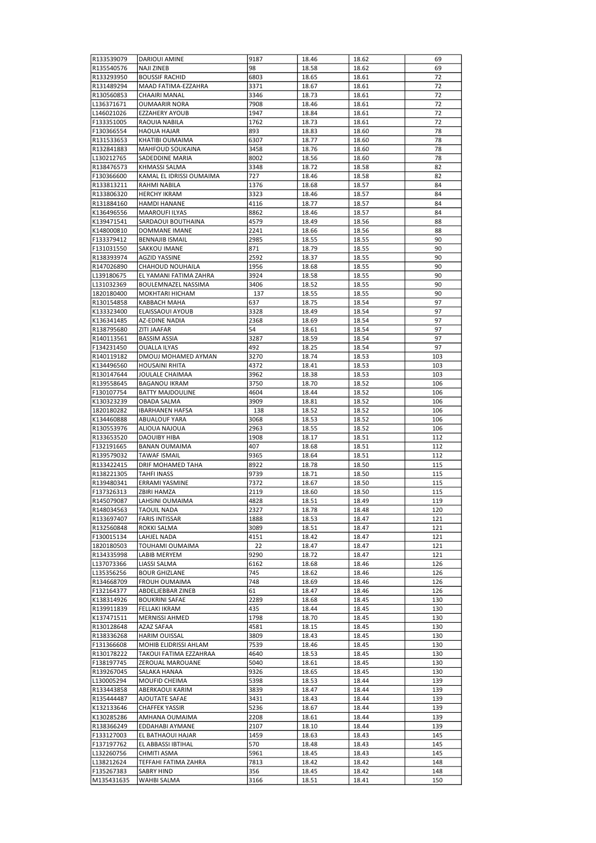| R133539079               | <b>DARIOUI AMINE</b>                        | 9187         | 18.46          | 18.62          | 69         |
|--------------------------|---------------------------------------------|--------------|----------------|----------------|------------|
| R135540576               | <b>NAJI ZINEB</b>                           | 98           | 18.58          | 18.62          | 69         |
| R133293950               | <b>BOUSSIF RACHID</b>                       | 6803         | 18.65          | 18.61          | 72         |
| R131489294<br>R130560853 | MAAD FATIMA-EZZAHRA<br>CHAAIRI MANAL        | 3371<br>3346 | 18.67<br>18.73 | 18.61<br>18.61 | 72<br>72   |
| L136371671               | <b>OUMAARIR NORA</b>                        | 7908         | 18.46          | 18.61          | 72         |
| L146021026               | <b>EZZAHERY AYOUB</b>                       | 1947         | 18.84          | 18.61          | 72         |
| F133351005               | RAOUIA NABILA                               | 1762         | 18.73          | 18.61          | 72         |
| F130366554               | <b>HAOUA HAJAR</b>                          | 893          | 18.83          | 18.60          | 78         |
| R131533653               | KHATIBI OUMAIMA                             | 6307         | 18.77          | 18.60          | 78         |
| R132841883               | MAHFOUD SOUKAINA                            | 3458         | 18.76          | 18.60          | 78         |
| L130212765               | SADEDDINE MARIA                             | 8002         | 18.56          | 18.60          | 78         |
| R138476573               | <b>KHMASSI SALMA</b>                        | 3348         | 18.72          | 18.58          | 82         |
| F130366600               | KAMAL EL IDRISSI OUMAIMA                    | 727          | 18.46          | 18.58          | 82         |
| R133813211               | RAHMI NABILA                                | 1376         | 18.68          | 18.57          | 84         |
| R133806320<br>R131884160 | <b>HERCHY IKRAM</b><br><b>HAMDI HANANE</b>  | 3323<br>4116 | 18.46<br>18.77 | 18.57<br>18.57 | 84<br>84   |
| K136496556               | <b>MAAROUFI ILYAS</b>                       | 8862         | 18.46          | 18.57          | 84         |
| K139471541               | SARDAOUI BOUTHAINA                          | 4579         | 18.49          | 18.56          | 88         |
| K148000810               | DOMMANE IMANE                               | 2241         | 18.66          | 18.56          | 88         |
| F133379412               | <b>BENNAJIB ISMAIL</b>                      | 2985         | 18.55          | 18.55          | 90         |
| F131031550               | SAKKOU IMANE                                | 871          | 18.79          | 18.55          | 90         |
| R138393974               | <b>AGZID YASSINE</b>                        | 2592         | 18.37          | 18.55          | 90         |
| R147026890               | CHAHOUD NOUHAILA                            | 1956         | 18.68          | 18.55          | 90         |
| L139180675               | EL YAMANI FATIMA ZAHRA                      | 3924         | 18.58          | 18.55          | 90         |
| L131032369               | <b>BOULEMNAZEL NASSIMA</b>                  | 3406         | 18.52          | 18.55          | 90         |
| 1820180400               | MOKHTARI HICHAM                             | 137          | 18.55          | 18.55          | 90         |
| R130154858               | KABBACH MAHA                                | 637          | 18.75          | 18.54          | 97         |
| K133323400               | ELAISSAOUI AYOUB<br><b>AZ-EDINE NADIA</b>   | 3328<br>2368 | 18.49          | 18.54          | 97         |
| K136341485<br>R138795680 | ZITI JAAFAR                                 | 54           | 18.69<br>18.61 | 18.54<br>18.54 | 97<br>97   |
| R140113561               | <b>BASSIM ASSIA</b>                         | 3287         | 18.59          | 18.54          | 97         |
| F134231450               | <b>OUALLA ILYAS</b>                         | 492          | 18.25          | 18.54          | 97         |
| R140119182               | DMOUJ MOHAMED AYMAN                         | 3270         | 18.74          | 18.53          | 103        |
| K134496560               | <b>HOUSAINI RHITA</b>                       | 4372         | 18.41          | 18.53          | 103        |
| R130147644               | JOULALE CHAIMAA                             | 3962         | 18.38          | 18.53          | 103        |
| R139558645               | <b>BAGANOU IKRAM</b>                        | 3750         | 18.70          | 18.52          | 106        |
| F130107754               | <b>BATTY MAJDOULINE</b>                     | 4604         | 18.44          | 18.52          | 106        |
| K130323239               | OBADA SALMA                                 | 3909         | 18.81          | 18.52          | 106        |
| 1820180282               | <b>IBARHANEN HAFSA</b>                      | 138          | 18.52          | 18.52          | 106        |
| K134460888               | <b>ABUALOUF YARA</b>                        | 3068         | 18.53          | 18.52          | 106        |
| R130553976               | ALIOUA NAJOUA                               | 2963         | 18.55          | 18.52          | 106        |
| R133653520<br>F132191665 | <b>DAOUIBY HIBA</b><br><b>BANAN OUMAIMA</b> | 1908<br>407  | 18.17          | 18.51<br>18.51 | 112<br>112 |
| R139579032               | <b>TAWAF ISMAIL</b>                         | 9365         | 18.68<br>18.64 | 18.51          | 112        |
| R133422415               | <b>DRIF MOHAMED TAHA</b>                    | 8922         | 18.78          | 18.50          | 115        |
| R138221305               | <b>TAHFI INASS</b>                          | 9739         | 18.71          | 18.50          | 115        |
| R139480341               | ERRAMI YASMINE                              | 7372         | 18.67          | 18.50          | 115        |
| F137326313               | ZBIRI HAMZA                                 | 2119         | 18.60          | 18.50          | 115        |
| R145079087               | LAHSINI OUMAIMA                             | 4828         | 18.51          | 18.49          | 119        |
| R148034563               | <b>TAOUIL NADA</b>                          | 2327         | 18.78          | 18.48          | 120        |
| R133697407               | <b>FARIS INTISSAR</b>                       | 1888         | 18.53          | 18.47          | 121        |
| R132560848               | ROKKI SALMA                                 | 3089         | 18.51          | 18.47          | 121        |
| F130015134               | LAHJEL NADA                                 | 4151         | 18.42          | 18.47          | 121        |
| 1820180503               | TOUHAMI OUMAIMA                             | 22           | 18.47          | 18.47          | 121        |
| R134335998               | LABIB MERYEM                                | 9290         | 18.72          | 18.47          | 121        |
| L137073366<br>L135356256 | LIASSI SALMA<br><b>BOUR GHIZLANE</b>        | 6162<br>745  | 18.68<br>18.62 | 18.46<br>18.46 | 126<br>126 |
| R134668709               | FROUH OUMAIMA                               | 748          | 18.69          | 18.46          | 126        |
| F132164377               | ABDELJEBBAR ZINEB                           | 61           | 18.47          | 18.46          | 126        |
| K138314926               | <b>BOUKRINI SAFAE</b>                       | 2289         | 18.68          | 18.45          | 130        |
| R139911839               | FELLAKI IKRAM                               | 435          | 18.44          | 18.45          | 130        |
| K137471511               | MERNISSI AHMED                              | 1798         | 18.70          | 18.45          | 130        |
| R130128648               | AZAZ SAFAA                                  | 4581         | 18.15          | 18.45          | 130        |
| R138336268               | HARIM OUISSAL                               | 3809         | 18.43          | 18.45          | 130        |
| F131366608               | MOHIB ELIDRISSI AHLAM                       | 7539         | 18.46          | 18.45          | 130        |
| R130178222               | TAKOUI FATIMA EZZAHRAA                      | 4640         | 18.53          | 18.45          | 130        |
| F138197745               | ZEROUAL MAROUANE                            | 5040         | 18.61          | 18.45          | 130        |
| R139267045               | SALAKA HANAA                                | 9326         | 18.65          | 18.45          | 130        |
| L130005294<br>R133443858 | MOUFID CHEIMA<br>ABERKAOUI KARIM            | 5398<br>3839 | 18.53<br>18.47 | 18.44          | 139<br>139 |
| R135444487               | AJOUTATE SAFAE                              | 3431         | 18.43          | 18.44<br>18.44 | 139        |
| K132133646               | <b>CHAFFEK YASSIR</b>                       | 5236         | 18.67          | 18.44          | 139        |
| K130285286               | AMHANA OUMAIMA                              | 2208         | 18.61          | 18.44          | 139        |
| R138366249               | EDDAHABI AYMANE                             | 2107         | 18.10          | 18.44          | 139        |
| F133127003               | EL BATHAOUI HAJAR                           | 1459         | 18.63          | 18.43          | 145        |
| F137197762               | EL ABBASSI IBTIHAL                          | 570          | 18.48          | 18.43          | 145        |
| L132260756               | CHMITI ASMA                                 | 5961         | 18.45          | 18.43          | 145        |
| L138212624               | TEFFAHI FATIMA ZAHRA                        | 7813         | 18.42          | 18.42          | 148        |
| F135267383               | SABRY HIND                                  | 356          | 18.45          | 18.42          | 148        |
| M135431635               | WAHBI SALMA                                 | 3166         | 18.51          | 18.41          | 150        |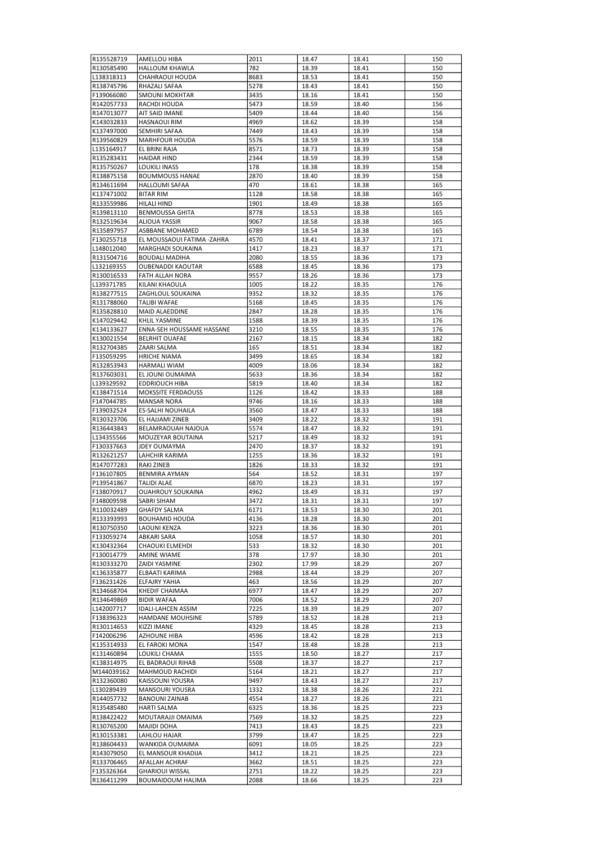| R135528719 | AMELLOU HIBA               | 2011 | 18.47 | 18.41 | 150 |
|------------|----------------------------|------|-------|-------|-----|
|            | <b>HALLOUM KHAWLA</b>      | 782  |       |       |     |
| R130585490 |                            |      | 18.39 | 18.41 | 150 |
| L138318313 | CHAHRAOUI HOUDA            | 8683 | 18.53 | 18.41 | 150 |
| R138745796 | RHAZALI SAFAA              | 5278 | 18.43 | 18.41 | 150 |
| F139066080 | <b>SMOUNI MOKHTAR</b>      | 3435 | 18.16 | 18.41 | 150 |
|            |                            |      |       |       |     |
| R142057733 | RACHDI HOUDA               | 5473 | 18.59 | 18.40 | 156 |
| R147013077 | AIT SAID IMANE             | 5409 | 18.44 | 18.40 | 156 |
| K143032833 | <b>HASNAOUI RIM</b>        | 4969 | 18.62 | 18.39 | 158 |
| K137497000 | SEMHIRI SAFAA              | 7449 | 18.43 | 18.39 | 158 |
|            |                            |      |       |       |     |
| R139560829 | <b>MARHFOUR HOUDA</b>      | 5576 | 18.59 | 18.39 | 158 |
| L135164917 | EL BRINI RAJA              | 8571 | 18.73 | 18.39 | 158 |
| R135283431 | <b>HAIDAR HIND</b>         | 2344 | 18.59 | 18.39 | 158 |
|            | <b>LOUKILI INASS</b>       |      |       |       |     |
| R135750267 |                            | 178  | 18.38 | 18.39 | 158 |
| R138875158 | <b>BOUMMOUSS HANAE</b>     | 2870 | 18.40 | 18.39 | 158 |
| R134611694 | <b>HALLOUMI SAFAA</b>      | 470  | 18.61 | 18.38 | 165 |
| K137471002 | <b>BITAR RIM</b>           | 1128 | 18.58 | 18.38 | 165 |
|            |                            |      |       |       |     |
| R133559986 | HILALI HIND                | 1901 | 18.49 | 18.38 | 165 |
| R139813110 | <b>BENMOUSSA GHITA</b>     | 8778 | 18.53 | 18.38 | 165 |
| R132519634 | ALIOUA YASSIR              | 9067 | 18.58 | 18.38 | 165 |
| R135897957 | ASBBANE MOHAMED            | 6789 | 18.54 | 18.38 | 165 |
|            |                            |      |       |       |     |
| F130255718 | EL MOUSSAOUI FATIMA -ZAHRA | 4570 | 18.41 | 18.37 | 171 |
| L148012040 | MARGHADI SOUKAINA          | 1417 | 18.23 | 18.37 | 171 |
| R131504716 | <b>BOUDALI MADIHA</b>      | 2080 | 18.55 | 18.36 | 173 |
| L132169355 | OUBENADDI KAOUTAR          | 6588 | 18.45 | 18.36 | 173 |
|            |                            |      |       |       |     |
| R130016533 | <b>FATH ALLAH NORA</b>     | 9557 | 18.26 | 18.36 | 173 |
| L139371785 | KILANI KHAOULA             | 1005 | 18.22 | 18.35 | 176 |
| R138277515 | ZAGHLOUL SOUKAINA          | 9352 | 18.32 | 18.35 | 176 |
| R131788060 | TALIBI WAFAE               | 5168 | 18.45 | 18.35 | 176 |
|            |                            |      |       |       |     |
| R135828810 | MAID ALAEDDINE             | 2847 | 18.28 | 18.35 | 176 |
| K147029442 | KHLIL YASMINE              | 1588 | 18.39 | 18.35 | 176 |
| K134133627 | ENNA-SEH HOUSSAME HASSANE  | 3210 | 18.55 | 18.35 | 176 |
|            |                            |      |       |       |     |
| K130021554 | <b>BELRHIT OUAFAE</b>      | 2167 | 18.15 | 18.34 | 182 |
| R132704385 | ZAARI SALMA                | 165  | 18.51 | 18.34 | 182 |
| F135059295 | <b>HRICHE NIAMA</b>        | 3499 | 18.65 | 18.34 | 182 |
| R132853943 | <b>HARMALI WIAM</b>        | 4009 | 18.06 | 18.34 | 182 |
|            |                            |      |       |       |     |
| R137603031 | EL JOUNI OUMAIMA           | 5633 | 18.36 | 18.34 | 182 |
| L139329592 | EDDRIOUCH HIBA             | 5819 | 18.40 | 18.34 | 182 |
| K138471514 | <b>MOKSSITE FERDAOUSS</b>  | 1126 | 18.42 | 18.33 | 188 |
| F147044785 | <b>MANSAR NORA</b>         | 9746 | 18.16 | 18.33 | 188 |
|            |                            |      |       |       |     |
| F139032524 | ES-SALHI NOUHAILA          | 3560 | 18.47 | 18.33 | 188 |
| R130323706 | EL HAJJAMI ZINEB           | 3409 | 18.22 | 18.32 | 191 |
| R136443843 | BELAMRAOUAH NAJOUA         | 5574 | 18.47 | 18.32 | 191 |
| L134355566 | MOUZEYAR BOUTAINA          | 5217 | 18.49 | 18.32 | 191 |
|            |                            |      |       |       |     |
| F130337663 | <b>JDEY OUMAYMA</b>        | 2470 | 18.37 | 18.32 | 191 |
| R132621257 | LAHCHIR KARIMA             | 1255 | 18.36 | 18.32 | 191 |
| R147077283 | RAKI ZINEB                 | 1826 | 18.33 | 18.32 | 191 |
| F136107805 | BENMIRA AYMAN              | 564  | 18.52 | 18.31 | 197 |
|            |                            |      |       |       |     |
| P139541867 | TALIDI ALAE                | 6870 | 18.23 | 18.31 | 197 |
| F138070917 | <b>OUAHROUY SOUKAINA</b>   | 4962 | 18.49 | 18.31 | 197 |
| F148009598 | SABRI SIHAM                | 3472 | 18.31 | 18.31 | 197 |
| R110032489 | <b>GHAFDY SALMA</b>        | 6171 | 18.53 | 18.30 | 201 |
|            |                            |      |       |       |     |
| R133393993 | <b>BOUHAMID HOUDA</b>      | 4136 | 18.28 | 18.30 | 201 |
| R130750350 | LAOUNI KENZA               | 3223 | 18.36 | 18.30 | 201 |
| F133059274 | ABKARI SARA                | 1058 | 18.57 | 18.30 | 201 |
| K130432364 | CHAOUKI ELMEHDI            | 533  | 18.32 | 18.30 | 201 |
|            |                            |      |       |       |     |
| F130014779 | AMINE WIAME                | 378  | 17.97 | 18.30 | 201 |
| R130333270 | ZAIDI YASMINE              | 2302 | 17.99 | 18.29 | 207 |
| K136335877 | ELBAATI KARIMA             | 2988 | 18.44 | 18.29 | 207 |
| F136231426 | ELFAJRY YAHIA              | 463  |       | 18.29 | 207 |
|            |                            |      | 18.56 |       |     |
| R134668704 | KHEDIF CHAIMAA             | 6977 | 18.47 | 18.29 | 207 |
| R134649869 | <b>BIDIR WAFAA</b>         | 7006 | 18.52 | 18.29 | 207 |
| L142007717 | <b>IDALI-LAHCEN ASSIM</b>  | 7225 | 18.39 | 18.29 | 207 |
|            | HAMDANE MOUHSINE           | 5789 |       |       |     |
| F138396323 |                            |      |       |       |     |
| R130114653 |                            |      | 18.52 | 18.28 | 213 |
|            | KIZZI IMANE                | 4329 | 18.45 | 18.28 | 213 |
| F142006296 | AZHOUNE HIBA               | 4596 | 18.42 | 18.28 | 213 |
|            |                            |      |       |       |     |
| K135314933 | EL FAROKI MONA             | 1547 | 18.48 | 18.28 | 213 |
| K131460894 | LOUKILI CHAMA              | 1555 | 18.50 | 18.27 | 217 |
| K138314975 | EL BADRAOUI RIHAB          | 5508 | 18.37 | 18.27 | 217 |
| M144039162 | MAHMOUD RACHIDI            | 5164 | 18.21 | 18.27 | 217 |
|            |                            |      |       |       |     |
| R132360080 | KAISSOUNI YOUSRA           | 9497 | 18.43 | 18.27 | 217 |
| L130289439 | MANSOURI YOUSRA            | 1332 | 18.38 | 18.26 | 221 |
| R144057732 | <b>BANOUNI ZAINAB</b>      | 4554 | 18.27 | 18.26 | 221 |
|            |                            |      |       |       |     |
| R135485480 | <b>HARTI SALMA</b>         | 6325 | 18.36 | 18.25 | 223 |
| R138422422 | MOUTARAJJI OMAIMA          | 7569 | 18.32 | 18.25 | 223 |
| R130765200 | MAJIDI DOHA                | 7413 | 18.43 | 18.25 | 223 |
| R130153381 | LAHLOU HAJAR               | 3799 | 18.47 | 18.25 | 223 |
| R138604433 | WANKIDA OUMAIMA            | 6091 | 18.05 | 18.25 | 223 |
|            |                            |      |       |       |     |
| R143079050 | EL MANSOUR KHADIJA         | 3412 | 18.21 | 18.25 | 223 |
| R133706465 | AFALLAH ACHRAF             | 3662 | 18.51 | 18.25 | 223 |
| F135326364 | <b>GHARIOUI WISSAL</b>     | 2751 | 18.22 | 18.25 | 223 |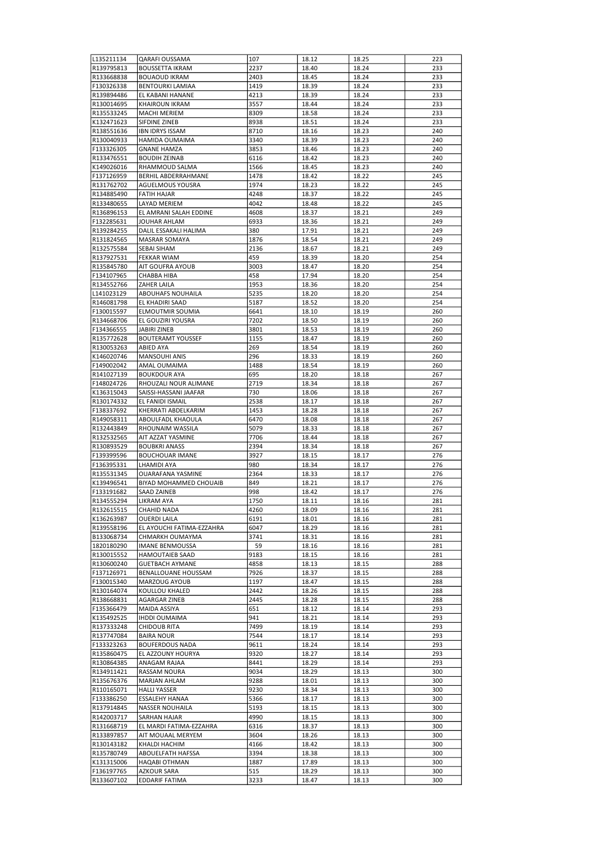| L135211134               | <b>QARAFI OUSSAMA</b>                    | 107          | 18.12          | 18.25          | 223        |
|--------------------------|------------------------------------------|--------------|----------------|----------------|------------|
| R139795813               | <b>BOUSSETTA IKRAM</b>                   | 2237         | 18.40          | 18.24          | 233        |
| R133668838               | <b>BOUAOUD IKRAM</b>                     | 2403         | 18.45          | 18.24          | 233        |
| F130326338               | <b>BENTOURKI LAMIAA</b>                  | 1419         | 18.39          | 18.24          | 233        |
| R139894486               | EL KABANI HANANE                         | 4213         | 18.39          | 18.24          | 233        |
| R130014695               | KHAIROUN IKRAM                           | 3557         | 18.44          | 18.24          | 233        |
| R135533245               | <b>MACHI MERIEM</b>                      | 8309         | 18.58          | 18.24          | 233        |
| K132471623               | SIFDINE ZINEB                            | 8938         | 18.51          | 18.24          | 233        |
| R138551636               | <b>IBN IDRYS ISSAM</b>                   | 8710         | 18.16          | 18.23          | 240        |
| R130040933               | HAMIDA OUMAIMA                           | 3340         | 18.39          | 18.23          | 240        |
| F133326305               | <b>GNANE HAMZA</b>                       | 3853         | 18.46          | 18.23          | 240        |
| R133476551               | <b>BOUDIH ZEINAB</b>                     | 6116         | 18.42          | 18.23          | 240        |
| K149026016               | RHAMMOUD SALMA                           | 1566         | 18.45          | 18.23          | 240        |
| F137126959               | BERHIL ABDERRAHMANE                      | 1478         | 18.42          | 18.22          | 245        |
| R131762702               | AGUELMOUS YOUSRA                         | 1974         | 18.23          | 18.22          | 245        |
| R134885490               | <b>FATIH HAJAR</b>                       | 4248         | 18.37          | 18.22          | 245        |
| R133480655               | LAYAD MERIEM                             | 4042         | 18.48          | 18.22          | 245        |
| R136896153               | EL AMRANI SALAH EDDINE                   | 4608         | 18.37          | 18.21          | 249        |
| F132285631               | JOUHAR AHLAM                             | 6933         | 18.36          | 18.21          | 249        |
| R139284255               | DALIL ESSAKALI HALIMA                    | 380          | 17.91          | 18.21          | 249        |
| R131824565               | <b>MASRAR SOMAYA</b>                     | 1876         | 18.54          | 18.21          | 249        |
| R132575584               | SEBAI SIHAM                              | 2136         | 18.67          | 18.21          | 249        |
| R137927531               | <b>FEKKAR WIAM</b>                       | 459          | 18.39          | 18.20          | 254        |
| R135845780               | AIT GOUFRA AYOUB                         | 3003         | 18.47          | 18.20          | 254        |
| F134107965               | CHABBA HIBA                              | 458          | 17.94          | 18.20          | 254        |
| R134552766               | ZAHER LAILA                              | 1953         | 18.36          | 18.20          | 254        |
| L141023129               | ABOUHAFS NOUHAILA                        | 5235         | 18.20          | 18.20          | 254        |
| R146081798               | EL KHADIRI SAAD                          | 5187         | 18.52          | 18.20          | 254        |
| F130015597               | ELMOUTMIR SOUMIA                         | 6641         | 18.10          | 18.19          | 260        |
| R134668706               | EL GOUZIRI YOUSRA                        | 7202         | 18.50          | 18.19          | 260        |
| F134366555               | JABIRI ZINEB                             | 3801         | 18.53          | 18.19          | 260        |
| R135772628               | <b>BOUTERAMT YOUSSEF</b>                 | 1155         | 18.47          | 18.19          | 260        |
| R130053263               | ABIED AYA                                | 269          | 18.54          | 18.19          | 260        |
| K146020746               | <b>MANSOUHI ANIS</b>                     | 296          | 18.33          | 18.19          | 260        |
| F149002042               | AMAL OUMAIMA                             | 1488         | 18.54          | 18.19          | 260        |
| R141027139               | <b>BOUKDOUR AYA</b>                      | 695          | 18.20          | 18.18          | 267        |
| F148024726               | RHOUZALI NOUR ALIMANE                    | 2719         | 18.34          | 18.18          | 267        |
| K136315043               | SAISSI-HASSANI JAAFAR                    | 730          | 18.06          | 18.18          | 267        |
|                          | EL FANIDI ISMAIL                         | 2538         | 18.17          | 18.18          | 267        |
| R130174332               |                                          |              |                |                |            |
| F138337692               | KHERRATI ABDELKARIM<br>ABOULFADL KHAOULA | 1453<br>6470 | 18.28<br>18.08 | 18.18<br>18.18 | 267<br>267 |
| R149058311<br>R132443849 | RHOUNAIM WASSILA                         | 5079         |                | 18.18          | 267        |
| R132532565               | AIT AZZAT YASMINE                        | 7706         | 18.33<br>18.44 | 18.18          | 267        |
|                          |                                          |              |                |                |            |
| R130893529               | <b>BOUBKRI ANASS</b>                     | 2394         | 18.34          | 18.18          | 267        |
| F139399596               | <b>BOUCHOUAR IMANE</b>                   | 3927         | 18.15          | 18.17          | 276        |
| F136395331               | LHAMIDI AYA                              | 980          | 18.34          | 18.17          | 276        |
| R135531345<br>K139496541 | OUARAFANA YASMINE                        | 2364         | 18.33<br>18.21 | 18.17          | 276        |
|                          | BIYAD MOHAMMED CHOUAIB                   | 849          |                | 18.17          | 276        |
| F133191682               | <b>SAAD ZAINEB</b>                       | 998          | 18.42          | 18.17          | 276        |
| R134555294               | LIKRAM AYA                               | 1750         | 18.11          | 18.16          | 281        |
| R132615515               | CHAHID NADA                              | 4260         | 18.09          | 18.16          | 281        |
| K136263987               | <b>OUERDI LAILA</b>                      | 6191         | 18.01          | 18.16          | 281        |
| R139558196               | EL AYOUCHI FATIMA-EZZAHRA                | 6047         | 18.29          | 18.16          | 281        |
| B133068734               | CHMARKH OUMAYMA                          | 3741         | 18.31          | 18.16          | 281        |
| 1820180290               | IMANE BENMOUSSA                          | 59           | 18.16          | 18.16          | 281        |
| R130015552               | HAMOUTAIEB SAAD                          | 9183         | 18.15          | 18.16          | 281        |
| R130600240               | <b>GUETBACH AYMANE</b>                   | 4858         | 18.13          | 18.15          | 288        |
| F137126971               | BENALLOUANE HOUSSAM                      | 7926         | 18.37          | 18.15          | 288        |
| F130015340               | MARZOUG AYOUB                            | 1197         | 18.47          | 18.15          | 288        |
| R130164074               | KOULLOU KHALED                           | 2442         | 18.26          | 18.15          | 288        |
| R138668831               | AGARGAR ZINEB                            | 2445         | 18.28          | 18.15          | 288        |
| F135366479               | MAIDA ASSIYA                             | 651          | 18.12          | 18.14          | 293        |
| K135492525               | IHDDI OUMAIMA                            | 941          | 18.21          | 18.14          | 293        |
| R137333248               | <b>CHIDOUB RITA</b>                      | 7499         | 18.19          | 18.14          | 293        |
| R137747084               | BAIRA NOUR                               | 7544         | 18.17          | 18.14          | 293        |
| F133323263               | <b>BOUFERDOUS NADA</b>                   | 9611         | 18.24          | 18.14          | 293        |
| R135860475               | EL AZZOUNY HOURYA                        | 9320         | 18.27          | 18.14          | 293        |
| R130864385               | ANAGAM RAJAA                             | 8441         | 18.29          | 18.14          | 293        |
| R134911421               | RASSAM NOURA                             | 9034         | 18.29          | 18.13          | 300        |
| R135676376               | MARJAN AHLAM                             | 9288         | 18.01          | 18.13          | 300        |
| R110165071               | <b>HALLI YASSER</b>                      | 9230         | 18.34          | 18.13          | 300        |
| F133386250               | ESSALEHY HANAA                           | 5366         | 18.17          | 18.13          | 300        |
| R137914845               | NASSER NOUHAILA                          | 5193         | 18.15          | 18.13          | 300        |
| R142003717               | SARHAN HAJAR                             | 4990         | 18.15          | 18.13          | 300        |
| R131668719               | EL MARDI FATIMA-EZZAHRA                  | 6316         | 18.37          | 18.13          | 300        |
| R133897857               | AIT MOUAAL MERYEM                        | 3604         | 18.26          | 18.13          | 300        |
| R130143182               | KHALDI HACHIM                            | 4166         | 18.42          | 18.13          | 300        |
| R135780749               | ABOUELFATH HAFSSA                        | 3394         | 18.38          | 18.13          | 300        |
| K131315006               | HAQABI OTHMAN                            | 1887         | 17.89          | 18.13          | 300        |
| F136197765               | AZKOUR SARA                              | 515          | 18.29          | 18.13          | 300        |
| R133607102               | EDDARIF FATIMA                           | 3233         | 18.47          | 18.13          | 300        |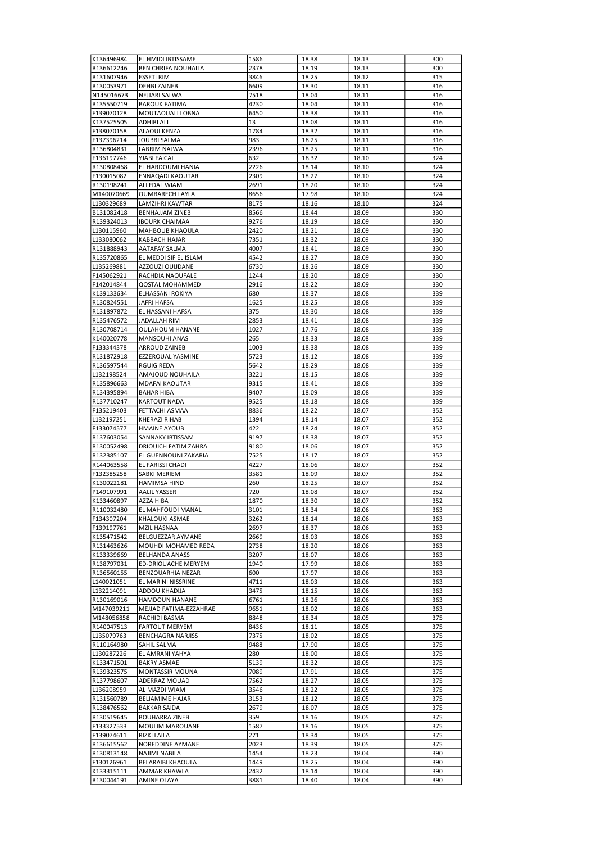| K136496984               | EL HMIDI IBTISSAME          | 1586 | 18.38 | 18.13 | 300 |
|--------------------------|-----------------------------|------|-------|-------|-----|
| R136612246               | <b>BEN CHRIFA NOUHAILA</b>  | 2378 | 18.19 | 18.13 | 300 |
| R131607946               | <b>ESSETI RIM</b>           | 3846 | 18.25 | 18.12 | 315 |
| R130053971               | <b>DEHBIZAINEB</b>          | 6609 | 18.30 | 18.11 | 316 |
| N145016673               | NEJJARI SALWA               | 7518 | 18.04 | 18.11 | 316 |
| R135550719               | <b>BAROUK FATIMA</b>        | 4230 | 18.04 | 18.11 | 316 |
| F139070128               | MOUTAOUALI LOBNA            | 6450 | 18.38 | 18.11 | 316 |
| K137525505               | ADHIRI ALI                  | 13   | 18.08 | 18.11 | 316 |
| F138070158               | ALAOUI KENZA                | 1784 | 18.32 | 18.11 | 316 |
| F137396214               | JOUBBI SALMA                | 983  | 18.25 | 18.11 | 316 |
| R136804831               | LABRIM NAJWA                | 2396 | 18.25 | 18.11 | 316 |
| F136197746               | YJABI FAICAL                | 632  | 18.32 | 18.10 | 324 |
| R130808468               | EL HARDOUMI HANIA           | 2226 | 18.14 | 18.10 | 324 |
| F130015082               | ENNAQADI KAOUTAR            | 2309 | 18.27 | 18.10 | 324 |
| R130198241               | ALI FDAL WIAM               | 2691 | 18.20 | 18.10 | 324 |
| M140070669               | <b>OUMBARECH LAYLA</b>      | 8656 | 17.98 | 18.10 | 324 |
| L130329689               | LAMZIHRI KAWTAR             | 8175 | 18.16 | 18.10 | 324 |
| B131082418               | <b>BENHAJJAM ZINEB</b>      | 8566 | 18.44 | 18.09 | 330 |
| R139324013               | <b>IBOURK CHAIMAA</b>       | 9276 | 18.19 | 18.09 | 330 |
| L130115960               | MAHBOUB KHAOULA             | 2420 | 18.21 | 18.09 | 330 |
| L133080062               | KABBACH HAJAR               | 7351 | 18.32 | 18.09 | 330 |
| R131888943               | AATAFAY SALMA               | 4007 | 18.41 | 18.09 | 330 |
| R135720865               | EL MEDDI SIF EL ISLAM       | 4542 | 18.27 | 18.09 | 330 |
| L135269881               | AZZOUZI OUIJDANE            | 6730 | 18.26 | 18.09 | 330 |
| F145062921               | RACHDIA NAOUFALE            | 1244 | 18.20 | 18.09 | 330 |
| F142014844               | QOSTAL MOHAMMED             | 2916 | 18.22 | 18.09 | 330 |
| K139133634               | ELHASSANI ROKIYA            | 680  | 18.37 | 18.08 | 339 |
| R130824551               | <b>JAFRI HAFSA</b>          | 1625 | 18.25 | 18.08 | 339 |
| R131897872               | EL HASSANI HAFSA            | 375  | 18.30 | 18.08 | 339 |
| R135476572               | JADALLAH RIM                | 2853 | 18.41 | 18.08 | 339 |
| R130708714               | <b>OULAHOUM HANANE</b>      | 1027 | 17.76 | 18.08 | 339 |
| K140020778               | MANSOUHI ANAS               | 265  | 18.33 | 18.08 | 339 |
| F133344378               | ARROUD ZAINEB               | 1003 | 18.38 | 18.08 | 339 |
| R131872918               | EZZEROUAL YASMINE           | 5723 | 18.12 | 18.08 | 339 |
| R136597544               | RGUIG REDA                  | 5642 | 18.29 | 18.08 | 339 |
| L132198524               | AMAJOUD NOUHAILA            | 3221 | 18.15 | 18.08 | 339 |
| R135896663               | MDAFAI KAOUTAR              | 9315 | 18.41 | 18.08 | 339 |
| R134395894               | <b>BAHAR HIBA</b>           | 9407 | 18.09 | 18.08 | 339 |
| R137710247               | KARTOUT NADA                | 9525 | 18.18 | 18.08 | 339 |
| F135219403               | FETTACHI ASMAA              | 8836 | 18.22 | 18.07 | 352 |
| L132197251               | KHERAZI RIHAB               | 1394 | 18.14 | 18.07 | 352 |
| F133074577               | <b>HMAINE AYOUB</b>         | 422  | 18.24 | 18.07 | 352 |
| R137603054               | SANNAKY IBTISSAM            | 9197 | 18.38 | 18.07 | 352 |
| R130052498               | <b>DRIOUICH FATIM ZAHRA</b> | 9180 | 18.06 | 18.07 | 352 |
| R132385107               | EL GUENNOUNI ZAKARIA        | 7525 | 18.17 | 18.07 | 352 |
| R144063558               | EL FARISSI CHADI            | 4227 | 18.06 | 18.07 | 352 |
| F132385258               | SABKI MERIEM                | 3581 | 18.09 | 18.07 | 352 |
| K130022181               | <b>HAMIMSA HIND</b>         | 260  | 18.25 | 18.07 | 352 |
| P149107991               | <b>AALIL YASSER</b>         | 720  | 18.08 | 18.07 | 352 |
| K133460897               | AZZA HIBA                   | 1870 | 18.30 | 18.07 | 352 |
| R110032480               | EL MAHFOUDI MANAL           | 3101 | 18.34 | 18.06 | 363 |
| F134307204               | KHALOUKI ASMAE              | 3262 | 18.14 | 18.06 | 363 |
| F139197761               | MZIL HASNAA                 | 2697 | 18.37 | 18.06 | 363 |
| K135471542               | BELGUEZZAR AYMANE           | 2669 | 18.03 | 18.06 | 363 |
| R131463626               | MOUHDI MOHAMED REDA         | 2738 | 18.20 | 18.06 | 363 |
| K133339669               | <b>BELHANDA ANASS</b>       | 3207 | 18.07 | 18.06 | 363 |
| R138797031               | ED-DRIOUACHE MERYEM         | 1940 | 17.99 | 18.06 | 363 |
| R136560155               | BENZOUARHIA NEZAR           | 600  | 17.97 | 18.06 | 363 |
| L140021051<br>L132214091 | EL MARINI NISSRINE          | 4711 | 18.03 | 18.06 | 363 |
|                          | ADDOU KHADIJA               | 3475 | 18.15 | 18.06 | 363 |
| R130169016               | HAMDOUN HANANE              | 6761 | 18.26 | 18.06 | 363 |
| M147039211               | MEJJAD FATIMA-EZZAHRAE      | 9651 | 18.02 | 18.06 | 363 |
| M148056858               | RACHIDI BASMA               | 8848 | 18.34 | 18.05 | 375 |
| R140047513               | <b>FARTOUT MERYEM</b>       | 8436 | 18.11 | 18.05 | 375 |
| L135079763               | BENCHAGRA NARJISS           | 7375 | 18.02 | 18.05 | 375 |
| R110164980               | SAHIL SALMA                 | 9488 | 17.90 | 18.05 | 375 |
| L130287226               | EL AMRANI YAHYA             | 280  | 18.00 | 18.05 | 375 |
| K133471501               | <b>BAKRY ASMAE</b>          | 5139 | 18.32 | 18.05 | 375 |
| R139323575               | MONTASSIR MOUNA             | 7089 | 17.91 | 18.05 | 375 |
| R137798607               | ADERRAZ MOUAD               | 7562 | 18.27 | 18.05 | 375 |
| L136208959               | AL MAZDI WIAM               | 3546 | 18.22 | 18.05 | 375 |
| R131560789               | BELIAMIME HAJAR             | 3153 | 18.12 | 18.05 | 375 |
| R138476562               | <b>BAKKAR SAIDA</b>         | 2679 | 18.07 | 18.05 | 375 |
| R130519645               | <b>BOUHARRA ZINEB</b>       | 359  | 18.16 | 18.05 | 375 |
| F133327533               | MOULIM MAROUANE             | 1587 | 18.16 | 18.05 | 375 |
| F139074611               | RIZKI LAILA                 | 271  | 18.34 | 18.05 | 375 |
| R136615562               | NOREDDINE AYMANE            | 2023 | 18.39 | 18.05 | 375 |
| R130813148               | NAJIMI NABILA               | 1454 | 18.23 | 18.04 | 390 |
| F130126961               | BELARAIBI KHAOULA           | 1449 | 18.25 | 18.04 | 390 |
| K133315111               | AMMAR KHAWLA                | 2432 | 18.14 | 18.04 | 390 |
| R130044191               | <b>AMINE OLAYA</b>          | 3881 | 18.40 | 18.04 | 390 |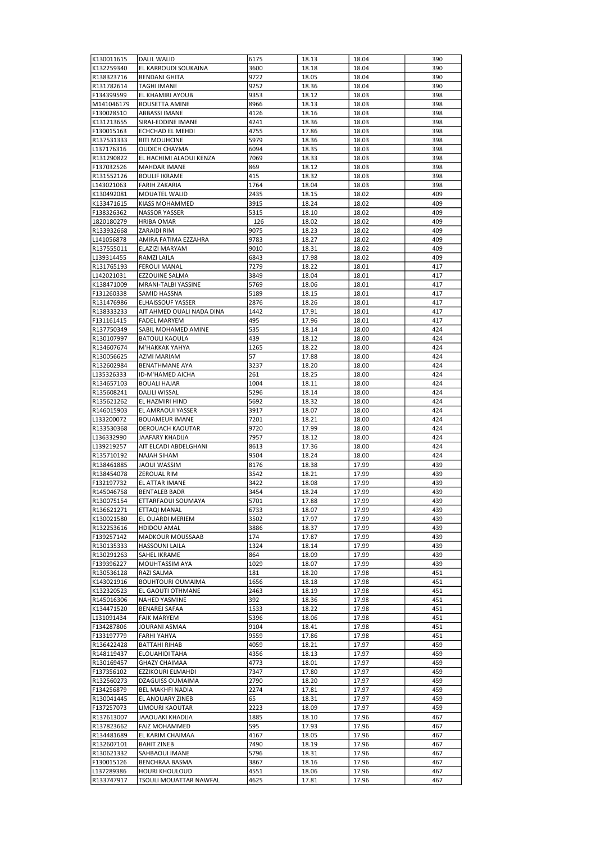| K130011615 | <b>DALIL WALID</b>         | 6175 | 18.13 | 18.04 | 390 |
|------------|----------------------------|------|-------|-------|-----|
| K132259340 | EL KARROUDI SOUKAINA       | 3600 | 18.18 | 18.04 | 390 |
| R138323716 | <b>BENDANI GHITA</b>       | 9722 | 18.05 | 18.04 | 390 |
| R131782614 | <b>TAGHI IMANE</b>         | 9252 | 18.36 | 18.04 | 390 |
| F134399599 | EL KHAMIRI AYOUB           | 9353 | 18.12 | 18.03 | 398 |
| M141046179 | <b>BOUSETTA AMINE</b>      | 8966 | 18.13 | 18.03 | 398 |
| F130028510 | <b>ABBASSI IMANE</b>       | 4126 | 18.16 | 18.03 | 398 |
| K131213655 | SIRAJ-EDDINE IMANE         | 4241 | 18.36 | 18.03 | 398 |
| F130015163 | ECHCHAD EL MEHDI           | 4755 | 17.86 | 18.03 | 398 |
| R137531333 | <b>BITI MOUHCINE</b>       | 5979 | 18.36 | 18.03 | 398 |
| L137176316 | <b>OUDICH CHAYMA</b>       | 6094 | 18.35 | 18.03 | 398 |
| R131290822 | EL HACHIMI ALAOUI KENZA    | 7069 | 18.33 | 18.03 | 398 |
| F137032526 | <b>MAHDAR IMANE</b>        | 869  | 18.12 | 18.03 | 398 |
| R131552126 | <b>BOULIF IKRAME</b>       | 415  | 18.32 | 18.03 | 398 |
| L143021063 | <b>FARIH ZAKARIA</b>       | 1764 | 18.04 | 18.03 | 398 |
| K130492081 | MOUATEL WALID              | 2435 | 18.15 | 18.02 | 409 |
| K133471615 | KIASS MOHAMMED             | 3915 | 18.24 | 18.02 | 409 |
| F138326362 | <b>NASSOR YASSER</b>       | 5315 | 18.10 | 18.02 | 409 |
| 1820180279 | <b>HRIBA OMAR</b>          | 126  | 18.02 | 18.02 | 409 |
| R133932668 | ZARAIDI RIM                | 9075 | 18.23 | 18.02 | 409 |
| L141056878 | AMIRA FATIMA EZZAHRA       | 9783 | 18.27 | 18.02 | 409 |
| R137555011 | ELAZIZI MARYAM             | 9010 | 18.31 | 18.02 | 409 |
| L139314455 | RAMZI LAILA                | 6843 | 17.98 | 18.02 | 409 |
| R131765193 | <b>FEROUI MANAL</b>        | 7279 | 18.22 | 18.01 | 417 |
| L142021031 | EZZOUINE SALMA             | 3849 | 18.04 | 18.01 | 417 |
| K138471009 | <b>MRANI-TALBI YASSINE</b> | 5769 | 18.06 | 18.01 | 417 |
| F131260338 | SAMID HASSNA               | 5189 | 18.15 | 18.01 | 417 |
| R131476986 | <b>ELHAISSOUF YASSER</b>   | 2876 | 18.26 | 18.01 | 417 |
| R138333233 | AIT AHMED OUALI NADA DINA  | 1442 | 17.91 | 18.01 | 417 |
| F131161415 | <b>FADEL MARYEM</b>        | 495  | 17.96 | 18.01 | 417 |
| R137750349 | SABIL MOHAMED AMINE        | 535  | 18.14 | 18.00 | 424 |
| R130107997 | <b>BATOULI KAOULA</b>      | 439  | 18.12 | 18.00 | 424 |
| R134607674 | M'HAKKAK YAHYA             | 1265 | 18.22 | 18.00 | 424 |
| R130056625 | <b>AZMI MARIAM</b>         | 57   | 17.88 | 18.00 | 424 |
| R132602984 | <b>BENATHMANE AYA</b>      | 3237 | 18.20 | 18.00 | 424 |
| L135326333 | ID-M'HAMED AICHA           | 261  | 18.25 | 18.00 | 424 |
| R134657103 | <b>BOUALI HAJAR</b>        | 1004 | 18.11 | 18.00 | 424 |
| R135608241 | DALILI WISSAL              | 5296 | 18.14 | 18.00 | 424 |
| R135621262 | EL HAZMIRI HIND            | 5692 | 18.32 | 18.00 | 424 |
| R146015903 | EL AMRAOUI YASSER          | 3917 | 18.07 | 18.00 | 424 |
| L133200072 | <b>BOUAMEUR IMANE</b>      | 7201 | 18.21 | 18.00 | 424 |
| R133530368 | <b>DEROUACH KAOUTAR</b>    | 9720 | 17.99 | 18.00 | 424 |
| L136332990 | <b>JAAFARY KHADIJA</b>     | 7957 | 18.12 | 18.00 | 424 |
| L139219257 | AIT ELCADI ABDELGHANI      | 8613 | 17.36 | 18.00 | 424 |
| R135710192 | <b>NAJAH SIHAM</b>         | 9504 | 18.24 | 18.00 | 424 |
| R138461885 | <b>JAOUI WASSIM</b>        | 8176 | 18.38 | 17.99 | 439 |
| R138454078 | <b>ZEROUAL RIM</b>         | 3542 | 18.21 | 17.99 | 439 |
| F132197732 | EL ATTAR IMANE             | 3422 | 18.08 | 17.99 | 439 |
| R145046758 | <b>BENTALEB BADR</b>       | 3454 | 18.24 | 17.99 | 439 |
| R130075154 | ETTARFAOUI SOUMAYA         | 5701 | 17.88 | 17.99 | 439 |
| R136621271 | ETTAQI MANAL               | 6733 | 18.07 | 17.99 | 439 |
| K130021580 | EL OUARDI MERIEM           | 3502 | 17.97 | 17.99 | 439 |
| R132253616 | HDIDOU AMAL                | 3886 | 18.37 | 17.99 | 439 |
| F139257142 | MADKOUR MOUSSAAB           | 174  | 17.87 | 17.99 | 439 |
| R130135333 | <b>HASSOUNI LAILA</b>      | 1324 | 18.14 | 17.99 | 439 |
| R130291263 | SAHEL IKRAME               | 864  | 18.09 | 17.99 | 439 |
| F139396227 | MOUHTASSIM AYA             | 1029 | 18.07 | 17.99 | 439 |
| R130536128 | RAZI SALMA                 | 181  | 18.20 | 17.98 | 451 |
| K143021916 | BOUHTOURI OUMAIMA          | 1656 | 18.18 | 17.98 | 451 |
| K132320523 | EL GAOUTI OTHMANE          | 2463 | 18.19 | 17.98 | 451 |
| R145016306 | NAHED YASMINE              | 392  | 18.36 | 17.98 | 451 |
| K134471520 | BENAREJ SAFAA              | 1533 | 18.22 | 17.98 | 451 |
| L131091434 | <b>FAIK MARYEM</b>         | 5396 | 18.06 | 17.98 | 451 |
| F134287806 | JOURANI ASMAA              | 9104 | 18.41 | 17.98 | 451 |
| F133197779 | FARHI YAHYA                | 9559 | 17.86 | 17.98 | 451 |
| R136422428 | <b>BATTAHI RIHAB</b>       | 4059 | 18.21 | 17.97 | 459 |
| R148119437 | ELOUAHIDI TAHA             | 4356 | 18.13 | 17.97 | 459 |
| R130169457 | <b>GHAZY CHAIMAA</b>       | 4773 | 18.01 | 17.97 | 459 |
| F137356102 | EZZIKOURI ELMAHDI          | 7347 | 17.80 | 17.97 | 459 |
| R132560273 | DZAGUISS OUMAIMA           | 2790 | 18.20 | 17.97 | 459 |
| F134256879 | BEL MAKHFI NADIA           | 2274 | 17.81 | 17.97 | 459 |
| R130041445 | EL ANOUARY ZINEB           | 65   | 18.31 | 17.97 | 459 |
| F137257073 | LIMOURI KAOUTAR            | 2223 | 18.09 | 17.97 | 459 |
| R137613007 | JAAOUAKI KHADIJA           | 1885 | 18.10 | 17.96 | 467 |
| R137823662 | FAIZ MOHAMMED              | 595  | 17.93 | 17.96 | 467 |
| R134481689 | EL KARIM CHAIMAA           | 4167 | 18.05 | 17.96 | 467 |
| R132607101 | <b>BAHIT ZINEB</b>         | 7490 | 18.19 | 17.96 | 467 |
| R130621332 | SAHBAOUI IMANE             | 5796 | 18.31 | 17.96 | 467 |
| F130015126 | BENCHRAA BASMA             | 3867 | 18.16 | 17.96 | 467 |
| L137289386 | <b>HOURI KHOULOUD</b>      | 4551 | 18.06 | 17.96 | 467 |
| R133747917 | TSOULI MOUATTAR NAWFAL     | 4625 | 17.81 | 17.96 | 467 |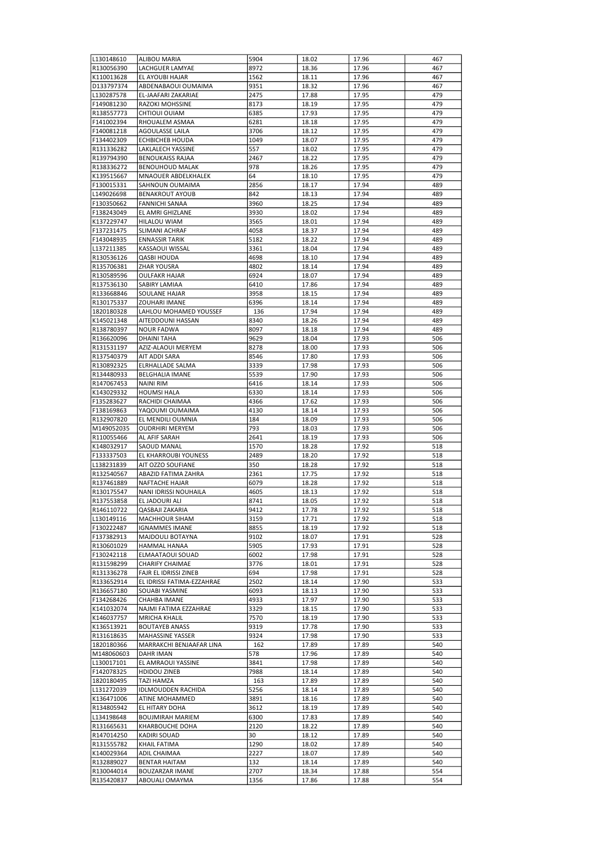| L130148610               | <b>ALIBOU MARIA</b>               | 5904         | 18.02          | 17.96          | 467        |
|--------------------------|-----------------------------------|--------------|----------------|----------------|------------|
| R130056390               | LACHGUER LAMYAE                   | 8972         | 18.36          | 17.96          | 467        |
|                          |                                   |              |                |                |            |
| K110013628               | EL AYOUBI HAJAR                   | 1562         | 18.11          | 17.96          | 467        |
| D133797374               | ABDENABAOUI OUMAIMA               | 9351         | 18.32          | 17.96          | 467        |
| L130287578               | EL-JAAFARI ZAKARIAE               | 2475         | 17.88          | 17.95          | 479        |
| F149081230               | RAZOKI MOHSSINE                   | 8173         | 18.19          | 17.95          | 479        |
| R138557773               | CHTIOUI OUIAM                     | 6385         | 17.93          | 17.95          | 479        |
|                          |                                   |              |                |                |            |
| F141002394               | RHOUALEM ASMAA                    | 6281         | 18.18          | 17.95          | 479        |
| F140081218               | AGOULASSE LAILA                   | 3706         | 18.12          | 17.95          | 479        |
| F134402309               | ECHBICHEB HOUDA                   | 1049         | 18.07          | 17.95          | 479        |
| R131336282               | LAKLALECH YASSINE                 | 557          | 18.02          | 17.95          | 479        |
| R139794390               | <b>BENOUKAISS RAJAA</b>           | 2467         | 18.22          | 17.95          | 479        |
|                          |                                   |              |                |                |            |
| R138336272               | <b>BENOUHOUD MALAK</b>            | 978          | 18.26          | 17.95          | 479        |
| K139515667               | MNAOUER ABDELKHALEK               | 64           | 18.10          | 17.95          | 479        |
| F130015331               | SAHNOUN OUMAIMA                   | 2856         | 18.17          | 17.94          | 489        |
| L149026698               | <b>BENAKROUT AYOUB</b>            | 842          | 18.13          | 17.94          | 489        |
| F130350662               | FANNICHI SANAA                    | 3960         | 18.25          | 17.94          | 489        |
|                          |                                   |              |                |                |            |
| F138243049               | EL AMRI GHIZLANE                  | 3930         | 18.02          | 17.94          | 489        |
| K137229747               | HILALOU WIAM                      | 3565         | 18.01          | 17.94          | 489        |
| F137231475               | SLIMANI ACHRAF                    | 4058         | 18.37          | 17.94          | 489        |
| F143048935               | <b>ENNASSIR TARIK</b>             | 5182         | 18.22          | 17.94          | 489        |
| L137211385               | KASSAOUI WISSAL                   | 3361         | 18.04          | 17.94          | 489        |
|                          |                                   |              |                |                |            |
| R130536126               | <b>QASBI HOUDA</b>                | 4698         | 18.10          | 17.94          | 489        |
| R135706381               | <b>ZHAR YOUSRA</b>                | 4802         | 18.14          | 17.94          | 489        |
| R130589596               | <b>OULFAKR HAJAR</b>              | 6924         | 18.07          | 17.94          | 489        |
| R137536130               | SABIRY LAMIAA                     | 6410         | 17.86          | 17.94          | 489        |
| R133668846               | SOULANE HAJAR                     | 3958         | 18.15          | 17.94          | 489        |
|                          |                                   |              |                |                |            |
| R130175337               | <b>ZOUHARI IMANE</b>              | 6396         | 18.14          | 17.94          | 489        |
| 1820180328               | LAHLOU MOHAMED YOUSSEF            | 136          | 17.94          | 17.94          | 489        |
| K145021348               | AITEDDOUNI HASSAN                 | 8340         | 18.26          | 17.94          | 489        |
| R138780397               | NOUR FADWA                        | 8097         | 18.18          | 17.94          | 489        |
| R136620096               | DHAINI TAHA                       | 9629         | 18.04          | 17.93          | 506        |
|                          |                                   |              |                |                |            |
| R131531197               | AZIZ-ALAOUI MERYEM                | 8278         | 18.00          | 17.93          | 506        |
| R137540379               | AIT ADDI SARA                     | 8546         | 17.80          | 17.93          | 506        |
| R130892325               | ELRHALLADE SALMA                  | 3339         | 17.98          | 17.93          | 506        |
| R134480933               | <b>BELGHALIA IMANE</b>            | 5539         | 17.90          | 17.93          | 506        |
| R147067453               | NAINI RIM                         | 6416         | 18.14          | 17.93          | 506        |
|                          |                                   |              |                |                |            |
| K143029332               | <b>HOUMSI HALA</b>                | 6330         | 18.14          | 17.93          | 506        |
| F135283627               | RACHIDI CHAIMAA                   | 4366         | 17.62          | 17.93          | 506        |
| F138169863               | YAQOUMI OUMAIMA                   | 4130         | 18.14          | 17.93          | 506        |
| R132907820               | EL MENDILI OUMNIA                 | 184          | 18.09          | 17.93          | 506        |
| M149052035               | <b>OUDRHIRI MERYEM</b>            | 793          | 18.03          | 17.93          | 506        |
|                          |                                   |              |                |                |            |
| R110055466               | AL AFIF SARAH                     | 2641         | 18.19          | 17.93          | 506        |
| K148032917               | SAOUD MANAL                       | 1570         | 18.28          | 17.92          | 518        |
| F133337503               | EL KHARROUBI YOUNESS              | 2489         | 18.20          | 17.92          | 518        |
| L138231839               | AIT OZZO SOUFIANE                 | 350          | 18.28          | 17.92          | 518        |
| R132540567               | ABAZID FATIMA ZAHRA               | 2361         | 17.75          | 17.92          | 518        |
|                          |                                   |              |                |                |            |
| R137461889               | NAFTACHE HAJAR                    | 6079         | 18.28          | 17.92          | 518        |
| R130175547               | <b>NANI IDRISSI NOUHAILA</b>      | 4605         | 18.13          | 17.92          | 518        |
| R137553858               | EL JADOURI ALI                    | 8741         | 18.05          | 17.92          | 518        |
| R146110722               | QASBAJI ZAKARIA                   | 9412         | 17.78          | 17.92          | 518        |
| L130149116               | MACHHOUR SIHAM                    | 3159         | 17.71          | 17.92          | 518        |
|                          |                                   |              |                |                |            |
| F130222487               | <b>IGNAMMES IMANE</b>             | 8855         | 18.19          | 17.92          | 518        |
| F137382913               | MAJDOULI BOTAYNA                  | 9102         | 18.07          | 17.91          | 528        |
| R130601029               | HAMMAL HANAA                      | 5905         | 17.93          | 17.91          | 528        |
| F130242118               | ELMAATAOUI SOUAD                  | 6002         | 17.98          | 17.91          | 528        |
| R131598299               | CHARIFY CHAIMAE                   | 3776         | 18.01          | 17.91          | 528        |
|                          | FAJR EL IDRISSI ZINEB             | 694          |                |                |            |
| R131336278               |                                   |              | 17.98          | 17.91          | 528        |
| R133652914               | EL IDRISSI FATIMA-EZZAHRAE        | 2502         | 18.14          | 17.90          | 533        |
| R136657180               | SOUABI YASMINE                    | 6093         | 18.13          | 17.90          | 533        |
| F134268426               |                                   |              |                |                |            |
| K141032074               | CHAHBA IMANE                      | 4933         | 17.97          | 17.90          | 533        |
|                          |                                   |              |                |                |            |
|                          | NAJMI FATIMA EZZAHRAE             | 3329         | 18.15          | 17.90          | 533        |
| K146037757               | <b>MRICHA KHALIL</b>              | 7570         | 18.19          | 17.90          | 533        |
| K136513921               | <b>BOUTAYEB ANASS</b>             | 9319         | 17.78          | 17.90          | 533        |
| R131618635               | MAHASSINE YASSER                  | 9324         | 17.98          | 17.90          | 533        |
| 1820180366               | MARRAKCHI BENJAAFAR LINA          | 162          | 17.89          | 17.89          | 540        |
|                          |                                   |              |                |                |            |
| M148060603               | DAHR IMAN                         | 578          | 17.96          | 17.89          | 540        |
| L130017101               | EL AMRAOUI YASSINE                | 3841         | 17.98          | 17.89          | 540        |
| F142078325               | HDIDOU ZINEB                      | 7988         | 18.14          | 17.89          | 540        |
| 1820180495               | <b>TAZI HAMZA</b>                 | 163          | 17.89          | 17.89          | 540        |
| L131272039               | IDLMOUDDEN RACHIDA                | 5256         | 18.14          | 17.89          | 540        |
|                          |                                   |              |                |                |            |
| K136471006               | ATINE MOHAMMED                    | 3891         | 18.16          | 17.89          | 540        |
| R134805942               | EL HITARY DOHA                    | 3612         | 18.19          | 17.89          | 540        |
| L134198648               | <b>BOUJMIRAH MARIEM</b>           | 6300         | 17.83          | 17.89          | 540        |
| R131665631               | KHARBOUCHE DOHA                   | 2120         | 18.22          | 17.89          | 540        |
| R147014250               | KADIRI SOUAD                      | 30           | 18.12          | 17.89          | 540        |
|                          |                                   |              |                |                |            |
| R131555782               | KHAIL FATIMA                      | 1290         | 18.02          | 17.89          | 540        |
| K140029364               | ADIL CHAIMAA                      | 2227         | 18.07          | 17.89          | 540        |
| R132889027               | BENTAR HAITAM                     | 132          | 18.14          | 17.89          | 540        |
| R130044014<br>R135420837 | BOUZARZAR IMANE<br>ABOUALI OMAYMA | 2707<br>1356 | 18.34<br>17.86 | 17.88<br>17.88 | 554<br>554 |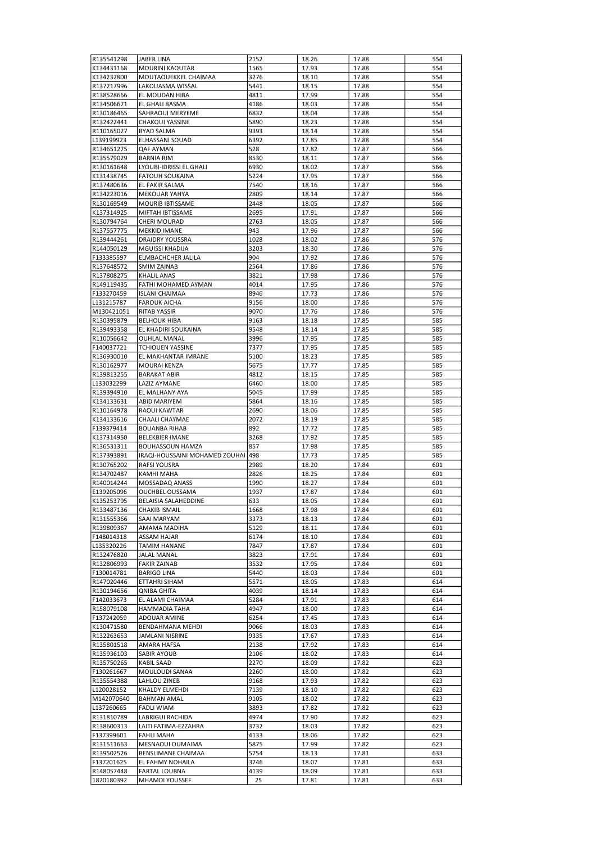| K134431168<br><b>MOURINI KAOUTAR</b><br>1565<br>17.93<br>17.88<br>554<br>K134232800<br>MOUTAOUEKKEL CHAIMAA<br>3276<br>17.88<br>554<br>18.10<br>R137217996<br>LAKOUASMA WISSAL<br>5441<br>18.15<br>17.88<br>554<br>EL MOUDAN HIBA<br>4811<br>17.99<br>17.88<br>554<br>R138528666<br>R134506671<br>EL GHALI BASMA<br>4186<br>17.88<br>554<br>18.03<br>SAHRAOUI MERYEME<br>6832<br>18.04<br>17.88<br>554<br>R130186465<br>R132422441<br><b>CHAKOUI YASSINE</b><br>5890<br>18.23<br>17.88<br>554<br><b>BYAD SALMA</b><br>9393<br>18.14<br>17.88<br>554<br>R110165027<br>L139199923<br>ELHASSANI SOUAD<br>6392<br>17.85<br>17.88<br>554<br>528<br>17.82<br>566<br>R134651275<br>QAF AYMAN<br>17.87<br>R135579029<br><b>BARNIA RIM</b><br>8530<br>18.11<br>17.87<br>566<br>LYOUBI-IDRISSI EL GHALI<br>6930<br>18.02<br>566<br>R130161648<br>17.87<br>K131438745<br><b>FATOUH SOUKAINA</b><br>5224<br>17.95<br>17.87<br>566<br>7540<br>566<br>R137480636<br>EL FAKIR SALMA<br>18.16<br>17.87<br>R134223016<br>MEKOUAR YAHYA<br>2809<br>18.14<br>17.87<br>566<br>MOURIB IBTISSAME<br>2448<br>18.05<br>17.87<br>566<br>R130169549<br>K137314925<br>MIFTAH IBTISSAME<br>2695<br>17.91<br>17.87<br>566<br>2763<br>566<br>R130794764<br>CHERI MOURAD<br>18.05<br>17.87<br>R137557775<br><b>MEKKID IMANE</b><br>943<br>17.96<br>17.87<br>566<br><b>DRAIDRY YOUSSRA</b><br>1028<br>18.02<br>17.86<br>576<br>R139444261<br>R144050129<br>MGUISSI KHADIJA<br>3203<br>18.30<br>17.86<br>576<br>ELMBACHCHER JALILA<br>904<br>17.92<br>17.86<br>576<br>F133385597<br>2564<br>R137648572<br>SMIM ZAINAB<br>17.86<br>17.86<br>576<br>R137808275<br>KHALIL ANAS<br>3821<br>17.98<br>17.86<br>576<br>R149119435<br>FATHI MOHAMED AYMAN<br>4014<br>17.95<br>17.86<br>576<br><b>ISLANI CHAIMAA</b><br>8946<br>17.73<br>17.86<br>576<br>F133270459<br>L131215787<br><b>FAROUK AICHA</b><br>9156<br>18.00<br>17.86<br>576<br><b>RITAB YASSIR</b><br>9070<br>17.76<br>17.86<br>576<br>M130421051<br>R130395879<br><b>BELHOUK HIBA</b><br>9163<br>17.85<br>585<br>18.18<br>EL KHADIRI SOUKAINA<br>9548<br>18.14<br>17.85<br>585<br>R139493358<br><b>OUHLAL MANAL</b><br>3996<br>17.95<br>17.85<br>585<br>R110056642<br>7377<br>F140037721<br><b>TCHIOUEN YASSINE</b><br>17.95<br>17.85<br>585<br>R136930010<br>EL MAKHANTAR IMRANE<br>5100<br>17.85<br>585<br>18.23<br>R130162977<br>MOURAI KENZA<br>5675<br>17.77<br>17.85<br>585<br>R139813255<br><b>BARAKAT ABIR</b><br>4812<br>18.15<br>17.85<br>585<br>L133032299<br>LAZIZ AYMANE<br>6460<br>18.00<br>17.85<br>585<br>R139394910<br>EL MALHANY AYA<br>5045<br>17.99<br>17.85<br>585<br>ABID MARIYEM<br>5864<br>18.16<br>17.85<br>585<br>K134133631<br>R110164978<br>RAOUI KAWTAR<br>2690<br>18.06<br>17.85<br>585<br>K134133616<br>CHAALI CHAYMAE<br>2072<br>18.19<br>17.85<br>585<br>892<br>F139379414<br><b>BOUANBA RIHAB</b><br>17.72<br>17.85<br>585<br>K137314950<br><b>BELEKBIER IMANE</b><br>3268<br>17.92<br>17.85<br>585<br>857<br>R136531311<br><b>BOUHASSOUN HAMZA</b><br>17.98<br>17.85<br>585<br>498<br>R137393891<br>IRAQI-HOUSSAINI MOHAMED ZOUHAI<br>17.73<br>17.85<br>585<br>R130765202<br>RAFSI YOUSRA<br>2989<br>18.20<br>17.84<br>601<br>R134702487<br>KAMHI MAHA<br>2826<br>18.25<br>17.84<br>601<br>R140014244<br>MOSSADAQ ANASS<br>1990<br>18.27<br>17.84<br>601<br>1937<br>E139205096<br>OUCHBEL OUSSAMA<br>17.87<br>17.84<br>601<br>633<br>17.84<br>601<br>K135253795<br><b>BELAISIA SALAHEDDINE</b><br>18.05<br>R133487136<br><b>CHAKIB ISMAIL</b><br>1668<br>17.98<br>17.84<br>601<br>R131555366<br>SAAI MARYAM<br>3373<br>17.84<br>18.13<br>601<br>R139809367<br>AMAMA MADIHA<br>5129<br>18.11<br>17.84<br>601<br>F148014318<br><b>ASSAM HAJAR</b><br>6174<br>18.10<br>17.84<br>601<br>L135320226<br>TAMIM HANANE<br>7847<br>17.87<br>17.84<br>601<br>R132476820<br><b>JALAL MANAL</b><br>3823<br>17.91<br>17.84<br>601<br>R132806993<br><b>FAKIR ZAINAB</b><br>3532<br>17.95<br>17.84<br>601<br>F130014781<br><b>BARIGO LINA</b><br>5440<br>18.03<br>17.84<br>601<br>R147020446<br>ETTAHRI SIHAM<br>5571<br>18.05<br>17.83<br>614<br>R130194656<br>QNIBA GHITA<br>4039<br>18.14<br>17.83<br>614<br>F142033673<br>EL ALAMI CHAIMAA<br>5284<br>17.91<br>17.83<br>614<br>R158079108<br>HAMMADIA TAHA<br>4947<br>18.00<br>17.83<br>614<br>F137242059<br>ADOUAR AMINE<br>6254<br>17.45<br>17.83<br>614<br>K130471580<br>BENDAHMANA MEHDI<br>17.83<br>9066<br>18.03<br>614<br>R132263653<br>JAMLANI NISRINE<br>9335<br>17.67<br>17.83<br>614<br>R135801518<br>AMARA HAFSA<br>2138<br>17.92<br>17.83<br>614<br>R135936103<br>SABIR AYOUB<br>2106<br>18.02<br>17.83<br>614<br>R135750265<br>KABIL SAAD<br>2270<br>18.09<br>17.82<br>623<br>F130261667<br>MOULOUDI SANAA<br>2260<br>18.00<br>17.82<br>623<br>R135554388<br>LAHLOU ZINEB<br>9168<br>17.93<br>17.82<br>623<br>7139<br>L120028152<br>KHALDY ELMEHDI<br>18.10<br>17.82<br>623<br>M142070640<br><b>BAHMAN AMAL</b><br>9105<br>18.02<br>17.82<br>623<br>L137260665<br><b>FADLI WIAM</b><br>3893<br>17.82<br>17.82<br>623<br>R131810789<br>LABRIGUI RACHIDA<br>4974<br>17.90<br>17.82<br>623<br>R138600313<br>LAITI FATIMA-EZZAHRA<br>3732<br>18.03<br>17.82<br>623<br>F137399601<br><b>FAHLI MAHA</b><br>4133<br>18.06<br>17.82<br>623<br>R131511663<br>MESNAOUI OUMAIMA<br>5875<br>17.99<br>17.82<br>623<br>R139502526<br>BENSLIMANE CHAIMAA<br>5754<br>17.81<br>633<br>18.13<br>F137201625<br>EL FAHMY NOHAILA<br>3746<br>18.07<br>17.81<br>633<br>R148057448<br>FARTAL LOUBNA<br>4139<br>17.81<br>18.09<br>633 | R135541298 | JABER LINA     | 2152 | 18.26 | 17.88 | 554 |
|--------------------------------------------------------------------------------------------------------------------------------------------------------------------------------------------------------------------------------------------------------------------------------------------------------------------------------------------------------------------------------------------------------------------------------------------------------------------------------------------------------------------------------------------------------------------------------------------------------------------------------------------------------------------------------------------------------------------------------------------------------------------------------------------------------------------------------------------------------------------------------------------------------------------------------------------------------------------------------------------------------------------------------------------------------------------------------------------------------------------------------------------------------------------------------------------------------------------------------------------------------------------------------------------------------------------------------------------------------------------------------------------------------------------------------------------------------------------------------------------------------------------------------------------------------------------------------------------------------------------------------------------------------------------------------------------------------------------------------------------------------------------------------------------------------------------------------------------------------------------------------------------------------------------------------------------------------------------------------------------------------------------------------------------------------------------------------------------------------------------------------------------------------------------------------------------------------------------------------------------------------------------------------------------------------------------------------------------------------------------------------------------------------------------------------------------------------------------------------------------------------------------------------------------------------------------------------------------------------------------------------------------------------------------------------------------------------------------------------------------------------------------------------------------------------------------------------------------------------------------------------------------------------------------------------------------------------------------------------------------------------------------------------------------------------------------------------------------------------------------------------------------------------------------------------------------------------------------------------------------------------------------------------------------------------------------------------------------------------------------------------------------------------------------------------------------------------------------------------------------------------------------------------------------------------------------------------------------------------------------------------------------------------------------------------------------------------------------------------------------------------------------------------------------------------------------------------------------------------------------------------------------------------------------------------------------------------------------------------------------------------------------------------------------------------------------------------------------------------------------------------------------------------------------------------------------------------------------------------------------------------------------------------------------------------------------------------------------------------------------------------------------------------------------------------------------------------------------------------------------------------------------------------------------------------------------------------------------------------------------------------------------------------------------------------------------------------------------------------------------------------------------------------------------------------------------------------------------------------------------------------------------------------------------------------------------------------------------------------------------------------------------------------------------------------------------------------------------------------------------------------------------------------------------------------------------------------------------------------------------------------------------------------------------------------------------------------------------------------------------------------------------------------------------------------------------------------------------------------------------------------------------------|------------|----------------|------|-------|-------|-----|
|                                                                                                                                                                                                                                                                                                                                                                                                                                                                                                                                                                                                                                                                                                                                                                                                                                                                                                                                                                                                                                                                                                                                                                                                                                                                                                                                                                                                                                                                                                                                                                                                                                                                                                                                                                                                                                                                                                                                                                                                                                                                                                                                                                                                                                                                                                                                                                                                                                                                                                                                                                                                                                                                                                                                                                                                                                                                                                                                                                                                                                                                                                                                                                                                                                                                                                                                                                                                                                                                                                                                                                                                                                                                                                                                                                                                                                                                                                                                                                                                                                                                                                                                                                                                                                                                                                                                                                                                                                                                                                                                                                                                                                                                                                                                                                                                                                                                                                                                                                                                                                                                                                                                                                                                                                                                                                                                                                                                                                                                                                                          |            |                |      |       |       |     |
|                                                                                                                                                                                                                                                                                                                                                                                                                                                                                                                                                                                                                                                                                                                                                                                                                                                                                                                                                                                                                                                                                                                                                                                                                                                                                                                                                                                                                                                                                                                                                                                                                                                                                                                                                                                                                                                                                                                                                                                                                                                                                                                                                                                                                                                                                                                                                                                                                                                                                                                                                                                                                                                                                                                                                                                                                                                                                                                                                                                                                                                                                                                                                                                                                                                                                                                                                                                                                                                                                                                                                                                                                                                                                                                                                                                                                                                                                                                                                                                                                                                                                                                                                                                                                                                                                                                                                                                                                                                                                                                                                                                                                                                                                                                                                                                                                                                                                                                                                                                                                                                                                                                                                                                                                                                                                                                                                                                                                                                                                                                          |            |                |      |       |       |     |
|                                                                                                                                                                                                                                                                                                                                                                                                                                                                                                                                                                                                                                                                                                                                                                                                                                                                                                                                                                                                                                                                                                                                                                                                                                                                                                                                                                                                                                                                                                                                                                                                                                                                                                                                                                                                                                                                                                                                                                                                                                                                                                                                                                                                                                                                                                                                                                                                                                                                                                                                                                                                                                                                                                                                                                                                                                                                                                                                                                                                                                                                                                                                                                                                                                                                                                                                                                                                                                                                                                                                                                                                                                                                                                                                                                                                                                                                                                                                                                                                                                                                                                                                                                                                                                                                                                                                                                                                                                                                                                                                                                                                                                                                                                                                                                                                                                                                                                                                                                                                                                                                                                                                                                                                                                                                                                                                                                                                                                                                                                                          |            |                |      |       |       |     |
|                                                                                                                                                                                                                                                                                                                                                                                                                                                                                                                                                                                                                                                                                                                                                                                                                                                                                                                                                                                                                                                                                                                                                                                                                                                                                                                                                                                                                                                                                                                                                                                                                                                                                                                                                                                                                                                                                                                                                                                                                                                                                                                                                                                                                                                                                                                                                                                                                                                                                                                                                                                                                                                                                                                                                                                                                                                                                                                                                                                                                                                                                                                                                                                                                                                                                                                                                                                                                                                                                                                                                                                                                                                                                                                                                                                                                                                                                                                                                                                                                                                                                                                                                                                                                                                                                                                                                                                                                                                                                                                                                                                                                                                                                                                                                                                                                                                                                                                                                                                                                                                                                                                                                                                                                                                                                                                                                                                                                                                                                                                          |            |                |      |       |       |     |
|                                                                                                                                                                                                                                                                                                                                                                                                                                                                                                                                                                                                                                                                                                                                                                                                                                                                                                                                                                                                                                                                                                                                                                                                                                                                                                                                                                                                                                                                                                                                                                                                                                                                                                                                                                                                                                                                                                                                                                                                                                                                                                                                                                                                                                                                                                                                                                                                                                                                                                                                                                                                                                                                                                                                                                                                                                                                                                                                                                                                                                                                                                                                                                                                                                                                                                                                                                                                                                                                                                                                                                                                                                                                                                                                                                                                                                                                                                                                                                                                                                                                                                                                                                                                                                                                                                                                                                                                                                                                                                                                                                                                                                                                                                                                                                                                                                                                                                                                                                                                                                                                                                                                                                                                                                                                                                                                                                                                                                                                                                                          |            |                |      |       |       |     |
|                                                                                                                                                                                                                                                                                                                                                                                                                                                                                                                                                                                                                                                                                                                                                                                                                                                                                                                                                                                                                                                                                                                                                                                                                                                                                                                                                                                                                                                                                                                                                                                                                                                                                                                                                                                                                                                                                                                                                                                                                                                                                                                                                                                                                                                                                                                                                                                                                                                                                                                                                                                                                                                                                                                                                                                                                                                                                                                                                                                                                                                                                                                                                                                                                                                                                                                                                                                                                                                                                                                                                                                                                                                                                                                                                                                                                                                                                                                                                                                                                                                                                                                                                                                                                                                                                                                                                                                                                                                                                                                                                                                                                                                                                                                                                                                                                                                                                                                                                                                                                                                                                                                                                                                                                                                                                                                                                                                                                                                                                                                          |            |                |      |       |       |     |
|                                                                                                                                                                                                                                                                                                                                                                                                                                                                                                                                                                                                                                                                                                                                                                                                                                                                                                                                                                                                                                                                                                                                                                                                                                                                                                                                                                                                                                                                                                                                                                                                                                                                                                                                                                                                                                                                                                                                                                                                                                                                                                                                                                                                                                                                                                                                                                                                                                                                                                                                                                                                                                                                                                                                                                                                                                                                                                                                                                                                                                                                                                                                                                                                                                                                                                                                                                                                                                                                                                                                                                                                                                                                                                                                                                                                                                                                                                                                                                                                                                                                                                                                                                                                                                                                                                                                                                                                                                                                                                                                                                                                                                                                                                                                                                                                                                                                                                                                                                                                                                                                                                                                                                                                                                                                                                                                                                                                                                                                                                                          |            |                |      |       |       |     |
|                                                                                                                                                                                                                                                                                                                                                                                                                                                                                                                                                                                                                                                                                                                                                                                                                                                                                                                                                                                                                                                                                                                                                                                                                                                                                                                                                                                                                                                                                                                                                                                                                                                                                                                                                                                                                                                                                                                                                                                                                                                                                                                                                                                                                                                                                                                                                                                                                                                                                                                                                                                                                                                                                                                                                                                                                                                                                                                                                                                                                                                                                                                                                                                                                                                                                                                                                                                                                                                                                                                                                                                                                                                                                                                                                                                                                                                                                                                                                                                                                                                                                                                                                                                                                                                                                                                                                                                                                                                                                                                                                                                                                                                                                                                                                                                                                                                                                                                                                                                                                                                                                                                                                                                                                                                                                                                                                                                                                                                                                                                          |            |                |      |       |       |     |
|                                                                                                                                                                                                                                                                                                                                                                                                                                                                                                                                                                                                                                                                                                                                                                                                                                                                                                                                                                                                                                                                                                                                                                                                                                                                                                                                                                                                                                                                                                                                                                                                                                                                                                                                                                                                                                                                                                                                                                                                                                                                                                                                                                                                                                                                                                                                                                                                                                                                                                                                                                                                                                                                                                                                                                                                                                                                                                                                                                                                                                                                                                                                                                                                                                                                                                                                                                                                                                                                                                                                                                                                                                                                                                                                                                                                                                                                                                                                                                                                                                                                                                                                                                                                                                                                                                                                                                                                                                                                                                                                                                                                                                                                                                                                                                                                                                                                                                                                                                                                                                                                                                                                                                                                                                                                                                                                                                                                                                                                                                                          |            |                |      |       |       |     |
|                                                                                                                                                                                                                                                                                                                                                                                                                                                                                                                                                                                                                                                                                                                                                                                                                                                                                                                                                                                                                                                                                                                                                                                                                                                                                                                                                                                                                                                                                                                                                                                                                                                                                                                                                                                                                                                                                                                                                                                                                                                                                                                                                                                                                                                                                                                                                                                                                                                                                                                                                                                                                                                                                                                                                                                                                                                                                                                                                                                                                                                                                                                                                                                                                                                                                                                                                                                                                                                                                                                                                                                                                                                                                                                                                                                                                                                                                                                                                                                                                                                                                                                                                                                                                                                                                                                                                                                                                                                                                                                                                                                                                                                                                                                                                                                                                                                                                                                                                                                                                                                                                                                                                                                                                                                                                                                                                                                                                                                                                                                          |            |                |      |       |       |     |
|                                                                                                                                                                                                                                                                                                                                                                                                                                                                                                                                                                                                                                                                                                                                                                                                                                                                                                                                                                                                                                                                                                                                                                                                                                                                                                                                                                                                                                                                                                                                                                                                                                                                                                                                                                                                                                                                                                                                                                                                                                                                                                                                                                                                                                                                                                                                                                                                                                                                                                                                                                                                                                                                                                                                                                                                                                                                                                                                                                                                                                                                                                                                                                                                                                                                                                                                                                                                                                                                                                                                                                                                                                                                                                                                                                                                                                                                                                                                                                                                                                                                                                                                                                                                                                                                                                                                                                                                                                                                                                                                                                                                                                                                                                                                                                                                                                                                                                                                                                                                                                                                                                                                                                                                                                                                                                                                                                                                                                                                                                                          |            |                |      |       |       |     |
|                                                                                                                                                                                                                                                                                                                                                                                                                                                                                                                                                                                                                                                                                                                                                                                                                                                                                                                                                                                                                                                                                                                                                                                                                                                                                                                                                                                                                                                                                                                                                                                                                                                                                                                                                                                                                                                                                                                                                                                                                                                                                                                                                                                                                                                                                                                                                                                                                                                                                                                                                                                                                                                                                                                                                                                                                                                                                                                                                                                                                                                                                                                                                                                                                                                                                                                                                                                                                                                                                                                                                                                                                                                                                                                                                                                                                                                                                                                                                                                                                                                                                                                                                                                                                                                                                                                                                                                                                                                                                                                                                                                                                                                                                                                                                                                                                                                                                                                                                                                                                                                                                                                                                                                                                                                                                                                                                                                                                                                                                                                          |            |                |      |       |       |     |
|                                                                                                                                                                                                                                                                                                                                                                                                                                                                                                                                                                                                                                                                                                                                                                                                                                                                                                                                                                                                                                                                                                                                                                                                                                                                                                                                                                                                                                                                                                                                                                                                                                                                                                                                                                                                                                                                                                                                                                                                                                                                                                                                                                                                                                                                                                                                                                                                                                                                                                                                                                                                                                                                                                                                                                                                                                                                                                                                                                                                                                                                                                                                                                                                                                                                                                                                                                                                                                                                                                                                                                                                                                                                                                                                                                                                                                                                                                                                                                                                                                                                                                                                                                                                                                                                                                                                                                                                                                                                                                                                                                                                                                                                                                                                                                                                                                                                                                                                                                                                                                                                                                                                                                                                                                                                                                                                                                                                                                                                                                                          |            |                |      |       |       |     |
|                                                                                                                                                                                                                                                                                                                                                                                                                                                                                                                                                                                                                                                                                                                                                                                                                                                                                                                                                                                                                                                                                                                                                                                                                                                                                                                                                                                                                                                                                                                                                                                                                                                                                                                                                                                                                                                                                                                                                                                                                                                                                                                                                                                                                                                                                                                                                                                                                                                                                                                                                                                                                                                                                                                                                                                                                                                                                                                                                                                                                                                                                                                                                                                                                                                                                                                                                                                                                                                                                                                                                                                                                                                                                                                                                                                                                                                                                                                                                                                                                                                                                                                                                                                                                                                                                                                                                                                                                                                                                                                                                                                                                                                                                                                                                                                                                                                                                                                                                                                                                                                                                                                                                                                                                                                                                                                                                                                                                                                                                                                          |            |                |      |       |       |     |
|                                                                                                                                                                                                                                                                                                                                                                                                                                                                                                                                                                                                                                                                                                                                                                                                                                                                                                                                                                                                                                                                                                                                                                                                                                                                                                                                                                                                                                                                                                                                                                                                                                                                                                                                                                                                                                                                                                                                                                                                                                                                                                                                                                                                                                                                                                                                                                                                                                                                                                                                                                                                                                                                                                                                                                                                                                                                                                                                                                                                                                                                                                                                                                                                                                                                                                                                                                                                                                                                                                                                                                                                                                                                                                                                                                                                                                                                                                                                                                                                                                                                                                                                                                                                                                                                                                                                                                                                                                                                                                                                                                                                                                                                                                                                                                                                                                                                                                                                                                                                                                                                                                                                                                                                                                                                                                                                                                                                                                                                                                                          |            |                |      |       |       |     |
|                                                                                                                                                                                                                                                                                                                                                                                                                                                                                                                                                                                                                                                                                                                                                                                                                                                                                                                                                                                                                                                                                                                                                                                                                                                                                                                                                                                                                                                                                                                                                                                                                                                                                                                                                                                                                                                                                                                                                                                                                                                                                                                                                                                                                                                                                                                                                                                                                                                                                                                                                                                                                                                                                                                                                                                                                                                                                                                                                                                                                                                                                                                                                                                                                                                                                                                                                                                                                                                                                                                                                                                                                                                                                                                                                                                                                                                                                                                                                                                                                                                                                                                                                                                                                                                                                                                                                                                                                                                                                                                                                                                                                                                                                                                                                                                                                                                                                                                                                                                                                                                                                                                                                                                                                                                                                                                                                                                                                                                                                                                          |            |                |      |       |       |     |
|                                                                                                                                                                                                                                                                                                                                                                                                                                                                                                                                                                                                                                                                                                                                                                                                                                                                                                                                                                                                                                                                                                                                                                                                                                                                                                                                                                                                                                                                                                                                                                                                                                                                                                                                                                                                                                                                                                                                                                                                                                                                                                                                                                                                                                                                                                                                                                                                                                                                                                                                                                                                                                                                                                                                                                                                                                                                                                                                                                                                                                                                                                                                                                                                                                                                                                                                                                                                                                                                                                                                                                                                                                                                                                                                                                                                                                                                                                                                                                                                                                                                                                                                                                                                                                                                                                                                                                                                                                                                                                                                                                                                                                                                                                                                                                                                                                                                                                                                                                                                                                                                                                                                                                                                                                                                                                                                                                                                                                                                                                                          |            |                |      |       |       |     |
|                                                                                                                                                                                                                                                                                                                                                                                                                                                                                                                                                                                                                                                                                                                                                                                                                                                                                                                                                                                                                                                                                                                                                                                                                                                                                                                                                                                                                                                                                                                                                                                                                                                                                                                                                                                                                                                                                                                                                                                                                                                                                                                                                                                                                                                                                                                                                                                                                                                                                                                                                                                                                                                                                                                                                                                                                                                                                                                                                                                                                                                                                                                                                                                                                                                                                                                                                                                                                                                                                                                                                                                                                                                                                                                                                                                                                                                                                                                                                                                                                                                                                                                                                                                                                                                                                                                                                                                                                                                                                                                                                                                                                                                                                                                                                                                                                                                                                                                                                                                                                                                                                                                                                                                                                                                                                                                                                                                                                                                                                                                          |            |                |      |       |       |     |
|                                                                                                                                                                                                                                                                                                                                                                                                                                                                                                                                                                                                                                                                                                                                                                                                                                                                                                                                                                                                                                                                                                                                                                                                                                                                                                                                                                                                                                                                                                                                                                                                                                                                                                                                                                                                                                                                                                                                                                                                                                                                                                                                                                                                                                                                                                                                                                                                                                                                                                                                                                                                                                                                                                                                                                                                                                                                                                                                                                                                                                                                                                                                                                                                                                                                                                                                                                                                                                                                                                                                                                                                                                                                                                                                                                                                                                                                                                                                                                                                                                                                                                                                                                                                                                                                                                                                                                                                                                                                                                                                                                                                                                                                                                                                                                                                                                                                                                                                                                                                                                                                                                                                                                                                                                                                                                                                                                                                                                                                                                                          |            |                |      |       |       |     |
|                                                                                                                                                                                                                                                                                                                                                                                                                                                                                                                                                                                                                                                                                                                                                                                                                                                                                                                                                                                                                                                                                                                                                                                                                                                                                                                                                                                                                                                                                                                                                                                                                                                                                                                                                                                                                                                                                                                                                                                                                                                                                                                                                                                                                                                                                                                                                                                                                                                                                                                                                                                                                                                                                                                                                                                                                                                                                                                                                                                                                                                                                                                                                                                                                                                                                                                                                                                                                                                                                                                                                                                                                                                                                                                                                                                                                                                                                                                                                                                                                                                                                                                                                                                                                                                                                                                                                                                                                                                                                                                                                                                                                                                                                                                                                                                                                                                                                                                                                                                                                                                                                                                                                                                                                                                                                                                                                                                                                                                                                                                          |            |                |      |       |       |     |
|                                                                                                                                                                                                                                                                                                                                                                                                                                                                                                                                                                                                                                                                                                                                                                                                                                                                                                                                                                                                                                                                                                                                                                                                                                                                                                                                                                                                                                                                                                                                                                                                                                                                                                                                                                                                                                                                                                                                                                                                                                                                                                                                                                                                                                                                                                                                                                                                                                                                                                                                                                                                                                                                                                                                                                                                                                                                                                                                                                                                                                                                                                                                                                                                                                                                                                                                                                                                                                                                                                                                                                                                                                                                                                                                                                                                                                                                                                                                                                                                                                                                                                                                                                                                                                                                                                                                                                                                                                                                                                                                                                                                                                                                                                                                                                                                                                                                                                                                                                                                                                                                                                                                                                                                                                                                                                                                                                                                                                                                                                                          |            |                |      |       |       |     |
|                                                                                                                                                                                                                                                                                                                                                                                                                                                                                                                                                                                                                                                                                                                                                                                                                                                                                                                                                                                                                                                                                                                                                                                                                                                                                                                                                                                                                                                                                                                                                                                                                                                                                                                                                                                                                                                                                                                                                                                                                                                                                                                                                                                                                                                                                                                                                                                                                                                                                                                                                                                                                                                                                                                                                                                                                                                                                                                                                                                                                                                                                                                                                                                                                                                                                                                                                                                                                                                                                                                                                                                                                                                                                                                                                                                                                                                                                                                                                                                                                                                                                                                                                                                                                                                                                                                                                                                                                                                                                                                                                                                                                                                                                                                                                                                                                                                                                                                                                                                                                                                                                                                                                                                                                                                                                                                                                                                                                                                                                                                          |            |                |      |       |       |     |
|                                                                                                                                                                                                                                                                                                                                                                                                                                                                                                                                                                                                                                                                                                                                                                                                                                                                                                                                                                                                                                                                                                                                                                                                                                                                                                                                                                                                                                                                                                                                                                                                                                                                                                                                                                                                                                                                                                                                                                                                                                                                                                                                                                                                                                                                                                                                                                                                                                                                                                                                                                                                                                                                                                                                                                                                                                                                                                                                                                                                                                                                                                                                                                                                                                                                                                                                                                                                                                                                                                                                                                                                                                                                                                                                                                                                                                                                                                                                                                                                                                                                                                                                                                                                                                                                                                                                                                                                                                                                                                                                                                                                                                                                                                                                                                                                                                                                                                                                                                                                                                                                                                                                                                                                                                                                                                                                                                                                                                                                                                                          |            |                |      |       |       |     |
|                                                                                                                                                                                                                                                                                                                                                                                                                                                                                                                                                                                                                                                                                                                                                                                                                                                                                                                                                                                                                                                                                                                                                                                                                                                                                                                                                                                                                                                                                                                                                                                                                                                                                                                                                                                                                                                                                                                                                                                                                                                                                                                                                                                                                                                                                                                                                                                                                                                                                                                                                                                                                                                                                                                                                                                                                                                                                                                                                                                                                                                                                                                                                                                                                                                                                                                                                                                                                                                                                                                                                                                                                                                                                                                                                                                                                                                                                                                                                                                                                                                                                                                                                                                                                                                                                                                                                                                                                                                                                                                                                                                                                                                                                                                                                                                                                                                                                                                                                                                                                                                                                                                                                                                                                                                                                                                                                                                                                                                                                                                          |            |                |      |       |       |     |
|                                                                                                                                                                                                                                                                                                                                                                                                                                                                                                                                                                                                                                                                                                                                                                                                                                                                                                                                                                                                                                                                                                                                                                                                                                                                                                                                                                                                                                                                                                                                                                                                                                                                                                                                                                                                                                                                                                                                                                                                                                                                                                                                                                                                                                                                                                                                                                                                                                                                                                                                                                                                                                                                                                                                                                                                                                                                                                                                                                                                                                                                                                                                                                                                                                                                                                                                                                                                                                                                                                                                                                                                                                                                                                                                                                                                                                                                                                                                                                                                                                                                                                                                                                                                                                                                                                                                                                                                                                                                                                                                                                                                                                                                                                                                                                                                                                                                                                                                                                                                                                                                                                                                                                                                                                                                                                                                                                                                                                                                                                                          |            |                |      |       |       |     |
|                                                                                                                                                                                                                                                                                                                                                                                                                                                                                                                                                                                                                                                                                                                                                                                                                                                                                                                                                                                                                                                                                                                                                                                                                                                                                                                                                                                                                                                                                                                                                                                                                                                                                                                                                                                                                                                                                                                                                                                                                                                                                                                                                                                                                                                                                                                                                                                                                                                                                                                                                                                                                                                                                                                                                                                                                                                                                                                                                                                                                                                                                                                                                                                                                                                                                                                                                                                                                                                                                                                                                                                                                                                                                                                                                                                                                                                                                                                                                                                                                                                                                                                                                                                                                                                                                                                                                                                                                                                                                                                                                                                                                                                                                                                                                                                                                                                                                                                                                                                                                                                                                                                                                                                                                                                                                                                                                                                                                                                                                                                          |            |                |      |       |       |     |
|                                                                                                                                                                                                                                                                                                                                                                                                                                                                                                                                                                                                                                                                                                                                                                                                                                                                                                                                                                                                                                                                                                                                                                                                                                                                                                                                                                                                                                                                                                                                                                                                                                                                                                                                                                                                                                                                                                                                                                                                                                                                                                                                                                                                                                                                                                                                                                                                                                                                                                                                                                                                                                                                                                                                                                                                                                                                                                                                                                                                                                                                                                                                                                                                                                                                                                                                                                                                                                                                                                                                                                                                                                                                                                                                                                                                                                                                                                                                                                                                                                                                                                                                                                                                                                                                                                                                                                                                                                                                                                                                                                                                                                                                                                                                                                                                                                                                                                                                                                                                                                                                                                                                                                                                                                                                                                                                                                                                                                                                                                                          |            |                |      |       |       |     |
|                                                                                                                                                                                                                                                                                                                                                                                                                                                                                                                                                                                                                                                                                                                                                                                                                                                                                                                                                                                                                                                                                                                                                                                                                                                                                                                                                                                                                                                                                                                                                                                                                                                                                                                                                                                                                                                                                                                                                                                                                                                                                                                                                                                                                                                                                                                                                                                                                                                                                                                                                                                                                                                                                                                                                                                                                                                                                                                                                                                                                                                                                                                                                                                                                                                                                                                                                                                                                                                                                                                                                                                                                                                                                                                                                                                                                                                                                                                                                                                                                                                                                                                                                                                                                                                                                                                                                                                                                                                                                                                                                                                                                                                                                                                                                                                                                                                                                                                                                                                                                                                                                                                                                                                                                                                                                                                                                                                                                                                                                                                          |            |                |      |       |       |     |
|                                                                                                                                                                                                                                                                                                                                                                                                                                                                                                                                                                                                                                                                                                                                                                                                                                                                                                                                                                                                                                                                                                                                                                                                                                                                                                                                                                                                                                                                                                                                                                                                                                                                                                                                                                                                                                                                                                                                                                                                                                                                                                                                                                                                                                                                                                                                                                                                                                                                                                                                                                                                                                                                                                                                                                                                                                                                                                                                                                                                                                                                                                                                                                                                                                                                                                                                                                                                                                                                                                                                                                                                                                                                                                                                                                                                                                                                                                                                                                                                                                                                                                                                                                                                                                                                                                                                                                                                                                                                                                                                                                                                                                                                                                                                                                                                                                                                                                                                                                                                                                                                                                                                                                                                                                                                                                                                                                                                                                                                                                                          |            |                |      |       |       |     |
|                                                                                                                                                                                                                                                                                                                                                                                                                                                                                                                                                                                                                                                                                                                                                                                                                                                                                                                                                                                                                                                                                                                                                                                                                                                                                                                                                                                                                                                                                                                                                                                                                                                                                                                                                                                                                                                                                                                                                                                                                                                                                                                                                                                                                                                                                                                                                                                                                                                                                                                                                                                                                                                                                                                                                                                                                                                                                                                                                                                                                                                                                                                                                                                                                                                                                                                                                                                                                                                                                                                                                                                                                                                                                                                                                                                                                                                                                                                                                                                                                                                                                                                                                                                                                                                                                                                                                                                                                                                                                                                                                                                                                                                                                                                                                                                                                                                                                                                                                                                                                                                                                                                                                                                                                                                                                                                                                                                                                                                                                                                          |            |                |      |       |       |     |
|                                                                                                                                                                                                                                                                                                                                                                                                                                                                                                                                                                                                                                                                                                                                                                                                                                                                                                                                                                                                                                                                                                                                                                                                                                                                                                                                                                                                                                                                                                                                                                                                                                                                                                                                                                                                                                                                                                                                                                                                                                                                                                                                                                                                                                                                                                                                                                                                                                                                                                                                                                                                                                                                                                                                                                                                                                                                                                                                                                                                                                                                                                                                                                                                                                                                                                                                                                                                                                                                                                                                                                                                                                                                                                                                                                                                                                                                                                                                                                                                                                                                                                                                                                                                                                                                                                                                                                                                                                                                                                                                                                                                                                                                                                                                                                                                                                                                                                                                                                                                                                                                                                                                                                                                                                                                                                                                                                                                                                                                                                                          |            |                |      |       |       |     |
|                                                                                                                                                                                                                                                                                                                                                                                                                                                                                                                                                                                                                                                                                                                                                                                                                                                                                                                                                                                                                                                                                                                                                                                                                                                                                                                                                                                                                                                                                                                                                                                                                                                                                                                                                                                                                                                                                                                                                                                                                                                                                                                                                                                                                                                                                                                                                                                                                                                                                                                                                                                                                                                                                                                                                                                                                                                                                                                                                                                                                                                                                                                                                                                                                                                                                                                                                                                                                                                                                                                                                                                                                                                                                                                                                                                                                                                                                                                                                                                                                                                                                                                                                                                                                                                                                                                                                                                                                                                                                                                                                                                                                                                                                                                                                                                                                                                                                                                                                                                                                                                                                                                                                                                                                                                                                                                                                                                                                                                                                                                          |            |                |      |       |       |     |
|                                                                                                                                                                                                                                                                                                                                                                                                                                                                                                                                                                                                                                                                                                                                                                                                                                                                                                                                                                                                                                                                                                                                                                                                                                                                                                                                                                                                                                                                                                                                                                                                                                                                                                                                                                                                                                                                                                                                                                                                                                                                                                                                                                                                                                                                                                                                                                                                                                                                                                                                                                                                                                                                                                                                                                                                                                                                                                                                                                                                                                                                                                                                                                                                                                                                                                                                                                                                                                                                                                                                                                                                                                                                                                                                                                                                                                                                                                                                                                                                                                                                                                                                                                                                                                                                                                                                                                                                                                                                                                                                                                                                                                                                                                                                                                                                                                                                                                                                                                                                                                                                                                                                                                                                                                                                                                                                                                                                                                                                                                                          |            |                |      |       |       |     |
|                                                                                                                                                                                                                                                                                                                                                                                                                                                                                                                                                                                                                                                                                                                                                                                                                                                                                                                                                                                                                                                                                                                                                                                                                                                                                                                                                                                                                                                                                                                                                                                                                                                                                                                                                                                                                                                                                                                                                                                                                                                                                                                                                                                                                                                                                                                                                                                                                                                                                                                                                                                                                                                                                                                                                                                                                                                                                                                                                                                                                                                                                                                                                                                                                                                                                                                                                                                                                                                                                                                                                                                                                                                                                                                                                                                                                                                                                                                                                                                                                                                                                                                                                                                                                                                                                                                                                                                                                                                                                                                                                                                                                                                                                                                                                                                                                                                                                                                                                                                                                                                                                                                                                                                                                                                                                                                                                                                                                                                                                                                          |            |                |      |       |       |     |
|                                                                                                                                                                                                                                                                                                                                                                                                                                                                                                                                                                                                                                                                                                                                                                                                                                                                                                                                                                                                                                                                                                                                                                                                                                                                                                                                                                                                                                                                                                                                                                                                                                                                                                                                                                                                                                                                                                                                                                                                                                                                                                                                                                                                                                                                                                                                                                                                                                                                                                                                                                                                                                                                                                                                                                                                                                                                                                                                                                                                                                                                                                                                                                                                                                                                                                                                                                                                                                                                                                                                                                                                                                                                                                                                                                                                                                                                                                                                                                                                                                                                                                                                                                                                                                                                                                                                                                                                                                                                                                                                                                                                                                                                                                                                                                                                                                                                                                                                                                                                                                                                                                                                                                                                                                                                                                                                                                                                                                                                                                                          |            |                |      |       |       |     |
|                                                                                                                                                                                                                                                                                                                                                                                                                                                                                                                                                                                                                                                                                                                                                                                                                                                                                                                                                                                                                                                                                                                                                                                                                                                                                                                                                                                                                                                                                                                                                                                                                                                                                                                                                                                                                                                                                                                                                                                                                                                                                                                                                                                                                                                                                                                                                                                                                                                                                                                                                                                                                                                                                                                                                                                                                                                                                                                                                                                                                                                                                                                                                                                                                                                                                                                                                                                                                                                                                                                                                                                                                                                                                                                                                                                                                                                                                                                                                                                                                                                                                                                                                                                                                                                                                                                                                                                                                                                                                                                                                                                                                                                                                                                                                                                                                                                                                                                                                                                                                                                                                                                                                                                                                                                                                                                                                                                                                                                                                                                          |            |                |      |       |       |     |
|                                                                                                                                                                                                                                                                                                                                                                                                                                                                                                                                                                                                                                                                                                                                                                                                                                                                                                                                                                                                                                                                                                                                                                                                                                                                                                                                                                                                                                                                                                                                                                                                                                                                                                                                                                                                                                                                                                                                                                                                                                                                                                                                                                                                                                                                                                                                                                                                                                                                                                                                                                                                                                                                                                                                                                                                                                                                                                                                                                                                                                                                                                                                                                                                                                                                                                                                                                                                                                                                                                                                                                                                                                                                                                                                                                                                                                                                                                                                                                                                                                                                                                                                                                                                                                                                                                                                                                                                                                                                                                                                                                                                                                                                                                                                                                                                                                                                                                                                                                                                                                                                                                                                                                                                                                                                                                                                                                                                                                                                                                                          |            |                |      |       |       |     |
|                                                                                                                                                                                                                                                                                                                                                                                                                                                                                                                                                                                                                                                                                                                                                                                                                                                                                                                                                                                                                                                                                                                                                                                                                                                                                                                                                                                                                                                                                                                                                                                                                                                                                                                                                                                                                                                                                                                                                                                                                                                                                                                                                                                                                                                                                                                                                                                                                                                                                                                                                                                                                                                                                                                                                                                                                                                                                                                                                                                                                                                                                                                                                                                                                                                                                                                                                                                                                                                                                                                                                                                                                                                                                                                                                                                                                                                                                                                                                                                                                                                                                                                                                                                                                                                                                                                                                                                                                                                                                                                                                                                                                                                                                                                                                                                                                                                                                                                                                                                                                                                                                                                                                                                                                                                                                                                                                                                                                                                                                                                          |            |                |      |       |       |     |
|                                                                                                                                                                                                                                                                                                                                                                                                                                                                                                                                                                                                                                                                                                                                                                                                                                                                                                                                                                                                                                                                                                                                                                                                                                                                                                                                                                                                                                                                                                                                                                                                                                                                                                                                                                                                                                                                                                                                                                                                                                                                                                                                                                                                                                                                                                                                                                                                                                                                                                                                                                                                                                                                                                                                                                                                                                                                                                                                                                                                                                                                                                                                                                                                                                                                                                                                                                                                                                                                                                                                                                                                                                                                                                                                                                                                                                                                                                                                                                                                                                                                                                                                                                                                                                                                                                                                                                                                                                                                                                                                                                                                                                                                                                                                                                                                                                                                                                                                                                                                                                                                                                                                                                                                                                                                                                                                                                                                                                                                                                                          |            |                |      |       |       |     |
|                                                                                                                                                                                                                                                                                                                                                                                                                                                                                                                                                                                                                                                                                                                                                                                                                                                                                                                                                                                                                                                                                                                                                                                                                                                                                                                                                                                                                                                                                                                                                                                                                                                                                                                                                                                                                                                                                                                                                                                                                                                                                                                                                                                                                                                                                                                                                                                                                                                                                                                                                                                                                                                                                                                                                                                                                                                                                                                                                                                                                                                                                                                                                                                                                                                                                                                                                                                                                                                                                                                                                                                                                                                                                                                                                                                                                                                                                                                                                                                                                                                                                                                                                                                                                                                                                                                                                                                                                                                                                                                                                                                                                                                                                                                                                                                                                                                                                                                                                                                                                                                                                                                                                                                                                                                                                                                                                                                                                                                                                                                          |            |                |      |       |       |     |
|                                                                                                                                                                                                                                                                                                                                                                                                                                                                                                                                                                                                                                                                                                                                                                                                                                                                                                                                                                                                                                                                                                                                                                                                                                                                                                                                                                                                                                                                                                                                                                                                                                                                                                                                                                                                                                                                                                                                                                                                                                                                                                                                                                                                                                                                                                                                                                                                                                                                                                                                                                                                                                                                                                                                                                                                                                                                                                                                                                                                                                                                                                                                                                                                                                                                                                                                                                                                                                                                                                                                                                                                                                                                                                                                                                                                                                                                                                                                                                                                                                                                                                                                                                                                                                                                                                                                                                                                                                                                                                                                                                                                                                                                                                                                                                                                                                                                                                                                                                                                                                                                                                                                                                                                                                                                                                                                                                                                                                                                                                                          |            |                |      |       |       |     |
|                                                                                                                                                                                                                                                                                                                                                                                                                                                                                                                                                                                                                                                                                                                                                                                                                                                                                                                                                                                                                                                                                                                                                                                                                                                                                                                                                                                                                                                                                                                                                                                                                                                                                                                                                                                                                                                                                                                                                                                                                                                                                                                                                                                                                                                                                                                                                                                                                                                                                                                                                                                                                                                                                                                                                                                                                                                                                                                                                                                                                                                                                                                                                                                                                                                                                                                                                                                                                                                                                                                                                                                                                                                                                                                                                                                                                                                                                                                                                                                                                                                                                                                                                                                                                                                                                                                                                                                                                                                                                                                                                                                                                                                                                                                                                                                                                                                                                                                                                                                                                                                                                                                                                                                                                                                                                                                                                                                                                                                                                                                          |            |                |      |       |       |     |
|                                                                                                                                                                                                                                                                                                                                                                                                                                                                                                                                                                                                                                                                                                                                                                                                                                                                                                                                                                                                                                                                                                                                                                                                                                                                                                                                                                                                                                                                                                                                                                                                                                                                                                                                                                                                                                                                                                                                                                                                                                                                                                                                                                                                                                                                                                                                                                                                                                                                                                                                                                                                                                                                                                                                                                                                                                                                                                                                                                                                                                                                                                                                                                                                                                                                                                                                                                                                                                                                                                                                                                                                                                                                                                                                                                                                                                                                                                                                                                                                                                                                                                                                                                                                                                                                                                                                                                                                                                                                                                                                                                                                                                                                                                                                                                                                                                                                                                                                                                                                                                                                                                                                                                                                                                                                                                                                                                                                                                                                                                                          |            |                |      |       |       |     |
|                                                                                                                                                                                                                                                                                                                                                                                                                                                                                                                                                                                                                                                                                                                                                                                                                                                                                                                                                                                                                                                                                                                                                                                                                                                                                                                                                                                                                                                                                                                                                                                                                                                                                                                                                                                                                                                                                                                                                                                                                                                                                                                                                                                                                                                                                                                                                                                                                                                                                                                                                                                                                                                                                                                                                                                                                                                                                                                                                                                                                                                                                                                                                                                                                                                                                                                                                                                                                                                                                                                                                                                                                                                                                                                                                                                                                                                                                                                                                                                                                                                                                                                                                                                                                                                                                                                                                                                                                                                                                                                                                                                                                                                                                                                                                                                                                                                                                                                                                                                                                                                                                                                                                                                                                                                                                                                                                                                                                                                                                                                          |            |                |      |       |       |     |
|                                                                                                                                                                                                                                                                                                                                                                                                                                                                                                                                                                                                                                                                                                                                                                                                                                                                                                                                                                                                                                                                                                                                                                                                                                                                                                                                                                                                                                                                                                                                                                                                                                                                                                                                                                                                                                                                                                                                                                                                                                                                                                                                                                                                                                                                                                                                                                                                                                                                                                                                                                                                                                                                                                                                                                                                                                                                                                                                                                                                                                                                                                                                                                                                                                                                                                                                                                                                                                                                                                                                                                                                                                                                                                                                                                                                                                                                                                                                                                                                                                                                                                                                                                                                                                                                                                                                                                                                                                                                                                                                                                                                                                                                                                                                                                                                                                                                                                                                                                                                                                                                                                                                                                                                                                                                                                                                                                                                                                                                                                                          |            |                |      |       |       |     |
|                                                                                                                                                                                                                                                                                                                                                                                                                                                                                                                                                                                                                                                                                                                                                                                                                                                                                                                                                                                                                                                                                                                                                                                                                                                                                                                                                                                                                                                                                                                                                                                                                                                                                                                                                                                                                                                                                                                                                                                                                                                                                                                                                                                                                                                                                                                                                                                                                                                                                                                                                                                                                                                                                                                                                                                                                                                                                                                                                                                                                                                                                                                                                                                                                                                                                                                                                                                                                                                                                                                                                                                                                                                                                                                                                                                                                                                                                                                                                                                                                                                                                                                                                                                                                                                                                                                                                                                                                                                                                                                                                                                                                                                                                                                                                                                                                                                                                                                                                                                                                                                                                                                                                                                                                                                                                                                                                                                                                                                                                                                          |            |                |      |       |       |     |
|                                                                                                                                                                                                                                                                                                                                                                                                                                                                                                                                                                                                                                                                                                                                                                                                                                                                                                                                                                                                                                                                                                                                                                                                                                                                                                                                                                                                                                                                                                                                                                                                                                                                                                                                                                                                                                                                                                                                                                                                                                                                                                                                                                                                                                                                                                                                                                                                                                                                                                                                                                                                                                                                                                                                                                                                                                                                                                                                                                                                                                                                                                                                                                                                                                                                                                                                                                                                                                                                                                                                                                                                                                                                                                                                                                                                                                                                                                                                                                                                                                                                                                                                                                                                                                                                                                                                                                                                                                                                                                                                                                                                                                                                                                                                                                                                                                                                                                                                                                                                                                                                                                                                                                                                                                                                                                                                                                                                                                                                                                                          |            |                |      |       |       |     |
|                                                                                                                                                                                                                                                                                                                                                                                                                                                                                                                                                                                                                                                                                                                                                                                                                                                                                                                                                                                                                                                                                                                                                                                                                                                                                                                                                                                                                                                                                                                                                                                                                                                                                                                                                                                                                                                                                                                                                                                                                                                                                                                                                                                                                                                                                                                                                                                                                                                                                                                                                                                                                                                                                                                                                                                                                                                                                                                                                                                                                                                                                                                                                                                                                                                                                                                                                                                                                                                                                                                                                                                                                                                                                                                                                                                                                                                                                                                                                                                                                                                                                                                                                                                                                                                                                                                                                                                                                                                                                                                                                                                                                                                                                                                                                                                                                                                                                                                                                                                                                                                                                                                                                                                                                                                                                                                                                                                                                                                                                                                          |            |                |      |       |       |     |
|                                                                                                                                                                                                                                                                                                                                                                                                                                                                                                                                                                                                                                                                                                                                                                                                                                                                                                                                                                                                                                                                                                                                                                                                                                                                                                                                                                                                                                                                                                                                                                                                                                                                                                                                                                                                                                                                                                                                                                                                                                                                                                                                                                                                                                                                                                                                                                                                                                                                                                                                                                                                                                                                                                                                                                                                                                                                                                                                                                                                                                                                                                                                                                                                                                                                                                                                                                                                                                                                                                                                                                                                                                                                                                                                                                                                                                                                                                                                                                                                                                                                                                                                                                                                                                                                                                                                                                                                                                                                                                                                                                                                                                                                                                                                                                                                                                                                                                                                                                                                                                                                                                                                                                                                                                                                                                                                                                                                                                                                                                                          |            |                |      |       |       |     |
|                                                                                                                                                                                                                                                                                                                                                                                                                                                                                                                                                                                                                                                                                                                                                                                                                                                                                                                                                                                                                                                                                                                                                                                                                                                                                                                                                                                                                                                                                                                                                                                                                                                                                                                                                                                                                                                                                                                                                                                                                                                                                                                                                                                                                                                                                                                                                                                                                                                                                                                                                                                                                                                                                                                                                                                                                                                                                                                                                                                                                                                                                                                                                                                                                                                                                                                                                                                                                                                                                                                                                                                                                                                                                                                                                                                                                                                                                                                                                                                                                                                                                                                                                                                                                                                                                                                                                                                                                                                                                                                                                                                                                                                                                                                                                                                                                                                                                                                                                                                                                                                                                                                                                                                                                                                                                                                                                                                                                                                                                                                          |            |                |      |       |       |     |
|                                                                                                                                                                                                                                                                                                                                                                                                                                                                                                                                                                                                                                                                                                                                                                                                                                                                                                                                                                                                                                                                                                                                                                                                                                                                                                                                                                                                                                                                                                                                                                                                                                                                                                                                                                                                                                                                                                                                                                                                                                                                                                                                                                                                                                                                                                                                                                                                                                                                                                                                                                                                                                                                                                                                                                                                                                                                                                                                                                                                                                                                                                                                                                                                                                                                                                                                                                                                                                                                                                                                                                                                                                                                                                                                                                                                                                                                                                                                                                                                                                                                                                                                                                                                                                                                                                                                                                                                                                                                                                                                                                                                                                                                                                                                                                                                                                                                                                                                                                                                                                                                                                                                                                                                                                                                                                                                                                                                                                                                                                                          |            |                |      |       |       |     |
|                                                                                                                                                                                                                                                                                                                                                                                                                                                                                                                                                                                                                                                                                                                                                                                                                                                                                                                                                                                                                                                                                                                                                                                                                                                                                                                                                                                                                                                                                                                                                                                                                                                                                                                                                                                                                                                                                                                                                                                                                                                                                                                                                                                                                                                                                                                                                                                                                                                                                                                                                                                                                                                                                                                                                                                                                                                                                                                                                                                                                                                                                                                                                                                                                                                                                                                                                                                                                                                                                                                                                                                                                                                                                                                                                                                                                                                                                                                                                                                                                                                                                                                                                                                                                                                                                                                                                                                                                                                                                                                                                                                                                                                                                                                                                                                                                                                                                                                                                                                                                                                                                                                                                                                                                                                                                                                                                                                                                                                                                                                          |            |                |      |       |       |     |
|                                                                                                                                                                                                                                                                                                                                                                                                                                                                                                                                                                                                                                                                                                                                                                                                                                                                                                                                                                                                                                                                                                                                                                                                                                                                                                                                                                                                                                                                                                                                                                                                                                                                                                                                                                                                                                                                                                                                                                                                                                                                                                                                                                                                                                                                                                                                                                                                                                                                                                                                                                                                                                                                                                                                                                                                                                                                                                                                                                                                                                                                                                                                                                                                                                                                                                                                                                                                                                                                                                                                                                                                                                                                                                                                                                                                                                                                                                                                                                                                                                                                                                                                                                                                                                                                                                                                                                                                                                                                                                                                                                                                                                                                                                                                                                                                                                                                                                                                                                                                                                                                                                                                                                                                                                                                                                                                                                                                                                                                                                                          |            |                |      |       |       |     |
|                                                                                                                                                                                                                                                                                                                                                                                                                                                                                                                                                                                                                                                                                                                                                                                                                                                                                                                                                                                                                                                                                                                                                                                                                                                                                                                                                                                                                                                                                                                                                                                                                                                                                                                                                                                                                                                                                                                                                                                                                                                                                                                                                                                                                                                                                                                                                                                                                                                                                                                                                                                                                                                                                                                                                                                                                                                                                                                                                                                                                                                                                                                                                                                                                                                                                                                                                                                                                                                                                                                                                                                                                                                                                                                                                                                                                                                                                                                                                                                                                                                                                                                                                                                                                                                                                                                                                                                                                                                                                                                                                                                                                                                                                                                                                                                                                                                                                                                                                                                                                                                                                                                                                                                                                                                                                                                                                                                                                                                                                                                          |            |                |      |       |       |     |
|                                                                                                                                                                                                                                                                                                                                                                                                                                                                                                                                                                                                                                                                                                                                                                                                                                                                                                                                                                                                                                                                                                                                                                                                                                                                                                                                                                                                                                                                                                                                                                                                                                                                                                                                                                                                                                                                                                                                                                                                                                                                                                                                                                                                                                                                                                                                                                                                                                                                                                                                                                                                                                                                                                                                                                                                                                                                                                                                                                                                                                                                                                                                                                                                                                                                                                                                                                                                                                                                                                                                                                                                                                                                                                                                                                                                                                                                                                                                                                                                                                                                                                                                                                                                                                                                                                                                                                                                                                                                                                                                                                                                                                                                                                                                                                                                                                                                                                                                                                                                                                                                                                                                                                                                                                                                                                                                                                                                                                                                                                                          |            |                |      |       |       |     |
|                                                                                                                                                                                                                                                                                                                                                                                                                                                                                                                                                                                                                                                                                                                                                                                                                                                                                                                                                                                                                                                                                                                                                                                                                                                                                                                                                                                                                                                                                                                                                                                                                                                                                                                                                                                                                                                                                                                                                                                                                                                                                                                                                                                                                                                                                                                                                                                                                                                                                                                                                                                                                                                                                                                                                                                                                                                                                                                                                                                                                                                                                                                                                                                                                                                                                                                                                                                                                                                                                                                                                                                                                                                                                                                                                                                                                                                                                                                                                                                                                                                                                                                                                                                                                                                                                                                                                                                                                                                                                                                                                                                                                                                                                                                                                                                                                                                                                                                                                                                                                                                                                                                                                                                                                                                                                                                                                                                                                                                                                                                          |            |                |      |       |       |     |
|                                                                                                                                                                                                                                                                                                                                                                                                                                                                                                                                                                                                                                                                                                                                                                                                                                                                                                                                                                                                                                                                                                                                                                                                                                                                                                                                                                                                                                                                                                                                                                                                                                                                                                                                                                                                                                                                                                                                                                                                                                                                                                                                                                                                                                                                                                                                                                                                                                                                                                                                                                                                                                                                                                                                                                                                                                                                                                                                                                                                                                                                                                                                                                                                                                                                                                                                                                                                                                                                                                                                                                                                                                                                                                                                                                                                                                                                                                                                                                                                                                                                                                                                                                                                                                                                                                                                                                                                                                                                                                                                                                                                                                                                                                                                                                                                                                                                                                                                                                                                                                                                                                                                                                                                                                                                                                                                                                                                                                                                                                                          |            |                |      |       |       |     |
|                                                                                                                                                                                                                                                                                                                                                                                                                                                                                                                                                                                                                                                                                                                                                                                                                                                                                                                                                                                                                                                                                                                                                                                                                                                                                                                                                                                                                                                                                                                                                                                                                                                                                                                                                                                                                                                                                                                                                                                                                                                                                                                                                                                                                                                                                                                                                                                                                                                                                                                                                                                                                                                                                                                                                                                                                                                                                                                                                                                                                                                                                                                                                                                                                                                                                                                                                                                                                                                                                                                                                                                                                                                                                                                                                                                                                                                                                                                                                                                                                                                                                                                                                                                                                                                                                                                                                                                                                                                                                                                                                                                                                                                                                                                                                                                                                                                                                                                                                                                                                                                                                                                                                                                                                                                                                                                                                                                                                                                                                                                          |            |                |      |       |       |     |
|                                                                                                                                                                                                                                                                                                                                                                                                                                                                                                                                                                                                                                                                                                                                                                                                                                                                                                                                                                                                                                                                                                                                                                                                                                                                                                                                                                                                                                                                                                                                                                                                                                                                                                                                                                                                                                                                                                                                                                                                                                                                                                                                                                                                                                                                                                                                                                                                                                                                                                                                                                                                                                                                                                                                                                                                                                                                                                                                                                                                                                                                                                                                                                                                                                                                                                                                                                                                                                                                                                                                                                                                                                                                                                                                                                                                                                                                                                                                                                                                                                                                                                                                                                                                                                                                                                                                                                                                                                                                                                                                                                                                                                                                                                                                                                                                                                                                                                                                                                                                                                                                                                                                                                                                                                                                                                                                                                                                                                                                                                                          |            |                |      |       |       |     |
|                                                                                                                                                                                                                                                                                                                                                                                                                                                                                                                                                                                                                                                                                                                                                                                                                                                                                                                                                                                                                                                                                                                                                                                                                                                                                                                                                                                                                                                                                                                                                                                                                                                                                                                                                                                                                                                                                                                                                                                                                                                                                                                                                                                                                                                                                                                                                                                                                                                                                                                                                                                                                                                                                                                                                                                                                                                                                                                                                                                                                                                                                                                                                                                                                                                                                                                                                                                                                                                                                                                                                                                                                                                                                                                                                                                                                                                                                                                                                                                                                                                                                                                                                                                                                                                                                                                                                                                                                                                                                                                                                                                                                                                                                                                                                                                                                                                                                                                                                                                                                                                                                                                                                                                                                                                                                                                                                                                                                                                                                                                          |            |                |      |       |       |     |
|                                                                                                                                                                                                                                                                                                                                                                                                                                                                                                                                                                                                                                                                                                                                                                                                                                                                                                                                                                                                                                                                                                                                                                                                                                                                                                                                                                                                                                                                                                                                                                                                                                                                                                                                                                                                                                                                                                                                                                                                                                                                                                                                                                                                                                                                                                                                                                                                                                                                                                                                                                                                                                                                                                                                                                                                                                                                                                                                                                                                                                                                                                                                                                                                                                                                                                                                                                                                                                                                                                                                                                                                                                                                                                                                                                                                                                                                                                                                                                                                                                                                                                                                                                                                                                                                                                                                                                                                                                                                                                                                                                                                                                                                                                                                                                                                                                                                                                                                                                                                                                                                                                                                                                                                                                                                                                                                                                                                                                                                                                                          |            |                |      |       |       |     |
|                                                                                                                                                                                                                                                                                                                                                                                                                                                                                                                                                                                                                                                                                                                                                                                                                                                                                                                                                                                                                                                                                                                                                                                                                                                                                                                                                                                                                                                                                                                                                                                                                                                                                                                                                                                                                                                                                                                                                                                                                                                                                                                                                                                                                                                                                                                                                                                                                                                                                                                                                                                                                                                                                                                                                                                                                                                                                                                                                                                                                                                                                                                                                                                                                                                                                                                                                                                                                                                                                                                                                                                                                                                                                                                                                                                                                                                                                                                                                                                                                                                                                                                                                                                                                                                                                                                                                                                                                                                                                                                                                                                                                                                                                                                                                                                                                                                                                                                                                                                                                                                                                                                                                                                                                                                                                                                                                                                                                                                                                                                          |            |                |      |       |       |     |
|                                                                                                                                                                                                                                                                                                                                                                                                                                                                                                                                                                                                                                                                                                                                                                                                                                                                                                                                                                                                                                                                                                                                                                                                                                                                                                                                                                                                                                                                                                                                                                                                                                                                                                                                                                                                                                                                                                                                                                                                                                                                                                                                                                                                                                                                                                                                                                                                                                                                                                                                                                                                                                                                                                                                                                                                                                                                                                                                                                                                                                                                                                                                                                                                                                                                                                                                                                                                                                                                                                                                                                                                                                                                                                                                                                                                                                                                                                                                                                                                                                                                                                                                                                                                                                                                                                                                                                                                                                                                                                                                                                                                                                                                                                                                                                                                                                                                                                                                                                                                                                                                                                                                                                                                                                                                                                                                                                                                                                                                                                                          |            |                |      |       |       |     |
|                                                                                                                                                                                                                                                                                                                                                                                                                                                                                                                                                                                                                                                                                                                                                                                                                                                                                                                                                                                                                                                                                                                                                                                                                                                                                                                                                                                                                                                                                                                                                                                                                                                                                                                                                                                                                                                                                                                                                                                                                                                                                                                                                                                                                                                                                                                                                                                                                                                                                                                                                                                                                                                                                                                                                                                                                                                                                                                                                                                                                                                                                                                                                                                                                                                                                                                                                                                                                                                                                                                                                                                                                                                                                                                                                                                                                                                                                                                                                                                                                                                                                                                                                                                                                                                                                                                                                                                                                                                                                                                                                                                                                                                                                                                                                                                                                                                                                                                                                                                                                                                                                                                                                                                                                                                                                                                                                                                                                                                                                                                          |            |                |      |       |       |     |
|                                                                                                                                                                                                                                                                                                                                                                                                                                                                                                                                                                                                                                                                                                                                                                                                                                                                                                                                                                                                                                                                                                                                                                                                                                                                                                                                                                                                                                                                                                                                                                                                                                                                                                                                                                                                                                                                                                                                                                                                                                                                                                                                                                                                                                                                                                                                                                                                                                                                                                                                                                                                                                                                                                                                                                                                                                                                                                                                                                                                                                                                                                                                                                                                                                                                                                                                                                                                                                                                                                                                                                                                                                                                                                                                                                                                                                                                                                                                                                                                                                                                                                                                                                                                                                                                                                                                                                                                                                                                                                                                                                                                                                                                                                                                                                                                                                                                                                                                                                                                                                                                                                                                                                                                                                                                                                                                                                                                                                                                                                                          |            |                |      |       |       |     |
|                                                                                                                                                                                                                                                                                                                                                                                                                                                                                                                                                                                                                                                                                                                                                                                                                                                                                                                                                                                                                                                                                                                                                                                                                                                                                                                                                                                                                                                                                                                                                                                                                                                                                                                                                                                                                                                                                                                                                                                                                                                                                                                                                                                                                                                                                                                                                                                                                                                                                                                                                                                                                                                                                                                                                                                                                                                                                                                                                                                                                                                                                                                                                                                                                                                                                                                                                                                                                                                                                                                                                                                                                                                                                                                                                                                                                                                                                                                                                                                                                                                                                                                                                                                                                                                                                                                                                                                                                                                                                                                                                                                                                                                                                                                                                                                                                                                                                                                                                                                                                                                                                                                                                                                                                                                                                                                                                                                                                                                                                                                          |            |                |      |       |       |     |
|                                                                                                                                                                                                                                                                                                                                                                                                                                                                                                                                                                                                                                                                                                                                                                                                                                                                                                                                                                                                                                                                                                                                                                                                                                                                                                                                                                                                                                                                                                                                                                                                                                                                                                                                                                                                                                                                                                                                                                                                                                                                                                                                                                                                                                                                                                                                                                                                                                                                                                                                                                                                                                                                                                                                                                                                                                                                                                                                                                                                                                                                                                                                                                                                                                                                                                                                                                                                                                                                                                                                                                                                                                                                                                                                                                                                                                                                                                                                                                                                                                                                                                                                                                                                                                                                                                                                                                                                                                                                                                                                                                                                                                                                                                                                                                                                                                                                                                                                                                                                                                                                                                                                                                                                                                                                                                                                                                                                                                                                                                                          |            |                |      |       |       |     |
|                                                                                                                                                                                                                                                                                                                                                                                                                                                                                                                                                                                                                                                                                                                                                                                                                                                                                                                                                                                                                                                                                                                                                                                                                                                                                                                                                                                                                                                                                                                                                                                                                                                                                                                                                                                                                                                                                                                                                                                                                                                                                                                                                                                                                                                                                                                                                                                                                                                                                                                                                                                                                                                                                                                                                                                                                                                                                                                                                                                                                                                                                                                                                                                                                                                                                                                                                                                                                                                                                                                                                                                                                                                                                                                                                                                                                                                                                                                                                                                                                                                                                                                                                                                                                                                                                                                                                                                                                                                                                                                                                                                                                                                                                                                                                                                                                                                                                                                                                                                                                                                                                                                                                                                                                                                                                                                                                                                                                                                                                                                          |            |                |      |       |       |     |
|                                                                                                                                                                                                                                                                                                                                                                                                                                                                                                                                                                                                                                                                                                                                                                                                                                                                                                                                                                                                                                                                                                                                                                                                                                                                                                                                                                                                                                                                                                                                                                                                                                                                                                                                                                                                                                                                                                                                                                                                                                                                                                                                                                                                                                                                                                                                                                                                                                                                                                                                                                                                                                                                                                                                                                                                                                                                                                                                                                                                                                                                                                                                                                                                                                                                                                                                                                                                                                                                                                                                                                                                                                                                                                                                                                                                                                                                                                                                                                                                                                                                                                                                                                                                                                                                                                                                                                                                                                                                                                                                                                                                                                                                                                                                                                                                                                                                                                                                                                                                                                                                                                                                                                                                                                                                                                                                                                                                                                                                                                                          |            |                |      |       |       |     |
|                                                                                                                                                                                                                                                                                                                                                                                                                                                                                                                                                                                                                                                                                                                                                                                                                                                                                                                                                                                                                                                                                                                                                                                                                                                                                                                                                                                                                                                                                                                                                                                                                                                                                                                                                                                                                                                                                                                                                                                                                                                                                                                                                                                                                                                                                                                                                                                                                                                                                                                                                                                                                                                                                                                                                                                                                                                                                                                                                                                                                                                                                                                                                                                                                                                                                                                                                                                                                                                                                                                                                                                                                                                                                                                                                                                                                                                                                                                                                                                                                                                                                                                                                                                                                                                                                                                                                                                                                                                                                                                                                                                                                                                                                                                                                                                                                                                                                                                                                                                                                                                                                                                                                                                                                                                                                                                                                                                                                                                                                                                          |            |                |      |       |       |     |
|                                                                                                                                                                                                                                                                                                                                                                                                                                                                                                                                                                                                                                                                                                                                                                                                                                                                                                                                                                                                                                                                                                                                                                                                                                                                                                                                                                                                                                                                                                                                                                                                                                                                                                                                                                                                                                                                                                                                                                                                                                                                                                                                                                                                                                                                                                                                                                                                                                                                                                                                                                                                                                                                                                                                                                                                                                                                                                                                                                                                                                                                                                                                                                                                                                                                                                                                                                                                                                                                                                                                                                                                                                                                                                                                                                                                                                                                                                                                                                                                                                                                                                                                                                                                                                                                                                                                                                                                                                                                                                                                                                                                                                                                                                                                                                                                                                                                                                                                                                                                                                                                                                                                                                                                                                                                                                                                                                                                                                                                                                                          |            |                |      |       |       |     |
|                                                                                                                                                                                                                                                                                                                                                                                                                                                                                                                                                                                                                                                                                                                                                                                                                                                                                                                                                                                                                                                                                                                                                                                                                                                                                                                                                                                                                                                                                                                                                                                                                                                                                                                                                                                                                                                                                                                                                                                                                                                                                                                                                                                                                                                                                                                                                                                                                                                                                                                                                                                                                                                                                                                                                                                                                                                                                                                                                                                                                                                                                                                                                                                                                                                                                                                                                                                                                                                                                                                                                                                                                                                                                                                                                                                                                                                                                                                                                                                                                                                                                                                                                                                                                                                                                                                                                                                                                                                                                                                                                                                                                                                                                                                                                                                                                                                                                                                                                                                                                                                                                                                                                                                                                                                                                                                                                                                                                                                                                                                          |            |                |      |       |       |     |
|                                                                                                                                                                                                                                                                                                                                                                                                                                                                                                                                                                                                                                                                                                                                                                                                                                                                                                                                                                                                                                                                                                                                                                                                                                                                                                                                                                                                                                                                                                                                                                                                                                                                                                                                                                                                                                                                                                                                                                                                                                                                                                                                                                                                                                                                                                                                                                                                                                                                                                                                                                                                                                                                                                                                                                                                                                                                                                                                                                                                                                                                                                                                                                                                                                                                                                                                                                                                                                                                                                                                                                                                                                                                                                                                                                                                                                                                                                                                                                                                                                                                                                                                                                                                                                                                                                                                                                                                                                                                                                                                                                                                                                                                                                                                                                                                                                                                                                                                                                                                                                                                                                                                                                                                                                                                                                                                                                                                                                                                                                                          |            |                |      |       |       |     |
|                                                                                                                                                                                                                                                                                                                                                                                                                                                                                                                                                                                                                                                                                                                                                                                                                                                                                                                                                                                                                                                                                                                                                                                                                                                                                                                                                                                                                                                                                                                                                                                                                                                                                                                                                                                                                                                                                                                                                                                                                                                                                                                                                                                                                                                                                                                                                                                                                                                                                                                                                                                                                                                                                                                                                                                                                                                                                                                                                                                                                                                                                                                                                                                                                                                                                                                                                                                                                                                                                                                                                                                                                                                                                                                                                                                                                                                                                                                                                                                                                                                                                                                                                                                                                                                                                                                                                                                                                                                                                                                                                                                                                                                                                                                                                                                                                                                                                                                                                                                                                                                                                                                                                                                                                                                                                                                                                                                                                                                                                                                          |            |                |      |       |       |     |
|                                                                                                                                                                                                                                                                                                                                                                                                                                                                                                                                                                                                                                                                                                                                                                                                                                                                                                                                                                                                                                                                                                                                                                                                                                                                                                                                                                                                                                                                                                                                                                                                                                                                                                                                                                                                                                                                                                                                                                                                                                                                                                                                                                                                                                                                                                                                                                                                                                                                                                                                                                                                                                                                                                                                                                                                                                                                                                                                                                                                                                                                                                                                                                                                                                                                                                                                                                                                                                                                                                                                                                                                                                                                                                                                                                                                                                                                                                                                                                                                                                                                                                                                                                                                                                                                                                                                                                                                                                                                                                                                                                                                                                                                                                                                                                                                                                                                                                                                                                                                                                                                                                                                                                                                                                                                                                                                                                                                                                                                                                                          |            |                |      |       |       |     |
|                                                                                                                                                                                                                                                                                                                                                                                                                                                                                                                                                                                                                                                                                                                                                                                                                                                                                                                                                                                                                                                                                                                                                                                                                                                                                                                                                                                                                                                                                                                                                                                                                                                                                                                                                                                                                                                                                                                                                                                                                                                                                                                                                                                                                                                                                                                                                                                                                                                                                                                                                                                                                                                                                                                                                                                                                                                                                                                                                                                                                                                                                                                                                                                                                                                                                                                                                                                                                                                                                                                                                                                                                                                                                                                                                                                                                                                                                                                                                                                                                                                                                                                                                                                                                                                                                                                                                                                                                                                                                                                                                                                                                                                                                                                                                                                                                                                                                                                                                                                                                                                                                                                                                                                                                                                                                                                                                                                                                                                                                                                          |            |                |      |       |       |     |
|                                                                                                                                                                                                                                                                                                                                                                                                                                                                                                                                                                                                                                                                                                                                                                                                                                                                                                                                                                                                                                                                                                                                                                                                                                                                                                                                                                                                                                                                                                                                                                                                                                                                                                                                                                                                                                                                                                                                                                                                                                                                                                                                                                                                                                                                                                                                                                                                                                                                                                                                                                                                                                                                                                                                                                                                                                                                                                                                                                                                                                                                                                                                                                                                                                                                                                                                                                                                                                                                                                                                                                                                                                                                                                                                                                                                                                                                                                                                                                                                                                                                                                                                                                                                                                                                                                                                                                                                                                                                                                                                                                                                                                                                                                                                                                                                                                                                                                                                                                                                                                                                                                                                                                                                                                                                                                                                                                                                                                                                                                                          | 1820180392 | MHAMDI YOUSSEF | 25   | 17.81 | 17.81 | 633 |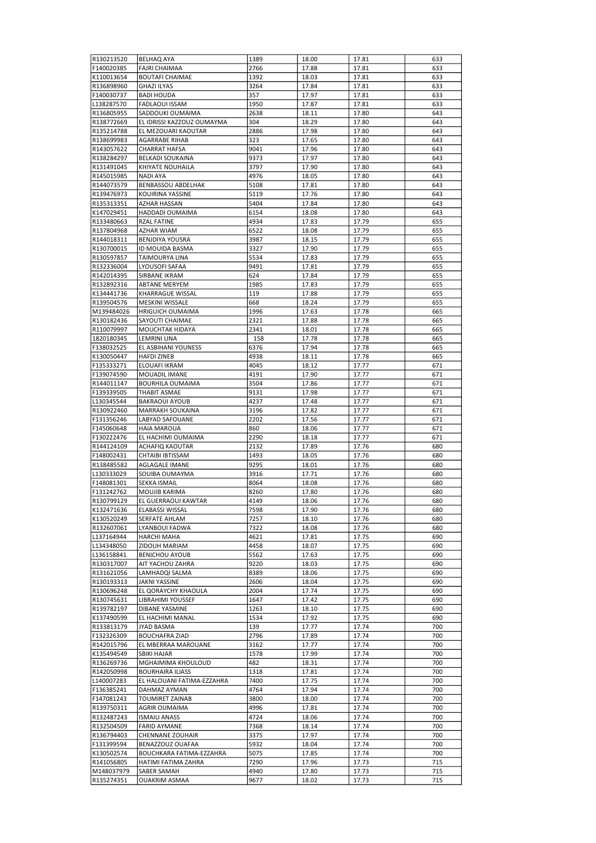| R130213520 | <b>BELHAQ AYA</b>          | 1389 | 18.00 | 17.81 | 633 |
|------------|----------------------------|------|-------|-------|-----|
| F140020385 | <b>FAJRI CHAIMAA</b>       | 2766 | 17.88 | 17.81 | 633 |
| K110013654 | <b>BOUTAFI CHAIMAE</b>     | 1392 | 18.03 | 17.81 | 633 |
| R136898960 | <b>GHAZI ILYAS</b>         | 3264 | 17.84 | 17.81 | 633 |
| F140030737 | <b>BADI HOUDA</b>          | 357  | 17.97 | 17.81 | 633 |
| L138287570 | <b>FADLAOUI ISSAM</b>      | 1950 | 17.87 | 17.81 | 633 |
| R136805955 | SADDOUKI OUMAIMA           | 2638 | 18.11 | 17.80 | 643 |
|            | EL IDRISSI KAZZOUZ OUMAYMA |      |       |       |     |
| R138772669 |                            | 304  | 18.29 | 17.80 | 643 |
| R135214788 | EL MEZOUARI KAOUTAR        | 2886 | 17.98 | 17.80 | 643 |
| R138699983 | AGARRABE RIHAB             | 323  | 17.65 | 17.80 | 643 |
| R143057622 | <b>CHARRAT HAFSA</b>       | 9041 | 17.96 | 17.80 | 643 |
| R138284297 | <b>BELKADI SOUKAINA</b>    | 9373 | 17.97 | 17.80 | 643 |
| R131491045 | KHIYATE NOUHAILA           | 3797 | 17.90 | 17.80 | 643 |
| R145015985 | <b>NADI AYA</b>            | 4976 | 18.05 | 17.80 | 643 |
| R144073579 | BENBASSOU ABDELHAK         | 5108 | 17.81 | 17.80 | 643 |
| R139476973 | <b>KOUIRINA YASSINE</b>    | 5119 | 17.76 | 17.80 | 643 |
| R135313351 | <b>AZHAR HASSAN</b>        | 5404 | 17.84 | 17.80 | 643 |
| K147029451 | HADDADI OUMAIMA            | 6154 | 18.08 | 17.80 | 643 |
| R133480663 | <b>RZAL FATINE</b>         | 4934 | 17.83 | 17.79 | 655 |
| R137804968 | <b>AZHAR WIAM</b>          | 6522 | 18.08 | 17.79 | 655 |
| R144018311 | <b>BENJDIYA YOUSRA</b>     | 3987 | 18.15 | 17.79 | 655 |
| R130700015 | ID MOUIDA BASMA            | 3327 | 17.90 | 17.79 | 655 |
| R130597857 | TAIMOURYA LINA             | 5534 | 17.83 | 17.79 | 655 |
| R132336004 | LYOUSOFI SAFAA             | 9491 | 17.81 | 17.79 | 655 |
| R142014395 | SIRBANE IKRAM              | 624  | 17.84 | 17.79 | 655 |
|            |                            |      |       |       |     |
| R132892316 | <b>ABTANE MERYEM</b>       | 1985 | 17.83 | 17.79 | 655 |
| K134441736 | KHARRAGUE WISSAL           | 119  | 17.88 | 17.79 | 655 |
| R139504576 | <b>MESKINI WISSALE</b>     | 668  | 18.24 | 17.79 | 655 |
| M139484026 | <b>HRIGUICH OUMAIMA</b>    | 1996 | 17.63 | 17.78 | 665 |
| R130182436 | SAYOUTI CHAIMAE            | 2321 | 17.88 | 17.78 | 665 |
| R110079997 | MOUCHTAK HIDAYA            | 2341 | 18.01 | 17.78 | 665 |
| 1820180345 | <b>LEMRINI LINA</b>        | 158  | 17.78 | 17.78 | 665 |
| F138032525 | EL ASBIHANI YOUNESS        | 6376 | 17.94 | 17.78 | 665 |
| K130050447 | <b>HAFDI ZINEB</b>         | 4938 | 18.11 | 17.78 | 665 |
| F135333271 | ELOUAFI IKRAM              | 4045 | 18.12 | 17.77 | 671 |
| F139074590 | MOUADIL IMANE              | 4191 | 17.90 | 17.77 | 671 |
| R144011147 | <b>BOURHILA OUMAIMA</b>    | 3504 | 17.86 | 17.77 | 671 |
| F139339505 | <b>THABIT ASMAE</b>        | 9131 | 17.98 | 17.77 | 671 |
| L130345544 | <b>BAKRAOUI AYOUB</b>      | 4237 | 17.48 | 17.77 | 671 |
| R130922460 | MARRAKH SOUKAINA           | 3196 | 17.82 | 17.77 | 671 |
| F131356246 | LABYAD SAFOUANE            | 2202 | 17.56 | 17.77 | 671 |
| F145060648 | <b>HAIA MAROUA</b>         | 860  | 18.06 | 17.77 | 671 |
| F130222476 | EL HACHIMI OUMAIMA         | 2290 | 18.18 | 17.77 | 671 |
| R144124109 | ACHAFIQ KAOUTAR            | 2132 | 17.89 | 17.76 | 680 |
| F148002431 | CHTAIBI IBTISSAM           | 1493 | 18.05 | 17.76 | 680 |
| R138485582 |                            | 9295 |       | 17.76 | 680 |
|            | <b>AGLAGALE IMANE</b>      |      | 18.01 |       |     |
| L130333029 | SOUIBA OUMAYMA             | 3916 | 17.71 | 17.76 | 680 |
| F148081301 | <b>SEKKA ISMAIL</b>        | 8064 | 18.08 | 17.76 | 680 |
| F131242762 | MOUJIB KARIMA              | 8260 | 17.80 | 17.76 | 680 |
| R130799129 | EL GUERRAOUI KAWTAR        | 4149 | 18.06 | 17.76 | 680 |
| K132471636 | <b>ELABASSI WISSAL</b>     | 7598 | 17.90 | 17.76 | 680 |
| K130520249 | SERFATE AHLAM              | 7257 | 18.10 | 17.76 | 680 |
| R132607061 | LYANBOUI FADWA             | 7322 | 18.08 | 17.76 | 680 |
| L137164944 | <b>HARCHI MAHA</b>         | 4621 | 17.81 | 17.75 | 690 |
| L134348050 | ZIDOUH MARIAM              | 4458 | 18.07 | 17.75 | 690 |
| L136158841 | <b>BENICHOU AYOUB</b>      | 5562 | 17.63 | 17.75 | 690 |
| R130317007 | AIT YACHOU ZAHRA           | 9220 | 18.03 | 17.75 | 690 |
| R131621056 | LAMHADQI SALMA             | 8389 | 18.06 | 17.75 | 690 |
| R130193313 | <b>JAKNI YASSINE</b>       | 2606 | 18.04 | 17.75 | 690 |
| R130696248 | EL QORAYCHY KHAOULA        | 2004 | 17.74 | 17.75 | 690 |
| R130745631 | LIBRAHIMI YOUSSEF          | 1647 | 17.42 | 17.75 | 690 |
| R139782197 | DIBANE YASMINE             | 1263 | 18.10 | 17.75 | 690 |
| K137490599 | EL HACHIMI MANAL           | 1534 | 17.92 | 17.75 | 690 |
| R133813179 | <b>JYAD BASMA</b>          | 139  | 17.77 | 17.74 | 700 |
| F132326309 |                            | 2796 | 17.89 | 17.74 | 700 |
|            | <b>BOUCHAFRA ZIAD</b>      |      |       |       |     |
| R142015796 | EL MBERRAA MAROUANE        | 3162 | 17.77 | 17.74 | 700 |
| K135494549 | SBIKI HAJAR                | 1578 | 17.99 | 17.74 | 700 |
| R136269736 | MGHAIMIMA KHOULOUD         | 482  | 18.31 | 17.74 | 700 |
| R142050998 | <b>BOURHAIRA ILIASS</b>    | 1318 | 17.81 | 17.74 | 700 |
| L140007283 | EL HALOUANI FATIMA-EZZAHRA | 7400 | 17.75 | 17.74 | 700 |
| F136385241 | DAHMAZ AYMAN               | 4764 | 17.94 | 17.74 | 700 |
| F147081243 | <b>TOUMIRET ZAINAB</b>     | 3800 | 18.00 | 17.74 | 700 |
| R139750311 | AGRIR OUMAIMA              | 4996 | 17.81 | 17.74 | 700 |
| R132487243 | <b>ISMAILI ANASS</b>       | 4724 | 18.06 | 17.74 | 700 |
| R132504509 | <b>FARID AYMANE</b>        | 7368 | 18.14 | 17.74 | 700 |
| R136794403 | CHENNANE ZOUHAIR           | 3375 | 17.97 | 17.74 | 700 |
| F131399594 | BENAZZOUZ OUAFAA           | 5932 | 18.04 | 17.74 | 700 |
| K130502574 | BOUCHKARA FATIMA-EZZAHRA   | 5075 | 17.85 | 17.74 | 700 |
| R141056805 | HATIMI FATIMA ZAHRA        | 7290 | 17.96 | 17.73 | 715 |
| M148037979 | SABER SAMAH                | 4940 | 17.80 | 17.73 | 715 |
| R135274351 | <b>OUAKRIM ASMAA</b>       | 9677 | 18.02 | 17.73 | 715 |
|            |                            |      |       |       |     |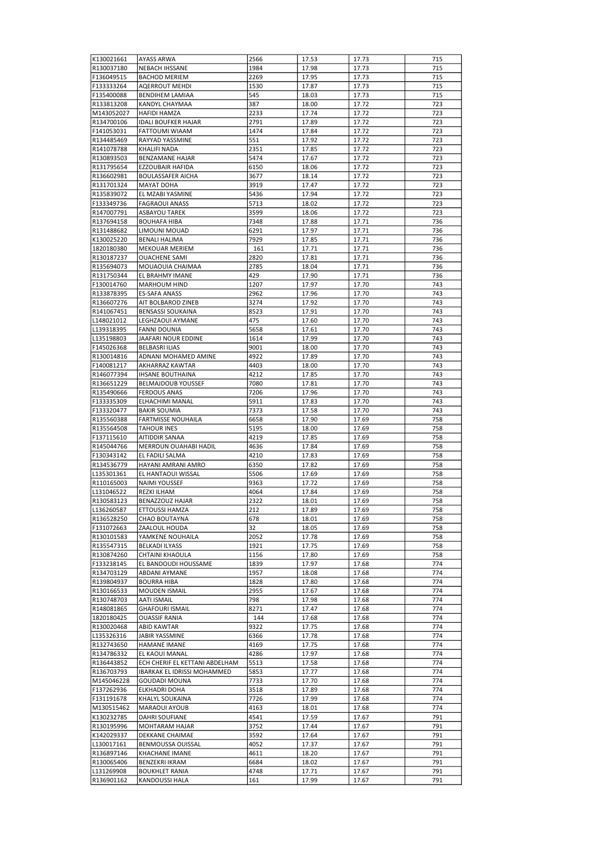| K130021661               | <b>AYASS ARWA</b>                   | 2566         | 17.53          | 17.73          | 715        |
|--------------------------|-------------------------------------|--------------|----------------|----------------|------------|
| R130037180               | <b>NEBACH IHSSANE</b>               | 1984         | 17.98          | 17.73          | 715        |
| F136049515               | <b>BACHOD MERIEM</b>                | 2269         | 17.95          | 17.73          | 715        |
| F133333264               | <b>AQERROUT MEHDI</b>               | 1530         | 17.87          | 17.73          | 715        |
| F135400088               | <b>BENDIHEM LAMIAA</b>              | 545          | 18.03          | 17.73          | 715        |
| R133813208               | KANDYL CHAYMAA                      | 387          | 18.00          | 17.72          | 723        |
| M143052027               | <b>HAFIDI HAMZA</b>                 | 2233         | 17.74          | 17.72          | 723        |
| R134700106               | <b>IDALI BOUFKER HAJAR</b>          | 2791         | 17.89          | 17.72          | 723        |
| F141053031               | FATTOUMI WIAAM                      | 1474         | 17.84          | 17.72          | 723        |
| R134485469               | RAYYAD YASSMINE                     | 551          | 17.92          | 17.72          | 723        |
| R141078788               | <b>KHALIFI NADA</b>                 | 2351         | 17.85          | 17.72          | 723        |
| R130893503               | <b>BENZAMANE HAJAR</b>              | 5474         | 17.67          | 17.72          | 723        |
| R131795654               | EZZOUBAIR HAFIDA                    | 6150         | 18.06          | 17.72          | 723        |
| R136602981               | <b>BOULASSAFER AICHA</b>            | 3677         | 18.14          | 17.72          | 723        |
| R131701324               | MAYAT DOHA                          | 3919         | 17.47          | 17.72          | 723        |
| R135839072               | EL MZABI YASMINE                    | 5436         | 17.94          | 17.72          | 723        |
| F133349736               | <b>FAGRAOUI ANASS</b>               | 5713         | 18.02          | 17.72          | 723        |
| R147007791               | <b>ASBAYOU TAREK</b>                | 3599         | 18.06          | 17.72          | 723        |
| R137694158               | <b>BOUHAFA HIBA</b>                 | 7348         | 17.88          | 17.71          | 736        |
| R131488682               | LIMOUNI MOUAD                       | 6291         | 17.97          | 17.71          | 736        |
| K130025220               | <b>BENALI HALIMA</b>                | 7929         | 17.85          | 17.71          | 736        |
| 1820180380               | <b>MEKOUAR MERIEM</b>               | 161          | 17.71          | 17.71          | 736        |
| R130187237               | <b>OUACHENE SAMI</b>                | 2820         | 17.81          | 17.71          | 736        |
| R135694073               | MOUAOUIA CHAIMAA                    | 2785         | 18.04          | 17.71          | 736        |
| R131750344               | EL BRAHMY IMANE                     | 429          | 17.90          | 17.71          | 736        |
| F130014760               | MARHOUM HIND                        | 1207         | 17.97          | 17.70          | 743        |
| R133878395               | <b>ES-SAFA ANASS</b>                | 2962         | 17.96          | 17.70          | 743        |
| R136607276               | AIT BOLBAROD ZINEB                  | 3274         | 17.92          | 17.70          | 743        |
| R141067451               | <b>BENSASSI SOUKAINA</b>            | 8523         | 17.91          | 17.70          | 743        |
| L148021012               | <b>LEGHZAOUI AYMANE</b>             | 475          | 17.60          | 17.70          | 743        |
| L139318395               | <b>FANNI DOUNIA</b>                 | 5658         | 17.61          | 17.70          | 743        |
| L135198803               | JAAFARI NOUR EDDINE                 | 1614         | 17.99          | 17.70          | 743        |
| F145026368               | <b>BELBASRI ILIAS</b>               | 9001         | 18.00          | 17.70          | 743        |
| R130014816               | ADNANI MOHAMED AMINE                | 4922         | 17.89          | 17.70          | 743        |
| F140081217               | AKHARRAZ KAWTAR                     | 4403         | 18.00          | 17.70          | 743        |
| R146077394               | <b>IHSANE BOUTHAINA</b>             | 4212         | 17.85          | 17.70          | 743        |
| R136651229               | <b>BELMAJDOUB YOUSSEF</b>           | 7080         | 17.81          | 17.70          | 743        |
| R135490666               | <b>FERDOUS ANAS</b>                 | 7206         | 17.96          | 17.70          | 743        |
| F133335309               | ELHACHIMI MANAL                     | 5911         | 17.83          | 17.70          | 743        |
| F133320477               | <b>BAKIR SOUMIA</b>                 | 7373         | 17.58          | 17.70          | 743        |
| R135560388               | <b>FARTMISSE NOUHAILA</b>           | 6658         | 17.90          | 17.69          | 758        |
| R135564508               | <b>TAHOUR INES</b>                  | 5195         | 18.00          | 17.69          | 758        |
| F137115610               | AITIDDIR SANAA                      | 4219         | 17.85          | 17.69          | 758        |
| R145044766               | <b>MERROUN OUAHABI HADIL</b>        | 4636         | 17.84          | 17.69          | 758        |
| F130343142               | EL FADILI SALMA                     | 4210         | 17.83          | 17.69          | 758        |
| R134536779               | HAYANI AMRANI AMRO                  | 6350         | 17.82          | 17.69          | 758        |
| L135301361               | EL HANTAOUI WISSAL                  | 5506         | 17.69          | 17.69          | 758        |
| R110165003               | <b>NAIMI YOUSSEF</b>                | 9363         | 17.72          |                | 758        |
| L131046522               | REZKI ILHAM                         | 4064         | 17.84          | 17.69<br>17.69 | 758        |
| R130583123               | <b>BENAZZOUZ HAJAR</b>              | 2322         | 18.01          | 17.69          | 758        |
|                          |                                     | 212          |                |                |            |
| L136260587<br>R136528250 | ETTOUSSI HAMZA                      | 678          | 17.89          | 17.69          | 758<br>758 |
|                          | CHAO BOUTAYNA<br>ZAALOUL HOUDA      | 32           | 18.01          | 17.69          |            |
| F131072663               |                                     |              | 18.05          | 17.69          | 758        |
| R130101583               | YAMKENE NOUHAILA                    | 2052         | 17.78          | 17.69          | 758        |
| R135547315               | <b>BELKADI ILYASS</b>               | 1921         | 17.75          | 17.69          | 758        |
| R130874260               | CHTAINI KHAOULA                     | 1156         | 17.80          | 17.69          | 758        |
| F133238145               | EL BANDOUDI HOUSSAME                | 1839         | 17.97          | 17.68          | 774<br>774 |
| R134703129<br>R139804937 | ABDANI AYMANE<br><b>BOURRA HIBA</b> | 1957<br>1828 | 18.08<br>17.80 | 17.68<br>17.68 | 774        |
|                          | MOUDEN ISMAIL                       |              |                |                | 774        |
| R130166533<br>R130748703 | <b>AATI ISMAIL</b>                  | 2955<br>798  | 17.67<br>17.98 | 17.68<br>17.68 | 774        |
| R148081865               | <b>GHAFOURI ISMAIL</b>              | 8271         | 17.47          | 17.68          | 774        |
| 1820180425               | <b>OUASSIF RANIA</b>                | 144          | 17.68          | 17.68          | 774        |
|                          |                                     |              |                |                | 774        |
| R130020468               | ABID KAWTAR                         | 9322         | 17.75          | 17.68          |            |
| L135326316               | JABIR YASSMINE                      | 6366         | 17.78          | 17.68          | 774        |
| R132743650               | <b>HAMANE IMANE</b>                 | 4169         | 17.75          | 17.68          | 774        |
| R134786332               | EL KAOUI MANAL                      | 4286         | 17.97          | 17.68          | 774        |
| R136443852               | ECH CHERIF EL KETTANI ABDELHAM      | 5513         | 17.58          | 17.68          | 774        |
| R136703793               | IBARKAK EL IDRISSI MOHAMMED         | 5853         | 17.77          | 17.68          | 774        |
| M145046228               | GOUDADI MOUNA                       | 7733         | 17.70          | 17.68          | 774        |
| F137262936               | ELKHADRI DOHA                       | 3518         | 17.89          | 17.68          | 774        |
| F131191678               | KHALYL SOUKAINA                     | 7726         | 17.99          | 17.68          | 774        |
| M130515462               | MARAOUI AYOUB                       | 4163         | 18.01          | 17.68          | 774        |
| K130232785               | DAHRI SOUFIANE                      | 4541         | 17.59          | 17.67          | 791        |
| R130195996               | MOHTARAM HAJAR                      | 3752         | 17.44          | 17.67          | 791        |
| K142029337               | DEKKANE CHAIMAE                     | 3592         | 17.64          | 17.67          | 791        |
| L130017161               | BENMOUSSA OUISSAL                   | 4052         | 17.37          | 17.67          | 791        |
| R136897146               | KHACHANE IMANE                      | 4611         | 18.20          | 17.67          | 791        |
| R130065406               | <b>BENZEKRI IKRAM</b>               | 6684         | 18.02          | 17.67          | 791        |
| L131269908               | <b>BOUKHLET RANIA</b>               | 4748         | 17.71          | 17.67          | 791        |
| R136901162               | KANDOUSSI HALA                      | 161          | 17.99          | 17.67          | 791        |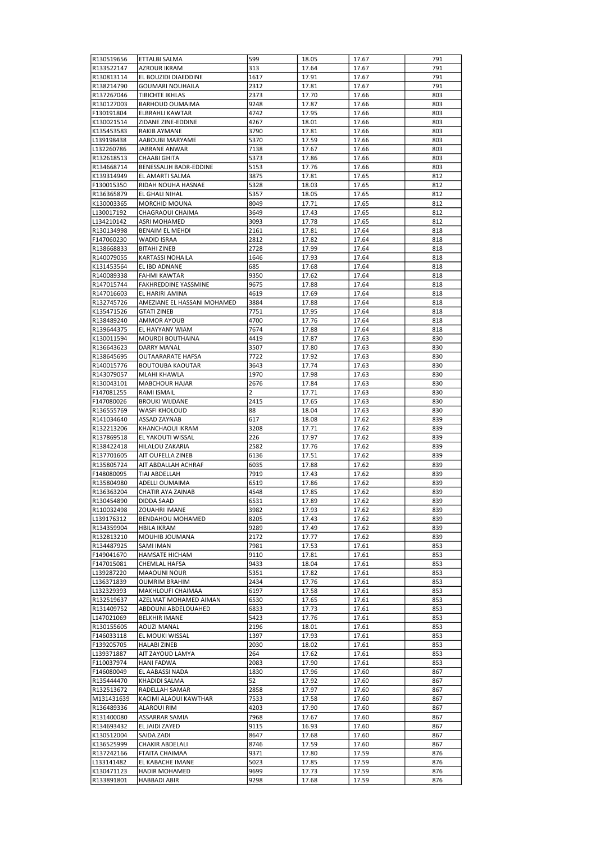| R130519656               | ETTALBI SALMA                         | 599            | 18.05          | 17.67          | 791 |
|--------------------------|---------------------------------------|----------------|----------------|----------------|-----|
| R133522147               | <b>AZROUR IKRAM</b>                   | 313            | 17.64          | 17.67          | 791 |
| R130813114               | EL BOUZIDI DIAEDDINE                  | 1617           | 17.91          | 17.67          | 791 |
| R138214790               | <b>GOUMARI NOUHAILA</b>               | 2312           | 17.81          | 17.67          | 791 |
| R137267046               | TIBICHTE IKHLAS                       | 2373           | 17.70          | 17.66          | 803 |
| R130127003               | <b>BARHOUD OUMAIMA</b>                | 9248           | 17.87          | 17.66          | 803 |
| F130191804               | <b>ELBRAHLI KAWTAR</b>                | 4742           | 17.95          | 17.66          | 803 |
| K130021514               | ZIDANE ZINE-EDDINE                    | 4267           | 18.01          | 17.66          | 803 |
| K135453583               | RAKIB AYMANE                          | 3790           | 17.81          | 17.66          | 803 |
| L139198438               | AABOUBI MARYAME                       | 5370           | 17.59          | 17.66          | 803 |
| L132260786               | JABRANE ANWAR                         | 7138           | 17.67          | 17.66          | 803 |
| R132618513               | <b>CHAABI GHITA</b>                   | 5373           | 17.86          | 17.66          | 803 |
| R134668714               | BENESSALIH BADR-EDDINE                | 5153           | 17.76          | 17.66          | 803 |
| K139314949               | EL AMARTI SALMA                       | 3875           | 17.81          | 17.65          | 812 |
| F130015350               | RIDAH NOUHA HASNAE                    | 5328           | 18.03          | 17.65          | 812 |
| R136365879               | EL GHALI NIHAL                        | 5357           | 18.05          | 17.65          | 812 |
| K130003365               | MORCHID MOUNA                         | 8049           | 17.71          | 17.65          | 812 |
| L130017192               | CHAGRAOUI CHAIMA                      | 3649           | 17.43          | 17.65          | 812 |
| L134210142               | ASRI MOHAMED                          | 3093           | 17.78          | 17.65          | 812 |
| R130134998               | <b>BENAIM EL MEHDI</b>                | 2161           | 17.81          | 17.64          | 818 |
| F147060230               | <b>WADID ISRAA</b>                    | 2812           | 17.82          | 17.64          | 818 |
| R138668833               | <b>BITAHI ZINEB</b>                   | 2728           | 17.99          | 17.64          | 818 |
| R140079055               | KARTASSI NOHAILA                      | 1646           | 17.93          | 17.64          | 818 |
| K131453564               | EL IBD ADNANE                         | 685            | 17.68          | 17.64          | 818 |
| R140089338               | <b>FAHMI KAWTAR</b>                   | 9350           | 17.62          | 17.64          | 818 |
| R147015744               | <b>FAKHREDDINE YASSMINE</b>           | 9675           | 17.88          | 17.64          | 818 |
| R147016603               | EL HARIRI AMINA                       | 4619           | 17.69          | 17.64          | 818 |
| R132745726               | AMEZIANE EL HASSANI MOHAMED           | 3884           | 17.88          | 17.64          | 818 |
| K135471526               | <b>GTATI ZINEB</b>                    | 7751           | 17.95          | 17.64          | 818 |
| R138489240               | <b>AMMOR AYOUB</b>                    | 4700           | 17.76          | 17.64          | 818 |
| R139644375               | EL HAYYANY WIAM                       | 7674           | 17.88          | 17.64          | 818 |
| K130011594               | <b>MOURDI BOUTHAINA</b>               | 4419           | 17.87          | 17.63          | 830 |
| R136643623               | <b>DARRY MANAL</b>                    | 3507           | 17.80          | 17.63          | 830 |
| R138645695               | <b>OUTAARARATE HAFSA</b>              | 7722           | 17.92          | 17.63          | 830 |
| R140015776               | <b>BOUTOUBA KAOUTAR</b>               | 3643           | 17.74          | 17.63          | 830 |
| R143079057               | MLAHI KHAWLA                          | 1970           | 17.98          | 17.63          | 830 |
| R130043101               | <b>MABCHOUR HAJAR</b>                 | 2676           | 17.84          | 17.63          | 830 |
| F147081255               | RAMI ISMAIL                           | $\overline{2}$ | 17.71          | 17.63          | 830 |
| F147080026               | <b>BROUKI WIJDANE</b>                 | 2415           | 17.65          | 17.63          | 830 |
| R136555769               | WASFI KHOLOUD                         | 88             | 18.04          | 17.63          | 830 |
| R141034640               | <b>ASSAD ZAYNAB</b>                   | 617            | 18.08          | 17.62          | 839 |
| R132213206               | KHANCHAOUI IKRAM                      | 3208           | 17.71          | 17.62          | 839 |
| R137869518               | EL YAKOUTI WISSAL                     | 226            | 17.97          | 17.62          | 839 |
| R138422418               | HILALOU ZAKARIA                       | 2582           | 17.76          | 17.62          | 839 |
| R137701605               | AIT OUFELLA ZINEB                     | 6136           | 17.51          | 17.62          | 839 |
| R135805724               | AIT ABDALLAH ACHRAF                   | 6035           | 17.88          | 17.62          | 839 |
| F148080095               | TIAI ABDELLAH                         | 7919           | 17.43          | 17.62          | 839 |
| R135804980               | ADELLI OUMAIMA                        | 6519           | 17.86          | 17.62          | 839 |
| R136363204               | <b>CHATIR AYA ZAINAB</b>              | 4548           | 17.85          | 17.62          | 839 |
| R130454890               | <b>DIDDA SAAD</b>                     | 6531           | 17.89          | 17.62          | 839 |
| R110032498               | ZOUAHRI IMANE                         | 3982           | 17.93          | 17.62          | 839 |
| L139176312               | <b>BENDAHOU MOHAMED</b>               | 8205           | 17.43          | 17.62          | 839 |
| R134359904               | HBILA IKRAM                           | 9289           | 17.49          | 17.62          | 839 |
| R132813210               | MOUHIB JOUMANA                        | 2172           | 17.77          | 17.62          | 839 |
|                          | SAMI IMAN                             |                |                | 17.61          | 853 |
| R134487925<br>F149041670 | HAMSATE HICHAM                        | 7981<br>9110   | 17.53<br>17.81 | 17.61          | 853 |
| F147015081               | CHEMLAL HAFSA                         | 9433           | 18.04          | 17.61          | 853 |
| L139287220               | MAAOUNI NOUR                          | 5351           | 17.82          | 17.61          | 853 |
| L136371839               | <b>OUMRIM BRAHIM</b>                  | 2434           | 17.76          | 17.61          | 853 |
| L132329393               | MAKHLOUFI CHAIMAA                     | 6197           | 17.58          | 17.61          | 853 |
| R132519637               | AZELMAT MOHAMED AIMAN                 | 6530           | 17.65          | 17.61          | 853 |
| R131409752               | ABDOUNI ABDELOUAHED                   | 6833           | 17.73          | 17.61          | 853 |
| L147021069               | <b>BELKHIR IMANE</b>                  | 5423           | 17.76          | 17.61          | 853 |
| R130155605               | AOUZI MANAL                           | 2196           | 18.01          | 17.61          | 853 |
| F146033118               | EL MOUKI WISSAL                       | 1397           | 17.93          | 17.61          | 853 |
| F139205705               | <b>HALABI ZINEB</b>                   | 2030           |                | 17.61          | 853 |
| L139371887               |                                       | 264            | 18.02<br>17.62 | 17.61          | 853 |
| F110037974               | AIT ZAYOUD LAMYA<br><b>HANI FADWA</b> | 2083           | 17.90          | 17.61          | 853 |
| F146080049               | EL AABASSI NADA                       | 1830           | 17.96          | 17.60          | 867 |
| R135444470               | KHADIDI SALMA                         | 52             | 17.92          | 17.60          | 867 |
| R132513672               | RADELLAH SAMAR                        | 2858           | 17.97          | 17.60          | 867 |
| M131431639               | KACIMI ALAOUI KAWTHAR                 | 7533           |                | 17.60          |     |
|                          |                                       |                | 17.58          |                | 867 |
| R136489336<br>R131400080 | <b>ALAROUI RIM</b><br>ASSARRAR SAMIA  | 4203<br>7968   | 17.90<br>17.67 | 17.60<br>17.60 | 867 |
| R134693432               | EL JAIDI ZAYED                        | 9115           |                | 17.60          | 867 |
|                          |                                       |                | 16.93          |                | 867 |
| K130512004               | SAIDA ZADI                            | 8647           | 17.68          | 17.60          | 867 |
| K136525999               | CHAKIR ABDELALI                       | 8746           | 17.59          | 17.60          | 867 |
| R137242166               | FTAITA CHAIMAA                        | 9371           | 17.80          | 17.59          | 876 |
| L133141482               | EL KABACHE IMANE                      | 5023           | 17.85          | 17.59          | 876 |
| K130471123               | HADIR MOHAMED                         | 9699           | 17.73          | 17.59          | 876 |
| R133891801               | <b>HABBADI ABIR</b>                   | 9298           | 17.68          | 17.59          | 876 |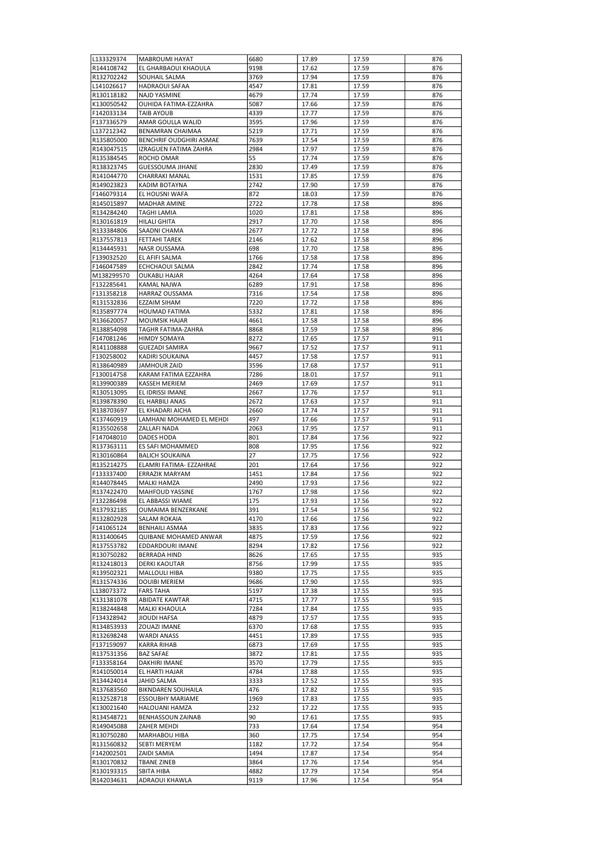| L133329374               | MABROUMI HAYAT               | 6680         | 17.89          | 17.59          | 876        |
|--------------------------|------------------------------|--------------|----------------|----------------|------------|
| R144108742               | EL GHARBAOUI KHAOULA         | 9198         | 17.62          | 17.59          | 876        |
| R132702242               | SOUHAIL SALMA                | 3769         | 17.94          | 17.59          | 876        |
| L141026617               | <b>HADRAOUI SAFAA</b>        | 4547         | 17.81          | 17.59          | 876        |
|                          |                              |              |                |                |            |
| R130118182               | NAJD YASMINE                 | 4679         | 17.74          | 17.59          | 876        |
| K130050542               | OUHIDA FATIMA-EZZAHRA        | 5087         | 17.66          | 17.59          | 876        |
| F142033134               | TAIB AYOUB                   | 4339         | 17.77          | 17.59          | 876        |
| F137336579               | AMAR GOULLA WALID            | 3595         | 17.96          | 17.59          | 876        |
| L137212342               | BENAMRAN CHAIMAA             | 5219         | 17.71          | 17.59          | 876        |
| R135805000               | BENCHRIF OUDGHIRI ASMAE      | 7639         | 17.54          | 17.59          | 876        |
| R143047515               | IZRAGUEN FATIMA ZAHRA        | 2984         | 17.97          | 17.59          | 876        |
| R135384545               | ROCHD OMAR                   | 55           | 17.74          | 17.59          | 876        |
| R138323745               | <b>GUESSOUMA JIHANE</b>      | 2830         | 17.49          | 17.59          | 876        |
| R141044770               | CHARRAKI MANAL               | 1531         | 17.85          | 17.59          | 876        |
| R149023823               | KADIM BOTAYNA                | 2742         | 17.90          | 17.59          | 876        |
|                          |                              |              |                |                |            |
| F146079314               | EL HOUSNI WAFA               | 872          | 18.03          | 17.59          | 876        |
| R145015897               | <b>MADHAR AMINE</b>          | 2722         | 17.78          | 17.58          | 896        |
| R134284240               | TAGHI LAMIA                  | 1020         | 17.81          | 17.58          | 896        |
| R130161819               | HILALI GHITA                 | 2917         | 17.70          | 17.58          | 896        |
| R133384806               | SAADNI CHAMA                 | 2677         | 17.72          | 17.58          | 896        |
| R137557813               | FETTAHI TAREK                | 2146         | 17.62          | 17.58          | 896        |
| R134445931               | NASR OUSSAMA                 | 698          | 17.70          | 17.58          | 896        |
| F139032520               | EL AFIFI SALMA               | 1766         | 17.58          | 17.58          | 896        |
| F146047589               | ECHCHAOUI SALMA              | 2842         | 17.74          | 17.58          | 896        |
| M138299570               | <b>OUKABLI HAJAR</b>         | 4264         | 17.64          | 17.58          | 896        |
| F132285641               | KAMAL NAJWA                  | 6289         | 17.91          |                | 896        |
|                          |                              |              |                | 17.58          |            |
| F131358218               | HARRAZ OUSSAMA               | 7316         | 17.54          | 17.58          | 896        |
| R131532836               | EZZAIM SIHAM                 | 7220         | 17.72          | 17.58          | 896        |
| R135897774               | HOUMAD FATIMA                | 5332         | 17.81          | 17.58          | 896        |
| R136620057               | MOUMSIK HAJAR                | 4661         | 17.58          | 17.58          | 896        |
| R138854098               | TAGHR FATIMA-ZAHRA           | 8868         | 17.59          | 17.58          | 896        |
| F147081246               | <b>HIMDY SOMAYA</b>          | 8272         | 17.65          | 17.57          | 911        |
| R141108888               | <b>GUEZADI SAMIRA</b>        | 9667         | 17.52          | 17.57          | 911        |
| F130258002               | KADIRI SOUKAINA              | 4457         | 17.58          | 17.57          | 911        |
| R138640989               | JAMHOUR ZAID                 | 3596         | 17.68          | 17.57          | 911        |
| F130014758               | KARAM FATIMA EZZAHRA         | 7286         | 18.01          | 17.57          | 911        |
|                          |                              |              |                |                |            |
| R139900389               | KASSEH MERIEM                | 2469         | 17.69          | 17.57          | 911        |
| R130513095               | EL IDRISSI IMANE             | 2667         | 17.76          | 17.57          | 911        |
| R139878390               | EL HARBILI ANAS              | 2672         | 17.63          | 17.57          | 911        |
| R138703697               | EL KHADARI AICHA             | 2660         | 17.74          | 17.57          | 911        |
| K137460919               | LAMHANI MOHAMED EL MEHDI     | 497          | 17.66          | 17.57          | 911        |
| R135502658               | ZALLAFI NADA                 | 2063         | 17.95          | 17.57          | 911        |
| F147048010               | DADES HODA                   | 801          | 17.84          | 17.56          | 922        |
| R137363111               | ES SAFI MOHAMMED             | 808          | 17.95          | 17.56          | 922        |
| R130160864               | <b>BALICH SOUKAINA</b>       | 27           | 17.75          | 17.56          | 922        |
| R135214275               | ELAMRI FATIMA- EZZAHRAE      | 201          | 17.64          | 17.56          | 922        |
| F133337400               | ERRAZIK MARYAM               | 1451         |                |                | 922        |
|                          |                              |              | 17.84          | 17.56          |            |
| R144078445               | <b>MALKI HAMZA</b>           | 2490         | 17.93          | 17.56          | 922        |
| R137422470               | MAHFOUD YASSINE              | 1767         | 17.98          | 17.56          | 922        |
| F132286498               | EL ABBASSI WIAME             | 175          | 17.93          | 17.56          | 922        |
| R137932185               | OUMAIMA BENZERKANE           | 391          | 17.54          | 17.56          | 922        |
| R132802928               | <b>SALAM ROKAIA</b>          | 4170         | 17.66          | 17.56          | 922        |
| F141065124               | BENHAILI ASMAA               | 3835         | 17.83          | 17.56          | 922        |
| R131400645               | QUIBANE MOHAMED ANWAR        | 4875         | 17.59          | 17.56          | 922        |
| R137553782               | EDDARDOURI IMANE             | 8294         | 17.82          | 17.56          | 922        |
| R130750282               | BERRADA HIND                 | 8626         | 17.65          | 17.55          | 935        |
| R132418013               | DERKI KAOUTAR                | 8756         | 17.99          | 17.55          | 935        |
| R139502321               | MALLOULI HIBA                | 9380         | 17.75          | 17.55          | 935        |
| R131574336               | <b>DOUIBI MERIEM</b>         | 9686         | 17.90          | 17.55          | 935        |
|                          |                              |              |                |                | 935        |
| L138073372               | <b>FARS TAHA</b>             | 5197         | 17.38          | 17.55          |            |
| K131381078               | ABIDATE KAWTAR               | 4715         | 17.77          | 17.55          | 935        |
| R138244848               | MALKI KHAOULA                | 7284         | 17.84          | 17.55          | 935        |
| F134328942               | <b>JIOUDI HAFSA</b>          | 4879         | 17.57          | 17.55          | 935        |
| R134853933               | ZOUAZI IMANE                 | 6370         | 17.68          | 17.55          | 935        |
| R132698248               | WARDI ANASS                  | 4451         | 17.89          | 17.55          | 935        |
| F137159097               | KARRA RIHAB                  | 6873         | 17.69          | 17.55          | 935        |
| R137531356               | <b>BAZ SAFAE</b>             | 3872         | 17.81          | 17.55          | 935        |
| F133358164               | DAKHIRI IMANE                | 3570         | 17.79          | 17.55          | 935        |
| R141050014               | EL HARTI HAJAR               | 4784         | 17.88          | 17.55          | 935        |
| R134424014               | JAHID SALMA                  | 3333         | 17.52          | 17.55          | 935        |
|                          |                              |              |                |                |            |
| R137683560               | BIKNDAREN SOUHAILA           | 476          | 17.82          | 17.55          | 935        |
| R132528718               |                              | 1969         | 17.83          | 17.55          | 935        |
| K130021640               | ESSOUBHY MARIAME             |              |                |                |            |
|                          | HALOUANI HAMZA               | 232          | 17.22          | 17.55          | 935        |
| R134548721               | <b>BENHASSOUN ZAINAB</b>     | 90           | 17.61          | 17.55          | 935        |
| R149045088               | ZAHER MEHDI                  | 733          | 17.64          | 17.54          | 954        |
| R130750280               | MARHABOU HIBA                | 360          | 17.75          | 17.54          | 954        |
| R131560832               | SEBTI MERYEM                 | 1182         | 17.72          | 17.54          | 954        |
| F142002501               | ZAIDI SAMIA                  | 1494         | 17.87          | 17.54          | 954        |
|                          |                              |              |                |                | 954        |
| R130170832               | <b>TBANE ZINEB</b>           | 3864         | 17.76          | 17.54          |            |
| R130193315<br>R142034631 | SBITA HIBA<br>ADRAOUI KHAWLA | 4882<br>9119 | 17.79<br>17.96 | 17.54<br>17.54 | 954<br>954 |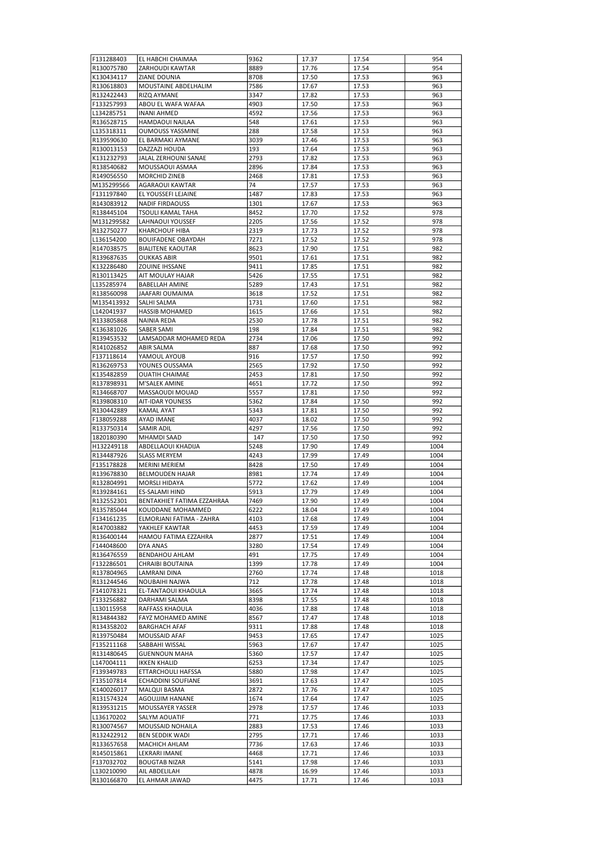| F131288403               | EL HABCHI CHAIMAA               | 9362         | 17.37          | 17.54          | 954          |
|--------------------------|---------------------------------|--------------|----------------|----------------|--------------|
| R130075780               | <b>ZARHOUDI KAWTAR</b>          | 8889         | 17.76          | 17.54          | 954          |
|                          |                                 |              |                |                |              |
| K130434117               | ZIANE DOUNIA                    | 8708         | 17.50          | 17.53          | 963          |
| R130618803               | MOUSTAINE ABDELHALIM            | 7586         | 17.67          | 17.53          | 963          |
| R132422443               | RIZQ AYMANE                     | 3347         | 17.82          | 17.53          | 963          |
| F133257993               | ABOU EL WAFA WAFAA              | 4903         | 17.50          | 17.53          | 963          |
| L134285751               | INANI AHMED                     | 4592         | 17.56          | 17.53          | 963          |
| R136528715               | <b>HAMDAOUI NAJLAA</b>          | 548          | 17.61          | 17.53          | 963          |
|                          |                                 |              |                |                |              |
| L135318311               | <b>OUMOUSS YASSMINE</b>         | 288          | 17.58          | 17.53          | 963          |
| R139590630               | EL BARMAKI AYMANE               | 3039         | 17.46          | 17.53          | 963          |
| R130013153               | DAZZAZI HOUDA                   | 193          | 17.64          | 17.53          | 963          |
| K131232793               | JALAL ZERHOUNI SANAE            | 2793         | 17.82          | 17.53          | 963          |
| R138540682               | MOUSSAOUI ASMAA                 | 2896         | 17.84          | 17.53          | 963          |
| R149056550               | MORCHID ZINEB                   | 2468         | 17.81          | 17.53          | 963          |
|                          |                                 |              |                |                |              |
| M135299566               | AGARAOUI KAWTAR                 | 74           | 17.57          | 17.53          | 963          |
| F131197840               | EL YOUSSEFI LEJAINE             | 1487         | 17.83          | 17.53          | 963          |
| R143083912               | <b>NADIF FIRDAOUSS</b>          | 1301         | 17.67          | 17.53          | 963          |
| R138445104               | <b>TSOULI KAMAL TAHA</b>        | 8452         | 17.70          | 17.52          | 978          |
| M131299582               | LAHNAOUI YOUSSEF                | 2205         | 17.56          | 17.52          | 978          |
| R132750277               | KHARCHOUF HIBA                  | 2319         | 17.73          | 17.52          | 978          |
|                          |                                 |              |                |                |              |
| L136154200               | <b>BOUIFADENE OBAYDAH</b>       | 7271         | 17.52          | 17.52          | 978          |
| R147038575               | <b>BIALITENE KAOUTAR</b>        | 8623         | 17.90          | 17.51          | 982          |
| R139687635               | <b>OUKKAS ABIR</b>              | 9501         | 17.61          | 17.51          | 982          |
| K132286480               | ZOUINE IHSSANE                  | 9411         | 17.85          | 17.51          | 982          |
| R130113425               | AIT MOULAY HAJAR                | 5426         | 17.55          | 17.51          | 982          |
| L135285974               | <b>BABELLAH AMINE</b>           | 5289         | 17.43          | 17.51          | 982          |
| R138560098               | JAAFARI OUMAIMA                 | 3618         | 17.52          | 17.51          | 982          |
|                          |                                 |              |                |                |              |
| M135413932               | SALHI SALMA                     | 1731         | 17.60          | 17.51          | 982          |
| L142041937               | <b>HASSIB MOHAMED</b>           | 1615         | 17.66          | 17.51          | 982          |
| R133805868               | NAINIA REDA                     | 2530         | 17.78          | 17.51          | 982          |
| K136381026               | SABER SAMI                      | 198          | 17.84          | 17.51          | 982          |
| R139453532               | LAMSADDAR MOHAMED REDA          | 2734         | 17.06          | 17.50          | 992          |
| R141026852               | ABIR SALMA                      | 887          | 17.68          | 17.50          | 992          |
| F137118614               | YAMOUL AYOUB                    | 916          | 17.57          | 17.50          | 992          |
|                          |                                 |              |                |                |              |
| R136269753               | YOUNES OUSSAMA                  | 2565         | 17.92          | 17.50          | 992          |
| K135482859               | <b>OUATIH CHAIMAE</b>           | 2453         | 17.81          | 17.50          | 992          |
| R137898931               | M'SALEK AMINE                   | 4651         | 17.72          | 17.50          | 992          |
| R134668707               | MASSAOUDI MOUAD                 | 5557         | 17.81          | 17.50          | 992          |
| R139808310               | <b>AIT-IDAR YOUNESS</b>         | 5362         | 17.84          | 17.50          | 992          |
| R130442889               | KAMAL AYAT                      | 5343         | 17.81          | 17.50          | 992          |
| F138059288               | AYAD IMANE                      | 4037         | 18.02          | 17.50          | 992          |
| R133750314               | SAMIR ADIL                      | 4297         | 17.56          | 17.50          | 992          |
| 1820180390               | MHAMDI SAAD                     | 147          | 17.50          | 17.50          | 992          |
|                          |                                 |              |                |                |              |
| H132249118               | ABDELLAOUI KHADIJA              | 5248         | 17.90          | 17.49          | 1004         |
| R134487926               | <b>SLASS MERYEM</b>             | 4243         | 17.99          | 17.49          | 1004         |
| F135178828               | <b>MERINI MERIEM</b>            | 8428         | 17.50          | 17.49          | 1004         |
| R139678830               | <b>BELMOUDEN HAJAR</b>          | 8981         | 17.74          | 17.49          | 1004         |
|                          | MORSLI HIDAYA                   | 5772         | 17.62          | 17.49          |              |
| R132804991               |                                 |              |                |                | 1004         |
| R139284161               | ES-SALAMI HIND                  | 5913         | 17.79          | 17.49          | 1004         |
|                          |                                 |              |                |                |              |
| R132552301               | BENTAKHIET FATIMA EZZAHRAA      | 7469         | 17.90          | 17.49          | 1004         |
| R135785044               | KOUDDANE MOHAMMED               | 6222         | 18.04          | 17.49          | 1004         |
| F134161235               | ELMORJANI FATIMA - ZAHRA        | 4103         | 17.68          | 17.49          | 1004         |
| R147003882               | YAKHLEF KAWTAR                  | 4453         | 17.59          | 17.49          | 1004         |
| R136400144               | HAMOU FATIMA EZZAHRA            | 2877         | 17.51          | 17.49          | 1004         |
| F144048600               | DYA ANAS                        | 3280         | 17.54          | 17.49          | 1004         |
| R136476559               | <b>BENDAHOU AHLAM</b>           | 491          | 17.75          | 17.49          | 1004         |
| F132286501               | CHRAIBI BOUTAINA                | 1399         | 17.78          | 17.49          | 1004         |
| R137804965               | LAMRANI DINA                    |              |                |                |              |
|                          |                                 | 2760         | 17.74          | 17.48          | 1018         |
| R131244546               | NOUBAIHI NAJWA                  | 712          | 17.78          | 17.48          | 1018         |
| F141078321               | EL-TANTAOUI KHAOULA             | 3665         | 17.74          | 17.48          | 1018         |
| F133256882               | DARHAMI SALMA                   | 8398         | 17.55          | 17.48          | 1018         |
| L130115958               | RAFFASS KHAOULA                 | 4036         | 17.88          | 17.48          | 1018         |
| R134844382               | FAYZ MOHAMED AMINE              | 8567         | 17.47          | 17.48          | 1018         |
| R134358202               | <b>BARGHACH AFAF</b>            | 9311         | 17.88          | 17.48          | 1018         |
| R139750484               | MOUSSAID AFAF                   | 9453         | 17.65          | 17.47          | 1025         |
|                          |                                 |              |                |                |              |
| F135211168               | SABBAHI WISSAL                  | 5963         | 17.67          | 17.47          | 1025         |
| R131480645               | <b>GUENNOUN MAHA</b>            | 5360         | 17.57          | 17.47          | 1025         |
| L147004111               | <b>IKKEN KHALID</b>             | 6253         | 17.34          | 17.47          | 1025         |
| F139349783               | ETTARCHOULI HAFSSA              | 5880         | 17.98          | 17.47          | 1025         |
| F135107814               | ECHADDINI SOUFIANE              | 3691         | 17.63          | 17.47          | 1025         |
| K140026017               | MALQUI BASMA                    | 2872         | 17.76          | 17.47          | 1025         |
| R131574324               | AGOUJJIM HANANE                 | 1674         | 17.64          | 17.47          | 1025         |
| R139531215               | MOUSSAYER YASSER                | 2978         | 17.57          | 17.46          | 1033         |
| L136170202               | SALYM AOUATIF                   | 771          | 17.75          | 17.46          | 1033         |
|                          |                                 |              |                |                |              |
| R130074567               | MOUSSAID NOHAILA                | 2883         | 17.53          | 17.46          | 1033         |
| R132422912               | <b>BEN SEDDIK WADI</b>          | 2795         | 17.71          | 17.46          | 1033         |
| R133657658               | MACHICH AHLAM                   | 7736         | 17.63          | 17.46          | 1033         |
| R145015861               | LEKRARI IMANE                   | 4468         | 17.71          | 17.46          | 1033         |
| F137032702               | <b>BOUGTAB NIZAR</b>            | 5141         | 17.98          | 17.46          | 1033         |
| L130210090<br>R130166870 | AIL ABDELILAH<br>EL AHMAR JAWAD | 4878<br>4475 | 16.99<br>17.71 | 17.46<br>17.46 | 1033<br>1033 |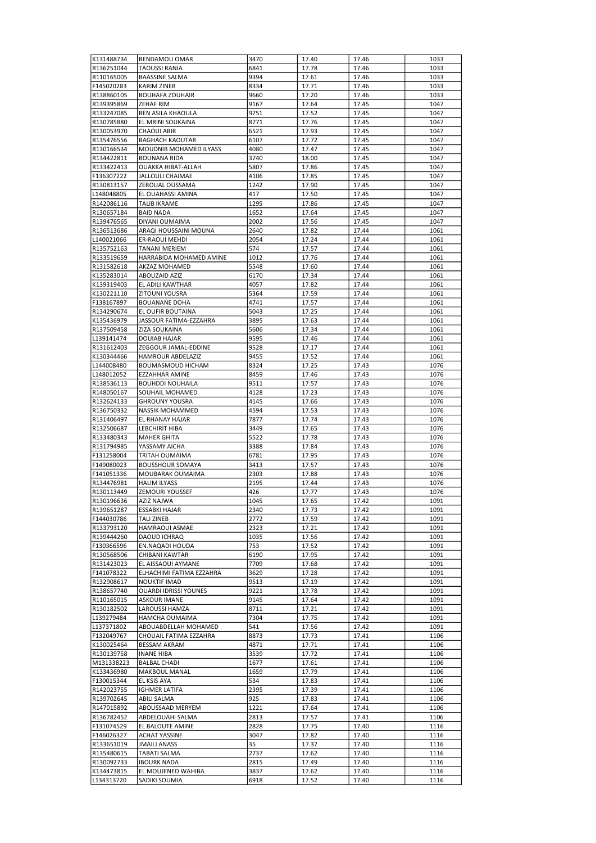| K131488734               | <b>BENDAMOU OMAR</b>                      | 3470         | 17.40          | 17.46          | 1033         |
|--------------------------|-------------------------------------------|--------------|----------------|----------------|--------------|
| R136251044               | <b>TAOUSSI RANIA</b>                      | 6841         | 17.78          | 17.46          | 1033         |
| R110165005               | <b>BAASSINE SALMA</b>                     | 9394         | 17.61          | 17.46          | 1033         |
| F145020283               | <b>KARIM ZINEB</b>                        | 8334         | 17.71          | 17.46          | 1033         |
| R138860105               | <b>BOUHAFA ZOUHAIR</b>                    | 9660         | 17.20          | 17.46          | 1033         |
| R139395869               | ZEHAF RIM                                 | 9167         | 17.64          | 17.45          | 1047         |
| R133247085               | <b>BEN ASILA KHAOULA</b>                  | 9751         | 17.52          | 17.45          | 1047         |
| R130785880               | EL MRINI SOUKAINA                         | 8771         | 17.76          | 17.45          | 1047         |
| R130053970               | <b>CHAOUI ABIR</b>                        | 6521         | 17.93          | 17.45          | 1047         |
| R135476556               | <b>BAGHACH KAOUTAR</b>                    | 6107         | 17.72          | 17.45          | 1047         |
| R130166534               | MOUDNIB MOHAMED ILYASS                    | 4080         | 17.47          | 17.45          | 1047         |
| R134422811<br>R133422413 | <b>BOUNANA RIDA</b><br>OUAKKA HIBAT-ALLAH | 3740<br>5807 | 18.00<br>17.86 | 17.45<br>17.45 | 1047<br>1047 |
| F136307222               | <b>JALLOULI CHAIMAE</b>                   | 4106         | 17.85          | 17.45          | 1047         |
| R130813157               | ZEROUAL OUSSAMA                           | 1242         | 17.90          | 17.45          | 1047         |
| L148048805               | EL OUAHASSI AMINA                         | 417          | 17.50          | 17.45          | 1047         |
| R142086116               | <b>TALIB IKRAME</b>                       | 1295         | 17.86          | 17.45          | 1047         |
| R130657184               | <b>BAID NADA</b>                          | 1652         | 17.64          | 17.45          | 1047         |
| R139476565               | DIYANI OUMAIMA                            | 2002         | 17.56          | 17.45          | 1047         |
| R136513686               | ARAQI HOUSSAINI MOUNA                     | 2640         | 17.82          | 17.44          | 1061         |
| L140021066               | ER-RAOUI MEHDI                            | 2054         | 17.24          | 17.44          | 1061         |
| R135752163               | <b>TANANI MERIEM</b>                      | 574          | 17.57          | 17.44          | 1061         |
| R133519659               | HARRABIDA MOHAMED AMINE                   | 1012         | 17.76          | 17.44          | 1061         |
| R131582618               | AKZAZ MOHAMED                             | 5548         | 17.60          | 17.44          | 1061         |
| K135283014               | <b>ABOUZAID AZIZ</b>                      | 6170         | 17.34          | 17.44          | 1061         |
| K139319403               | EL ADILI KAWTHAR                          | 4057         | 17.82          | 17.44          | 1061         |
| K130221110               | <b>ZITOUNI YOUSRA</b>                     | 5364         | 17.59          | 17.44          | 1061         |
| F138167897               | <b>BOUANANE DOHA</b>                      | 4741         | 17.57          | 17.44          | 1061         |
| R134290674               | EL OUFIR BOUTAINA                         | 5043         | 17.25          | 17.44          | 1061         |
| K135436979               | JASSOUR FATIMA-EZZAHRA                    | 3895         | 17.63          | 17.44          | 1061         |
| R137509458               | <b>ZIZA SOUKAINA</b>                      | 5606         | 17.34          | 17.44          | 1061         |
| L139141474               | <b>DOUIAB HAJAR</b>                       | 9595         | 17.46          | 17.44          | 1061         |
| R131612403               | ZEGGOUR JAMAL-EDDINE                      | 9528         | 17.17          | 17.44          | 1061         |
| K130344466               | <b>HAMROUR ABDELAZIZ</b>                  | 9455         | 17.52          | 17.44          | 1061         |
| L144008480               | <b>BOUMASMOUD HICHAM</b>                  | 8324         | 17.25          | 17.43          | 1076         |
| L148012052               | <b>EZZAHHAR AMINE</b>                     | 8459         | 17.46          | 17.43          | 1076         |
| R138536113               | <b>BOUHDDI NOUHAILA</b>                   | 9511         | 17.57          | 17.43          | 1076         |
| R148050167               | SOUHAIL MOHAMED                           | 4128         | 17.23          | 17.43          | 1076         |
| R132624133               | <b>GHROUNY YOUSRA</b>                     | 4145         | 17.66          | 17.43          | 1076         |
| R136750332               | NASSIK MOHAMMED                           | 4594         | 17.53          | 17.43          | 1076         |
| R131406497               | EL RHANAY HAJAR                           | 7877         | 17.74          | 17.43          | 1076         |
| R132506687               | LEBCHIRIT HIBA                            | 3449         | 17.65          | 17.43          | 1076         |
| R133480343<br>R131794985 | <b>MAHER GHITA</b><br>YASSAMY AICHA       | 5522<br>3388 | 17.78<br>17.84 | 17.43<br>17.43 | 1076<br>1076 |
| F131258004               | <b>TRITAH OUMAIMA</b>                     | 6781         | 17.95          | 17.43          | 1076         |
| F149080023               | <b>BOUSSHOUR SOMAYA</b>                   | 3413         | 17.57          | 17.43          | 1076         |
| F141051336               | MOUBARAK OUMAIMA                          | 2303         | 17.88          | 17.43          | 1076         |
| R134476981               | <b>HALIM ILYASS</b>                       | 2195         | 17.44          | 17.43          | 1076         |
| R130113449               | <b>ZEMOURI YOUSSEF</b>                    | 426          | 17.77          | 17.43          | 1076         |
| R130196636               | <b>AZIZ NAJWA</b>                         | 1045         | 17.65          | 17.42          | 1091         |
| R139651287               | <b>ESSABKI HAJAR</b>                      | 2340         | 17.73          | 17.42          | 1091         |
| F144030786               | <b>TALI ZINEB</b>                         | 2772         | 17.59          | 17.42          | 1091         |
| R133793120               | HAMRAOUI ASMAE                            | 2323         | 17.21          | 17.42          | 1091         |
| R139444260               | DAOUD ICHRAQ                              | 1035         | 17.56          | 17.42          | 1091         |
| F130366596               | EN.NAQADI HOUDA                           | 753          | 17.52          | 17.42          | 1091         |
| R130568506               | CHIBANI KAWTAR                            | 6190         | 17.95          | 17.42          | 1091         |
| R131423023               | EL AISSAOUI AYMANE                        | 7709         | 17.68          | 17.42          | 1091         |
| F141078322               | ELHACHIMI FATIMA EZZAHRA                  | 3629         | 17.28          | 17.42          | 1091         |
| R132908617               | NOUKTIF IMAD                              | 9513         | 17.19          | 17.42          | 1091         |
| R138657740               | <b>OUARDI IDRISSI YOUNES</b>              | 9221         | 17.78          | 17.42          | 1091         |
| R110165015               | <b>ASKOUR IMANE</b>                       | 9145         | 17.64          | 17.42          | 1091         |
| R130182502               | LAROUSSI HAMZA                            | 8711         | 17.21          | 17.42          | 1091         |
| L139279484               | HAMCHA OUMAIMA                            | 7304         | 17.75          | 17.42          | 1091         |
| L137371802               | ABOUABDELLAH MOHAMED                      | 541          | 17.56          | 17.42          | 1091         |
| F132049767               | CHOUAIL FATIMA EZZAHRA                    | 8873         | 17.73          | 17.41          | 1106         |
| K130025464               | BESSAM AKRAM                              | 4871         | 17.71          | 17.41          | 1106         |
| R130139758               | <b>INANE HIBA</b>                         | 3539         | 17.72          | 17.41          | 1106         |
| M131338223               | <b>BALBAL CHADI</b>                       | 1677         | 17.61          | 17.41          | 1106         |
| K133436980               | MAKBOUL MANAL                             | 1659         | 17.79          | 17.41          | 1106         |
| F130015344               | EL KSIS AYA                               | 534          | 17.83          | 17.41          | 1106         |
| R142023755               | <b>IGHMER LATIFA</b>                      | 2395         | 17.39          | 17.41          | 1106         |
| R139702645               | ABILI SALMA                               | 925          | 17.83          | 17.41          | 1106         |
| R147015892               | ABOUSSAAD MERYEM                          | 1221         | 17.64          | 17.41          | 1106         |
| R136782452               | ABDELOUAHI SALMA                          | 2813         | 17.57          | 17.41          | 1106         |
| F131074529               | EL BALOUTE AMINE                          | 2828         | 17.75          | 17.40          | 1116         |
| F146026327               | <b>ACHAT YASSINE</b>                      | 3047         | 17.82          | 17.40          | 1116         |
| R133651019               | <b>JMAILI ANASS</b>                       | 35           | 17.37          | 17.40          | 1116         |
| R135480615               | TABATI SALMA                              | 2737         | 17.62          | 17.40          | 1116         |
| R130092733<br>K134473815 | <b>IBOURK NADA</b><br>EL MOUJENED WAHIBA  | 2815<br>3837 | 17.49<br>17.62 | 17.40<br>17.40 | 1116<br>1116 |
| L134313720               | SADIKI SOUMIA                             | 6918         | 17.52          | 17.40          | 1116         |
|                          |                                           |              |                |                |              |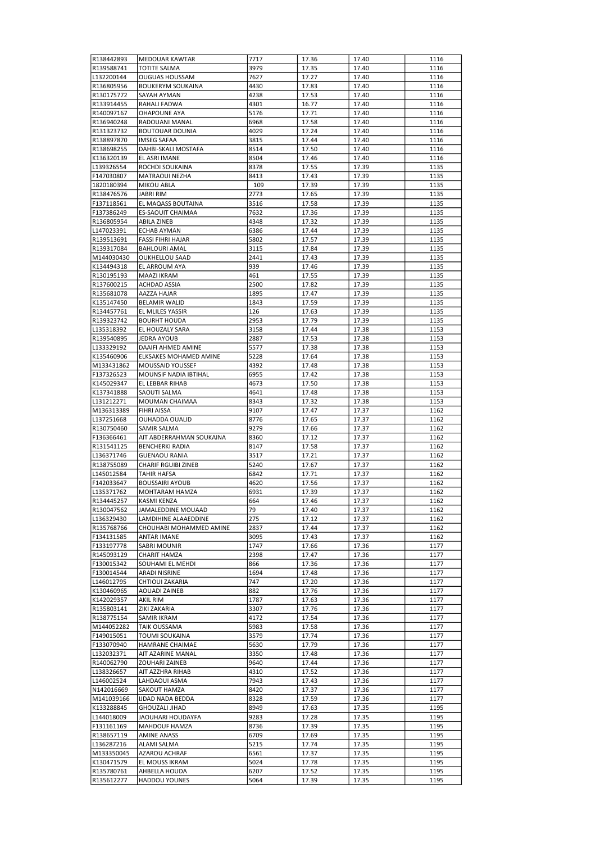| R138442893 | <b>MEDOUAR KAWTAR</b>      | 7717         | 17.36 | 17.40          | 1116         |
|------------|----------------------------|--------------|-------|----------------|--------------|
| R139588741 | <b>TOTITE SALMA</b>        | 3979         | 17.35 | 17.40          | 1116         |
| L132200144 | <b>OUGUAS HOUSSAM</b>      | 7627         | 17.27 | 17.40          | 1116         |
| R136805956 | <b>BOUKERYM SOUKAINA</b>   | 4430         | 17.83 | 17.40          | 1116         |
| R130175772 | SAYAH AYMAN                | 4238         | 17.53 | 17.40          | 1116         |
| R133914455 | RAHALI FADWA               | 4301         | 16.77 | 17.40          | 1116         |
| R140097167 | <b>OHAPOUNE AYA</b>        | 5176         | 17.71 | 17.40          | 1116         |
| R136940248 | RADOUANI MANAL             | 6968         | 17.58 | 17.40          | 1116         |
| R131323732 | <b>BOUTOUAR DOUNIA</b>     | 4029         | 17.24 | 17.40          | 1116         |
| R138897870 | <b>IMSEG SAFAA</b>         | 3815         | 17.44 | 17.40          | 1116         |
| R138698255 | DAHBI-SKALI MOSTAFA        | 8514         | 17.50 | 17.40          | 1116         |
| K136320139 | EL ASRI IMANE              | 8504         | 17.46 | 17.40          | 1116         |
| L139326554 | ROCHDI SOUKAINA            | 8378         | 17.55 | 17.39          | 1135         |
| F147030807 | MATRAOUI NEZHA             | 8413         | 17.43 | 17.39          | 1135         |
| 1820180394 | MIKOU ABLA                 | 109          | 17.39 | 17.39          | 1135         |
| R138476576 | <b>JABRI RIM</b>           | 2773         | 17.65 | 17.39          | 1135         |
| F137118561 | EL MAQASS BOUTAINA         | 3516         | 17.58 | 17.39          | 1135         |
| F137386249 | <b>ES-SAOUIT CHAIMAA</b>   | 7632         | 17.36 | 17.39          | 1135         |
| R136805954 | <b>ABILA ZINEB</b>         | 4348         | 17.32 | 17.39          | 1135         |
| L147023391 | <b>ECHAB AYMAN</b>         | 6386         | 17.44 | 17.39          | 1135         |
| R139513691 | <b>FASSI FIHRI HAJAR</b>   | 5802         | 17.57 | 17.39          | 1135         |
| R139317084 | <b>BAHLOURI AMAL</b>       | 3115         | 17.84 | 17.39          | 1135         |
| M144030430 | <b>OUKHELLOU SAAD</b>      | 2441         | 17.43 | 17.39          | 1135         |
| K134494318 | EL ARROUM AYA              | 939          | 17.46 | 17.39          | 1135         |
| R130195193 | <b>MAAZI IKRAM</b>         | 461          | 17.55 | 17.39          | 1135         |
| R137600215 | <b>ACHDAD ASSIA</b>        | 2500         | 17.82 | 17.39          | 1135         |
| R135681078 | AAZZA HAJAR                | 1895         | 17.47 | 17.39          | 1135         |
| K135147450 | <b>BELAMIR WALID</b>       | 1843         | 17.59 | 17.39          | 1135         |
| R134457761 | EL MLILES YASSIR           | 126          | 17.63 | 17.39          | 1135         |
| R139323742 | <b>BOURHT HOUDA</b>        | 2953         | 17.79 | 17.39          | 1135         |
| L135318392 | EL HOUZALY SARA            | 3158         | 17.44 | 17.38          | 1153         |
| R139540895 | <b>JEDRA AYOUB</b>         | 2887         | 17.53 | 17.38          | 1153         |
| L133329192 | DAAIFI AHMED AMINE         | 5577         | 17.38 | 17.38          | 1153         |
| K135460906 | ELKSAKES MOHAMED AMINE     |              | 17.64 |                |              |
|            | <b>MOUSSAID YOUSSEF</b>    | 5228<br>4392 | 17.48 | 17.38<br>17.38 | 1153<br>1153 |
| M133431862 |                            |              |       |                |              |
| F137326523 | MOUNSIF NADIA IBTIHAL      | 6955         | 17.42 | 17.38          | 1153         |
| K145029347 | EL LEBBAR RIHAB            | 4673         | 17.50 | 17.38          | 1153         |
| K137341888 | SAOUTI SALMA               | 4641         | 17.48 | 17.38          | 1153         |
| L131212271 | MOUMAN CHAIMAA             | 8343         | 17.32 | 17.38          | 1153         |
| M136313389 | <b>FIHRI AISSA</b>         | 9107         | 17.47 | 17.37          | 1162         |
| L137251668 | OUHADDA OUALID             | 8776         | 17.65 | 17.37          | 1162         |
| R130750460 | <b>SAMIR SALMA</b>         | 9279         | 17.66 | 17.37          | 1162         |
| F136366461 | AIT ABDERRAHMAN SOUKAINA   | 8360         | 17.12 | 17.37          | 1162         |
| R131541125 | <b>BENCHERKI RADIA</b>     | 8147         | 17.58 | 17.37          | 1162         |
| L136371746 | <b>GUENAOU RANIA</b>       | 3517         | 17.21 | 17.37          | 1162         |
| R138755089 | <b>CHARIF RGUIBI ZINEB</b> | 5240         | 17.67 | 17.37          | 1162         |
| L145012584 | <b>TAHIR HAFSA</b>         | 6842         | 17.71 | 17.37          | 1162         |
| F142033647 | <b>BOUSSAIRI AYOUB</b>     | 4620         | 17.56 | 17.37          | 1162         |
| L135371762 | <b>MOHTARAM HAMZA</b>      | 6931         | 17.39 | 17.37          | 1162         |
| R134445257 | <b>KASMI KENZA</b>         | 664          | 17.46 | 17.37          | 1162         |
| R130047562 | JAMALEDDINE MOUAAD         | 79           | 17.40 | 17.37          | 1162         |
| L136329430 | LAMDIHINE ALAAEDDINE       | 275          | 17.12 | 17.37          | 1162         |
| R135768766 | CHOUHABI MOHAMMED AMINE    | 2837         | 17.44 | 17.37          | 1162         |
| F134131585 | <b>ANTAR IMANE</b>         | 3095         | 17.43 | 17.37          | 1162         |
| F133197778 | SABRI MOUNIR               | 1747         | 17.66 | 17.36          | 1177         |
| R145093129 | CHARIT HAMZA               | 2398         | 17.47 | 17.36          | 1177         |
| F130015342 | SOUHAMI EL MEHDI           | 866          | 17.36 | 17.36          | 1177         |
| F130014544 | ARADI NISRINE              | 1694         | 17.48 | 17.36          | 1177         |
| L146012795 | CHTIOUI ZAKARIA            | 747          | 17.20 | 17.36          | 1177         |
| K130460965 | <b>AOUADI ZAINEB</b>       | 882          | 17.76 | 17.36          | 1177         |
| K142029357 | <b>AKIL RIM</b>            | 1787         | 17.63 | 17.36          | 1177         |
| R135803141 | ZIKI ZAKARIA               | 3307         | 17.76 | 17.36          | 1177         |
| R138775154 | SAMIR IKRAM                | 4172         | 17.54 | 17.36          | 1177         |
| M144052282 | TAIK OUSSAMA               | 5983         | 17.58 | 17.36          | 1177         |
| F149015051 | TOUMI SOUKAINA             | 3579         | 17.74 | 17.36          | 1177         |
| F133070940 | HAMRANE CHAIMAE            | 5630         | 17.79 | 17.36          | 1177         |
| L132032371 | AIT AZARINE MANAL          | 3350         | 17.48 | 17.36          | 1177         |
| R140062790 | ZOUHARI ZAINEB             | 9640         | 17.44 | 17.36          | 1177         |
| L138326657 | AIT AZZHRA RIHAB           | 4310         | 17.52 | 17.36          | 1177         |
| L146002524 | LAHDAOUI ASMA              | 7943         | 17.43 | 17.36          | 1177         |
| N142016669 | SAKOUT HAMZA               | 8420         | 17.37 | 17.36          | 1177         |
| M141039166 | <b>IJDAD NADA BEDDA</b>    | 8328         | 17.59 | 17.36          | 1177         |
| K133288845 | GHOUZALI JIHAD             | 8949         | 17.63 | 17.35          | 1195         |
| L144018009 | JAOUHARI HOUDAYFA          | 9283         | 17.28 | 17.35          | 1195         |
| F131161169 | MAHDOUF HAMZA              | 8736         | 17.39 | 17.35          | 1195         |
| R138657119 | <b>AMINE ANASS</b>         | 6709         | 17.69 | 17.35          | 1195         |
| L136287216 | ALAMI SALMA                | 5215         | 17.74 | 17.35          | 1195         |
| M133350045 | AZAROU ACHRAF              | 6561         | 17.37 | 17.35          | 1195         |
| K130471579 | EL MOUSS IKRAM             | 5024         | 17.78 | 17.35          | 1195         |
|            |                            |              |       |                |              |
| R135780761 | AHBELLA HOUDA              | 6207         | 17.52 | 17.35          | 1195         |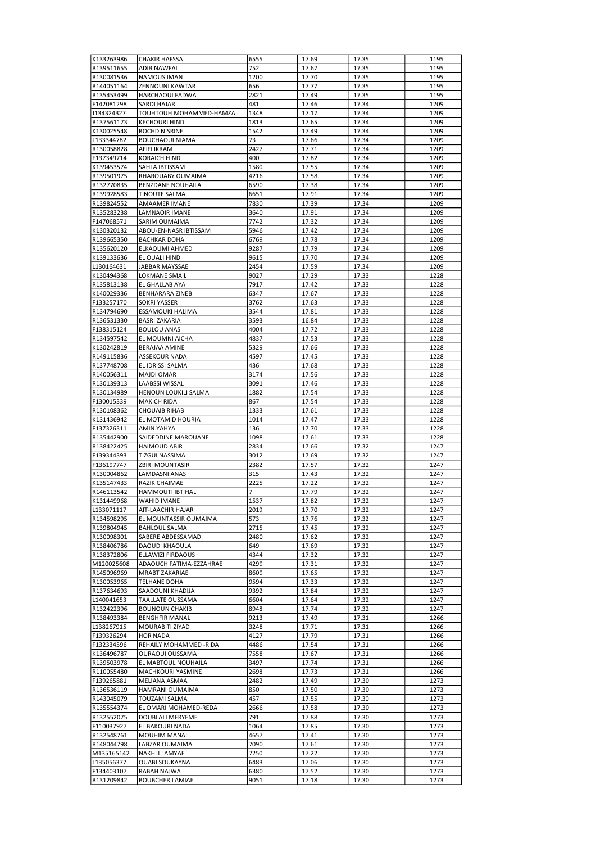| K133263986 | <b>CHAKIR HAFSSA</b>     | 6555 | 17.69 | 17.35 | 1195 |
|------------|--------------------------|------|-------|-------|------|
| R139511655 | <b>ADIB NAWFAL</b>       | 752  | 17.67 | 17.35 | 1195 |
| R130081536 | NAMOUS IMAN              | 1200 | 17.70 | 17.35 | 1195 |
| R144051164 | <b>ZENNOUNI KAWTAR</b>   | 656  | 17.77 | 17.35 | 1195 |
| R135453499 | <b>HARCHAOUI FADWA</b>   | 2821 | 17.49 | 17.35 | 1195 |
| F142081298 | SARDI HAJAR              | 481  | 17.46 | 17.34 | 1209 |
| J134324327 | TOUHTOUH MOHAMMED-HAMZA  | 1348 | 17.17 | 17.34 | 1209 |
|            |                          |      |       |       |      |
| R137561173 | <b>KECHOURI HIND</b>     | 1813 | 17.65 | 17.34 | 1209 |
| K130025548 | ROCHD NISRINE            | 1542 | 17.49 | 17.34 | 1209 |
| L133344782 | <b>BOUCHAOUI NIAMA</b>   | 73   | 17.66 | 17.34 | 1209 |
| R130058828 | AFIFI IKRAM              | 2427 | 17.71 | 17.34 | 1209 |
| F137349714 | <b>KORAICH HIND</b>      | 400  | 17.82 | 17.34 | 1209 |
| K139453574 | SAHLA IBTISSAM           | 1580 | 17.55 | 17.34 | 1209 |
| R139501975 | RHAROUABY OUMAIMA        | 4216 | 17.58 | 17.34 | 1209 |
| R132770835 | <b>BENZDANE NOUHAILA</b> | 6590 | 17.38 | 17.34 | 1209 |
| R139928583 | TINOUTE SALMA            | 6651 | 17.91 | 17.34 | 1209 |
| R139824552 | AMAAMER IMANE            | 7830 | 17.39 | 17.34 | 1209 |
| R135283238 | LAMNAOIR IMANE           | 3640 | 17.91 | 17.34 | 1209 |
| F147068571 | SARIM OUMAIMA            | 7742 | 17.32 | 17.34 | 1209 |
|            |                          |      |       |       |      |
| K130320132 | ABOU-EN-NASR IBTISSAM    | 5946 | 17.42 | 17.34 | 1209 |
| R139665350 | <b>BACHKAR DOHA</b>      | 6769 | 17.78 | 17.34 | 1209 |
| R135620120 | ELKAOUMI AHMED           | 9287 | 17.79 | 17.34 | 1209 |
| K139133636 | EL OUALI HIND            | 9615 | 17.70 | 17.34 | 1209 |
| L130164631 | JABBAR MAYSSAE           | 2454 | 17.59 | 17.34 | 1209 |
| K130494368 | LOKMANE SMAIL            | 9027 | 17.29 | 17.33 | 1228 |
| R135813138 | EL GHALLAB AYA           | 7917 | 17.42 | 17.33 | 1228 |
| K140029336 | <b>BENHARARA ZINEB</b>   | 6347 | 17.67 | 17.33 | 1228 |
| F133257170 | SOKRI YASSER             | 3762 | 17.63 | 17.33 | 1228 |
| R134794690 | ESSAMOUKI HALIMA         | 3544 | 17.81 | 17.33 | 1228 |
| R136531330 | <b>BASRI ZAKARIA</b>     | 3593 | 16.84 | 17.33 | 1228 |
| F138315124 | <b>BOULOU ANAS</b>       | 4004 | 17.72 | 17.33 | 1228 |
| R134597542 | EL MOUMNI AICHA          | 4837 | 17.53 | 17.33 | 1228 |
|            |                          |      |       |       |      |
| K130242819 | BERAJAA AMINE            | 5329 | 17.66 | 17.33 | 1228 |
| R149115836 | <b>ASSEKOUR NADA</b>     | 4597 | 17.45 | 17.33 | 1228 |
| R137748708 | EL IDRISSI SALMA         | 436  | 17.68 | 17.33 | 1228 |
| R140056311 | MAJDI OMAR               | 3174 | 17.56 | 17.33 | 1228 |
| R130139313 | LAABSSI WISSAL           | 3091 | 17.46 | 17.33 | 1228 |
| R130134989 | HENOUN LOUKILI SALMA     | 1882 | 17.54 | 17.33 | 1228 |
| F130015339 | <b>MAKICH RIDA</b>       | 867  | 17.54 | 17.33 | 1228 |
| R130108362 | <b>CHOUAIB RIHAB</b>     | 1333 | 17.61 | 17.33 | 1228 |
| K131436942 | EL MOTAMID HOURIA        | 1014 | 17.47 | 17.33 | 1228 |
| F137326311 | AMIN YAHYA               | 136  | 17.70 | 17.33 | 1228 |
| R135442900 | SAIDEDDINE MAROUANE      | 1098 | 17.61 | 17.33 | 1228 |
|            | <b>HAIMOUD ABIR</b>      | 2834 | 17.66 | 17.32 | 1247 |
| R138422425 |                          |      |       |       |      |
| F139344393 | TIZGUI NASSIMA           | 3012 | 17.69 | 17.32 | 1247 |
| F136197747 | <b>ZBIRI MOUNTASIR</b>   | 2382 | 17.57 | 17.32 | 1247 |
| R130004862 | <b>LAMDASNI ANAS</b>     | 315  | 17.43 | 17.32 | 1247 |
| K135147433 | RAZIK CHAIMAE            | 2225 | 17.22 | 17.32 | 1247 |
| R146113542 | HAMMOUTI IBTIHAL         | 7    | 17.79 | 17.32 | 1247 |
| K131449968 | <b>WAHID IMANE</b>       | 1537 | 17.82 | 17.32 | 1247 |
| L133071117 | AIT-LAACHIR HAJAR        | 2019 | 17.70 | 17.32 | 1247 |
| R134598295 | EL MOUNTASSIR OUMAIMA    | 573  | 17.76 | 17.32 | 1247 |
| R139804945 | <b>BAHLOUL SALMA</b>     | 2715 | 17.45 | 17.32 | 1247 |
| R130098301 | SABERE ABDESSAMAD        | 2480 | 17.62 | 17.32 | 1247 |
| R138406786 | DAOUDI KHAOULA           | 649  | 17.69 | 17.32 | 1247 |
| R138372806 | ELLAWIZI FIRDAOUS        | 4344 | 17.32 | 17.32 | 1247 |
| M120025608 | ADAOUCH FATIMA-EZZAHRAE  | 4299 | 17.31 | 17.32 | 1247 |
| R145096969 |                          |      |       | 17.32 |      |
|            | MRABT ZAKARIAE           | 8609 | 17.65 |       | 1247 |
| R130053965 | <b>TELHANE DOHA</b>      | 9594 | 17.33 | 17.32 | 1247 |
| R137634693 | SAADOUNI KHADIJA         | 9392 | 17.84 | 17.32 | 1247 |
| L140041653 | TAALLATE OUSSAMA         | 6604 | 17.64 | 17.32 | 1247 |
| R132422396 | <b>BOUNOUN CHAKIB</b>    | 8948 | 17.74 | 17.32 | 1247 |
| R138493384 | <b>BENGHFIR MANAL</b>    | 9213 | 17.49 | 17.31 | 1266 |
| L138267915 | MOURABITI ZIYAD          | 3248 | 17.71 | 17.31 | 1266 |
| F139326294 | <b>HOR NADA</b>          | 4127 | 17.79 | 17.31 | 1266 |
| F132334596 | REHAILY MOHAMMED -RIDA   | 4486 | 17.54 | 17.31 | 1266 |
| K136496787 | OURAOUI OUSSAMA          | 7558 | 17.67 | 17.31 | 1266 |
| R139503978 | EL MABTOUL NOUHAILA      | 3497 | 17.74 | 17.31 | 1266 |
| R110055480 | MACHKOURI YASMINE        | 2698 | 17.73 | 17.31 | 1266 |
| F139265881 | MELIANA ASMAA            | 2482 | 17.49 | 17.30 | 1273 |
| R136536119 | HAMRANI OUMAIMA          | 850  | 17.50 | 17.30 | 1273 |
|            | TOUZAMI SALMA            | 457  |       |       |      |
| R143045079 |                          |      | 17.55 | 17.30 | 1273 |
| R135554374 | EL OMARI MOHAMED-REDA    | 2666 | 17.58 | 17.30 | 1273 |
| R132552075 | DOUBLALI MERYEME         | 791  | 17.88 | 17.30 | 1273 |
| F110037927 | EL BAKOURI NADA          | 1064 | 17.85 | 17.30 | 1273 |
| R132548761 | MOUHIM MANAL             | 4657 | 17.41 | 17.30 | 1273 |
| R148044798 | LABZAR OUMAIMA           | 7090 | 17.61 | 17.30 | 1273 |
| M135165142 | NAKHLI LAMYAE            | 7250 | 17.22 | 17.30 | 1273 |
| L135056377 | <b>OUABI SOUKAYNA</b>    | 6483 | 17.06 | 17.30 | 1273 |
| F134403107 | RABAH NAJWA              | 6380 | 17.52 | 17.30 | 1273 |
| R131209842 | <b>BOUBCHER LAMIAE</b>   | 9051 | 17.18 | 17.30 | 1273 |
|            |                          |      |       |       |      |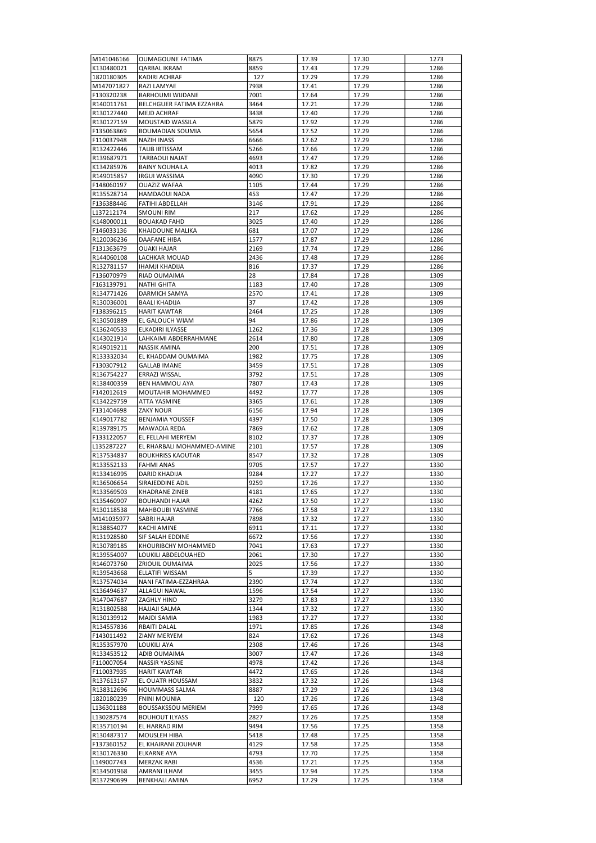| M141046166 | <b>OUMAGOUNE FATIMA</b>    | 8875 | 17.39 | 17.30          | 1273         |
|------------|----------------------------|------|-------|----------------|--------------|
| K130480021 | QARBAL IKRAM               | 8859 | 17.43 | 17.29          | 1286         |
| 1820180305 | <b>KADIRI ACHRAF</b>       | 127  | 17.29 | 17.29          | 1286         |
| M147071827 | RAZI LAMYAE                | 7938 | 17.41 | 17.29          | 1286         |
| F130320238 | BARHOUMI WIJDANE           | 7001 | 17.64 | 17.29          | 1286         |
| R140011761 | BELCHGUER FATIMA EZZAHRA   | 3464 | 17.21 | 17.29          | 1286         |
| R130127440 | <b>MEJD ACHRAF</b>         | 3438 | 17.40 | 17.29          | 1286         |
| R130127159 | <b>MOUSTAID WASSILA</b>    | 5879 | 17.92 | 17.29          | 1286         |
| F135063869 | <b>BOUMADIAN SOUMIA</b>    | 5654 | 17.52 | 17.29          | 1286         |
| F110037948 | <b>NAZIH INASS</b>         | 6666 | 17.62 | 17.29          | 1286         |
| R132422446 | TALIB IBTISSAM             | 5266 | 17.66 | 17.29          | 1286         |
| R139687971 | <b>TARBAOUI NAJAT</b>      | 4693 | 17.47 | 17.29          | 1286         |
| K134285976 | <b>BAINY NOUHAILA</b>      | 4013 | 17.82 | 17.29          | 1286         |
| R149015857 | <b>IRGUI WASSIMA</b>       | 4090 | 17.30 | 17.29          | 1286         |
| F148060197 | <b>OUAZIZ WAFAA</b>        | 1105 | 17.44 | 17.29          | 1286         |
| R135528714 | <b>HAMDAOUI NADA</b>       | 453  | 17.47 | 17.29          | 1286         |
| F136388446 | FATIHI ABDELLAH            | 3146 | 17.91 | 17.29          | 1286         |
| L137212174 | <b>SMOUNI RIM</b>          | 217  | 17.62 | 17.29          | 1286         |
| K148000011 | <b>BOUAKAD FAHD</b>        | 3025 | 17.40 | 17.29          | 1286         |
| F146033136 | <b>KHAIDOUNE MALIKA</b>    | 681  | 17.07 | 17.29          | 1286         |
| R120036236 | DAAFANE HIBA               | 1577 | 17.87 | 17.29          | 1286         |
| F131363679 | <b>OUAKI HAJAR</b>         | 2169 | 17.74 | 17.29          | 1286         |
| R144060108 | LACHKAR MOUAD              | 2436 | 17.48 | 17.29          | 1286         |
| R132781157 | <b>IHAMJI KHADIJA</b>      | 816  | 17.37 |                |              |
| F136070979 | RIAD OUMAIMA               | 28   | 17.84 | 17.29<br>17.28 | 1286<br>1309 |
| F163139791 | <b>NATHI GHITA</b>         |      | 17.40 |                | 1309         |
|            |                            | 1183 |       | 17.28          |              |
| R134771426 | DARMICH SAMYA              | 2570 | 17.41 | 17.28          | 1309         |
| R130036001 | <b>BAALI KHADIJA</b>       | 37   | 17.42 | 17.28          | 1309         |
| F138396215 | <b>HARIT KAWTAR</b>        | 2464 | 17.25 | 17.28          | 1309         |
| R130501889 | EL GALOUCH WIAM            | 94   | 17.86 | 17.28          | 1309         |
| K136240533 | ELKADIRI ILYASSE           | 1262 | 17.36 | 17.28          | 1309         |
| K143021914 | LAHKAIMI ABDERRAHMANE      | 2614 | 17.80 | 17.28          | 1309         |
| R149019211 | <b>NASSIK AMINA</b>        | 200  | 17.51 | 17.28          | 1309         |
| R133332034 | EL KHADDAM OUMAIMA         | 1982 | 17.75 | 17.28          | 1309         |
| F130307912 | <b>GALLAB IMANE</b>        | 3459 | 17.51 | 17.28          | 1309         |
| R136754227 | ERRAZI WISSAL              | 3792 | 17.51 | 17.28          | 1309         |
| R138400359 | <b>BEN HAMMOU AYA</b>      | 7807 | 17.43 | 17.28          | 1309         |
| F142012619 | MOUTAHIR MOHAMMED          | 4492 | 17.77 | 17.28          | 1309         |
| K134229759 | ATTA YASMINE               | 3365 | 17.61 | 17.28          | 1309         |
| F131404698 | <b>ZAKY NOUR</b>           | 6156 | 17.94 | 17.28          | 1309         |
| K149017782 | <b>BENJAMIA YOUSSEF</b>    | 4397 | 17.50 | 17.28          | 1309         |
| R139789175 | <b>MAWADIA REDA</b>        | 7869 | 17.62 | 17.28          | 1309         |
| F133122057 | EL FELLAHI MERYEM          | 8102 | 17.37 | 17.28          | 1309         |
| L135287227 | EL RHARBALI MOHAMMED-AMINE | 2101 | 17.57 | 17.28          | 1309         |
| R137534837 | <b>BOUKHRISS KAOUTAR</b>   | 8547 | 17.32 | 17.28          | 1309         |
| R133552133 | <b>FAHMI ANAS</b>          | 9705 | 17.57 | 17.27          | 1330         |
| R133416995 | DARID KHADIJA              | 9284 | 17.27 | 17.27          | 1330         |
| R136506654 | SIRAJEDDINE ADIL           | 9259 | 17.26 | 17.27          | 1330         |
| R133569503 | <b>KHADRANE ZINEB</b>      | 4181 | 17.65 | 17.27          | 1330         |
| K135460907 | <b>BOUHANDI HAJAR</b>      | 4262 | 17.50 | 17.27          | 1330         |
| R130118538 | MAHBOUBI YASMINE           | 7766 | 17.58 | 17.27          | 1330         |
| M141035977 | SABRI HAJAR                | 7898 | 17.32 | 17.27          | 1330         |
| R138854077 | <b>KACHI AMINE</b>         | 6911 | 17.11 | 17.27          | 1330         |
| R131928580 | SIF SALAH EDDINE           | 6672 | 17.56 | 17.27          | 1330         |
| R130789185 | KHOURIBCHY MOHAMMED        | 7041 | 17.63 | 17.27          | 1330         |
| R139554007 | LOUKILI ABDELOUAHED        | 2061 | 17.30 | 17.27          | 1330         |
| R146073760 | ZRIOUIL OUMAIMA            | 2025 | 17.56 | 17.27          | 1330         |
| R139543668 | ELLATIFI WISSAM            | 5    | 17.39 | 17.27          | 1330         |
| R137574034 | NANI FATIMA-EZZAHRAA       | 2390 | 17.74 | 17.27          | 1330         |
| K136494637 | ALLAGUI NAWAL              | 1596 | 17.54 | 17.27          | 1330         |
| R147047687 | ZAGHLY HIND                | 3279 | 17.83 | 17.27          | 1330         |
| R131802588 | HAJJAJI SALMA              | 1344 | 17.32 | 17.27          | 1330         |
| R130139912 | MAJDI SAMIA                | 1983 | 17.27 | 17.27          | 1330         |
| R134557836 | RBAITI DALAL               | 1971 | 17.85 | 17.26          | 1348         |
|            |                            | 824  |       |                |              |
| F143011492 | ZIANY MERYEM               |      | 17.62 | 17.26          | 1348         |
| R135357970 | LOUKILI AYA                | 2308 | 17.46 | 17.26          | 1348         |
| R133453512 | ADIB OUMAIMA               | 3007 | 17.47 | 17.26          | 1348         |
| F110007054 | NASSIR YASSINE             | 4978 | 17.42 | 17.26          | 1348         |
| F110037935 | <b>HARIT KAWTAR</b>        | 4472 | 17.65 | 17.26          | 1348         |
| R137613167 | EL OUATR HOUSSAM           | 3832 | 17.32 | 17.26          | 1348         |
| R138312696 | <b>HOUMMASS SALMA</b>      | 8887 | 17.29 | 17.26          | 1348         |
| 1820180239 | FNINI MOUNIA               | 120  | 17.26 | 17.26          | 1348         |
| L136301188 | <b>BOUSSAKSSOU MERIEM</b>  | 7999 | 17.65 | 17.26          | 1348         |
| L130287574 | <b>BOUHOUT ILYASS</b>      | 2827 | 17.26 | 17.25          | 1358         |
| R135710194 | EL HARRAD RIM              | 9494 | 17.56 | 17.25          | 1358         |
| R130487317 | MOUSLEH HIBA               | 5418 | 17.48 | 17.25          | 1358         |
| F137360152 | EL KHAIRANI ZOUHAIR        | 4129 | 17.58 | 17.25          | 1358         |
| R130176330 | <b>ELKARNE AYA</b>         | 4793 | 17.70 | 17.25          | 1358         |
| L149007743 | <b>MERZAK RABI</b>         | 4536 | 17.21 | 17.25          | 1358         |
| R134501968 | AMRANI ILHAM               | 3455 | 17.94 | 17.25          | 1358         |
| R137290699 | <b>BENKHALI AMINA</b>      | 6952 | 17.29 | 17.25          | 1358         |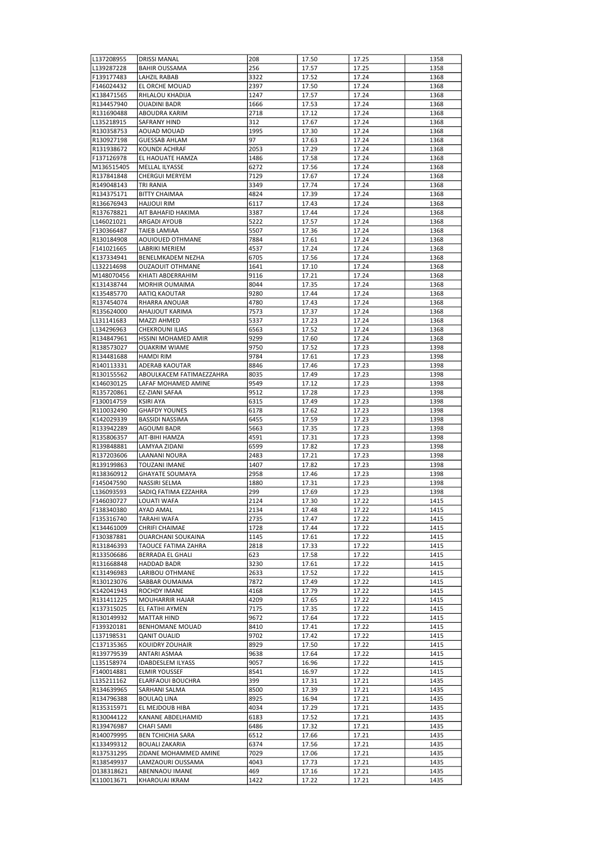| L137208955               | <b>DRISSI MANAL</b>                       | 208          | 17.50          | 17.25          | 1358         |
|--------------------------|-------------------------------------------|--------------|----------------|----------------|--------------|
| L139287228               | <b>BAHIR OUSSAMA</b>                      | 256          | 17.57          | 17.25          | 1358         |
| F139177483               | LAHZIL RABAB                              | 3322         | 17.52          | 17.24          | 1368         |
| F146024432<br>K138471565 | EL ORCHE MOUAD<br>RHLALOU KHADIJA         | 2397<br>1247 | 17.50<br>17.57 | 17.24<br>17.24 | 1368<br>1368 |
| R134457940               | <b>OUADINI BADR</b>                       | 1666         | 17.53          | 17.24          | 1368         |
| R131690488               | ABOUDRA KARIM                             | 2718         | 17.12          | 17.24          | 1368         |
| L135218915               | <b>SAFRANY HIND</b>                       | 312          | 17.67          | 17.24          | 1368         |
| R130358753               | AOUAD MOUAD                               | 1995         | 17.30          | 17.24          | 1368         |
| R130927198               | <b>GUESSAB AHLAM</b>                      | 97           | 17.63          | 17.24          | 1368         |
| R131938672               | KOUNDI ACHRAF                             | 2053         | 17.29          | 17.24          | 1368         |
| F137126978               | EL HAOUATE HAMZA                          | 1486         | 17.58          | 17.24          | 1368         |
| M136515405               | <b>MELLAL ILYASSE</b>                     | 6272         | 17.56          | 17.24          | 1368         |
| R137841848               | <b>CHERGUI MERYEM</b>                     | 7129         | 17.67          | 17.24          | 1368         |
| R149048143<br>R134375171 | TRI RANIA<br><b>BITTY CHAIMAA</b>         | 3349<br>4824 | 17.74<br>17.39 | 17.24          | 1368         |
| R136676943               | <b>HAJJOUI RIM</b>                        | 6117         | 17.43          | 17.24<br>17.24 | 1368<br>1368 |
| R137678821               | AIT BAHAFID HAKIMA                        | 3387         | 17.44          | 17.24          | 1368         |
| L146021021               | ARGADI AYOUB                              | 5222         | 17.57          | 17.24          | 1368         |
| F130366487               | TAIEB LAMIAA                              | 5507         | 17.36          | 17.24          | 1368         |
| R130184908               | AOUIOUED OTHMANE                          | 7884         | 17.61          | 17.24          | 1368         |
| F141021665               | LABRIKI MERIEM                            | 4537         | 17.24          | 17.24          | 1368         |
| K137334941               | BENELMKADEM NEZHA                         | 6705         | 17.56          | 17.24          | 1368         |
| L132214698               | <b>OUZAOUIT OTHMANE</b>                   | 1641         | 17.10          | 17.24          | 1368         |
| M148070456               | KHIATI ABDERRAHIM                         | 9116         | 17.21          | 17.24          | 1368         |
| K131438744               | <b>MORHIR OUMAIMA</b>                     | 8044         | 17.35          | 17.24          | 1368         |
| K135485770               | AATIO KAOUTAR                             | 9280         | 17.44          | 17.24          | 1368         |
| R137454074               | RHARRA ANOUAR                             | 4780         | 17.43          | 17.24          | 1368         |
| R135624000               | AHAJJOUT KARIMA                           | 7573         | 17.37          | 17.24          | 1368         |
| L131141683<br>L134296963 | MAZZI AHMED<br><b>CHEKROUNI ILIAS</b>     | 5337<br>6563 | 17.23<br>17.52 | 17.24<br>17.24 | 1368<br>1368 |
| R134847961               | HSSINI MOHAMED AMIR                       | 9299         | 17.60          | 17.24          | 1368         |
| R138573027               | <b>OUAKRIM WIAME</b>                      | 9750         | 17.52          | 17.23          | 1398         |
| R134481688               | <b>HAMDI RIM</b>                          | 9784         | 17.61          | 17.23          | 1398         |
| R140113331               | ADERAB KAOUTAR                            | 8846         | 17.46          | 17.23          | 1398         |
| R130155562               | ABOULKACEM FATIMAEZZAHRA                  | 8035         | 17.49          | 17.23          | 1398         |
| K146030125               | LAFAF MOHAMED AMINE                       | 9549         | 17.12          | 17.23          | 1398         |
| R135720861               | EZ-ZIANI SAFAA                            | 9512         | 17.28          | 17.23          | 1398         |
| F130014759               | <b>KSIRI AYA</b>                          | 6315         | 17.49          | 17.23          | 1398         |
| R110032490               | <b>GHAFDY YOUNES</b>                      | 6178         | 17.62          | 17.23          | 1398         |
| K142029339               | <b>BASSIDI NASSIMA</b>                    | 6455         | 17.59          | 17.23          | 1398         |
| R133942289               | <b>AGOUMI BADR</b>                        | 5663         | 17.35          | 17.23          | 1398         |
| R135806357<br>R139848881 | AIT-BIHI HAMZA<br>LAMYAA ZIDANI           | 4591<br>6599 | 17.31<br>17.82 | 17.23          | 1398<br>1398 |
| R137203606               | LAANANI NOURA                             | 2483         | 17.21          | 17.23<br>17.23 | 1398         |
| R139199863               | <b>TOUZANI IMANE</b>                      | 1407         | 17.82          | 17.23          | 1398         |
| R138360912               | <b>GHAYATE SOUMAYA</b>                    | 2958         | 17.46          | 17.23          | 1398         |
| F145047590               | NASSIRI SELMA                             | 1880         | 17.31          | 17.23          | 1398         |
| L136093593               | SADIQ FATIMA EZZAHRA                      | 299          | 17.69          | 17.23          | 1398         |
| F146030727               | LOUATI WAFA                               | 2124         | 17.30          | 17.22          | 1415         |
| F138340380               | AYAD AMAL                                 | 2134         | 17.48          | 17.22          | 1415         |
| F135316740               | TARAHI WAFA                               | 2735         | 17.47          | 17.22          | 1415         |
| K134461009               | CHRIFI CHAIMAE                            | 1728         | 17.44          | 17.22          | 1415         |
| F130387881               | OUARCHANI SOUKAINA                        | 1145         | 17.61          | 17.22          | 1415         |
| R131846393               | TAOUCE FATIMA ZAHRA                       | 2818         | 17.33          | 17.22          | 1415         |
| R133506686<br>R131668848 | BERRADA EL GHALI<br>HADDAD BADR           | 623<br>3230  | 17.58<br>17.61 | 17.22<br>17.22 | 1415<br>1415 |
| K131496983               | LARIBOU OTHMANE                           | 2633         | 17.52          | 17.22          | 1415         |
| R130123076               | SABBAR OUMAIMA                            | 7872         | 17.49          | 17.22          | 1415         |
| K142041943               | ROCHDY IMANE                              | 4168         | 17.79          | 17.22          | 1415         |
| R131411225               | MOUHARRIR HAJAR                           | 4209         | 17.65          | 17.22          | 1415         |
| K137315025               | EL FATIHI AYMEN                           | 7175         | 17.35          | 17.22          | 1415         |
| R130149932               | MATTAR HIND                               | 9672         | 17.64          | 17.22          | 1415         |
| F139320181               | BENHOMANE MOUAD                           | 8410         | 17.41          | 17.22          | 1415         |
| L137198531               | QANIT OUALID                              | 9702         | 17.42          | 17.22          | 1415         |
| C137135365               | KOUIDRY ZOUHAIR                           | 8929         | 17.50          | 17.22          | 1415         |
| R139779539               | ANTARI ASMAA                              | 9638         | 17.64          | 17.22          | 1415         |
| L135158974               | <b>IDABDESLEM ILYASS</b>                  | 9057         | 16.96          | 17.22          | 1415         |
| F140014881<br>L135211162 | <b>ELMIR YOUSSEF</b><br>ELARFAOUI BOUCHRA | 8541<br>399  | 16.97<br>17.31 | 17.22<br>17.21 | 1415<br>1435 |
| R134639965               | SARHANI SALMA                             | 8500         | 17.39          | 17.21          | 1435         |
| R134796388               | <b>BOULAQ LINA</b>                        | 8925         | 16.94          | 17.21          | 1435         |
| R135315971               | EL MEJDOUB HIBA                           | 4034         | 17.29          | 17.21          | 1435         |
| R130044122               | KANANE ABDELHAMID                         | 6183         | 17.52          | 17.21          | 1435         |
| R139476987               | CHAFI SAMI                                | 6486         | 17.32          | 17.21          | 1435         |
| R140079995               | <b>BEN TCHICHIA SARA</b>                  | 6512         | 17.66          | 17.21          | 1435         |
| K133499312               | <b>BOUALI ZAKARIA</b>                     | 6374         | 17.56          | 17.21          | 1435         |
| R137531295               | ZIDANE MOHAMMED AMINE                     | 7029         | 17.06          | 17.21          | 1435         |
| R138549937               | LAMZAOURI OUSSAMA                         | 4043         | 17.73          | 17.21          | 1435         |
| D138318621               | ABENNAOU IMANE                            | 469          | 17.16          | 17.21          | 1435         |
| K110013671               | KHAROUAI IKRAM                            | 1422         | 17.22          | 17.21          | 1435         |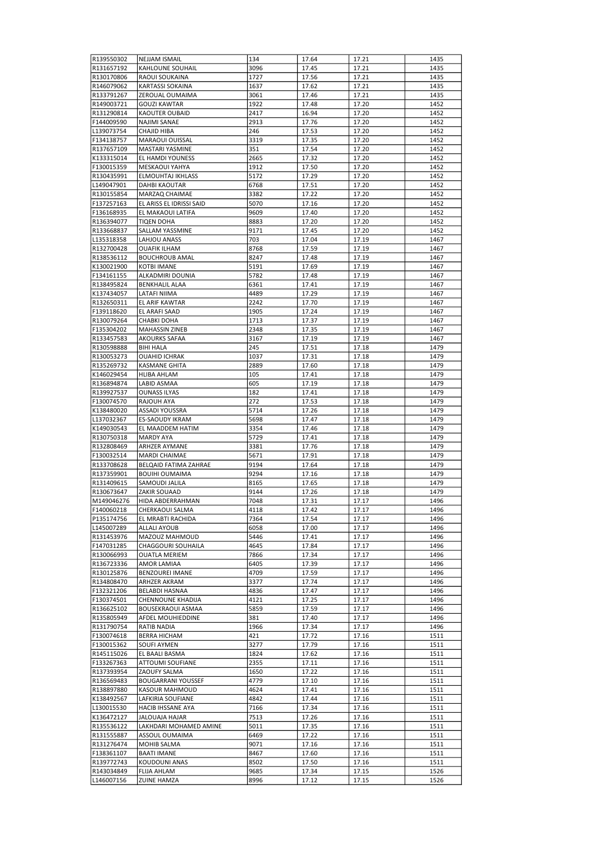| R139550302               | <b>NEJJAM ISMAIL</b>                     | 134          | 17.64          | 17.21          | 1435         |
|--------------------------|------------------------------------------|--------------|----------------|----------------|--------------|
| R131657192               | <b>KAHLOUNE SOUHAIL</b>                  | 3096         | 17.45          | 17.21          | 1435         |
|                          |                                          |              |                |                |              |
| R130170806               | RAOUI SOUKAINA                           | 1727         | 17.56          | 17.21          | 1435         |
| R146079062               | <b>KARTASSI SOKAINA</b>                  | 1637         | 17.62          | 17.21          | 1435         |
| R133791267               | ZEROUAL OUMAIMA                          | 3061         | 17.46          | 17.21          | 1435         |
| R149003721               | <b>GOUZI KAWTAR</b>                      | 1922         | 17.48          | 17.20          | 1452         |
| R131290814               | <b>KAOUTER OUBAID</b>                    | 2417         | 16.94          | 17.20          | 1452         |
|                          |                                          |              |                |                |              |
| F144009590               | NAJIMI SANAE                             | 2913         | 17.76          | 17.20          | 1452         |
| L139073754               | CHAJID HIBA                              | 246          | 17.53          | 17.20          | 1452         |
| F134138757               | MARAOUI OUISSAL                          | 3319         | 17.35          | 17.20          | 1452         |
| R137657109               | MASTARI YASMINE                          | 351          | 17.54          | 17.20          | 1452         |
| K133315014               | EL HAMDI YOUNESS                         | 2665         | 17.32          | 17.20          | 1452         |
|                          |                                          |              |                |                |              |
| F130015359               | MESKAOUI YAHYA                           | 1912         | 17.50          | 17.20          | 1452         |
| R130435991               | <b>ELMOUHTAJ IKHLASS</b>                 | 5172         | 17.29          | 17.20          | 1452         |
| L149047901               | <b>DAHBI KAOUTAR</b>                     | 6768         | 17.51          | 17.20          | 1452         |
| R130155854               | MARZAQ CHAIMAE                           | 3382         | 17.22          | 17.20          | 1452         |
| F137257163               |                                          | 5070         |                | 17.20          | 1452         |
|                          | EL ARISS EL IDRISSI SAID                 |              | 17.16          |                |              |
| F136168935               | EL MAKAOUI LATIFA                        | 9609         | 17.40          | 17.20          | 1452         |
| R136394077               | TIQEN DOHA                               | 8883         | 17.20          | 17.20          | 1452         |
| R133668837               | <b>SALLAM YASSMINE</b>                   | 9171         | 17.45          | 17.20          | 1452         |
| L135318358               | LAHJOU ANASS                             | 703          | 17.04          | 17.19          | 1467         |
|                          |                                          |              |                |                |              |
| R132700428               | <b>OUAFIK ILHAM</b>                      | 8768         | 17.59          | 17.19          | 1467         |
| R138536112               | <b>BOUCHROUB AMAL</b>                    | 8247         | 17.48          | 17.19          | 1467         |
| K130021900               | <b>KOTBI IMANE</b>                       | 5191         | 17.69          | 17.19          | 1467         |
| F134161155               | ALKADMIRI DOUNIA                         | 5782         | 17.48          | 17.19          | 1467         |
| R138495824               | <b>BENKHALIL ALAA</b>                    | 6361         | 17.41          | 17.19          | 1467         |
|                          |                                          |              |                |                |              |
| K137434057               | LATAFI NIIMA                             | 4489         | 17.29          | 17.19          | 1467         |
| R132650311               | EL ARIF KAWTAR                           | 2242         | 17.70          | 17.19          | 1467         |
| F139118620               | EL ARAFI SAAD                            | 1905         | 17.24          | 17.19          | 1467         |
| R130079264               | CHABKI DOHA                              | 1713         | 17.37          | 17.19          | 1467         |
| F135304202               | <b>MAHASSIN ZINEB</b>                    | 2348         | 17.35          | 17.19          | 1467         |
|                          |                                          |              |                |                |              |
| R133457583               | <b>AKOURKS SAFAA</b>                     | 3167         | 17.19          | 17.19          | 1467         |
| R130598888               | <b>BIHI HALA</b>                         | 245          | 17.51          | 17.18          | 1479         |
| R130053273               | OUAHID ICHRAK                            | 1037         | 17.31          | 17.18          | 1479         |
| R135269732               | <b>KASMANE GHITA</b>                     | 2889         | 17.60          | 17.18          | 1479         |
|                          |                                          |              |                |                |              |
| K146029454               | HLIBA AHLAM                              | 105          | 17.41          | 17.18          | 1479         |
| R136894874               | LABID ASMAA                              | 605          | 17.19          | 17.18          | 1479         |
| R139927537               | OUNASS ILYAS                             | 182          | 17.41          | 17.18          | 1479         |
| F130074570               | RAJOUH AYA                               | 272          | 17.53          | 17.18          | 1479         |
| K138480020               | ASSADI YOUSSRA                           | 5714         | 17.26          | 17.18          | 1479         |
|                          |                                          |              |                |                |              |
| L137032367               | ES-SAOUDY IKRAM                          | 5698         | 17.47          | 17.18          | 1479         |
| K149030543               | EL MAADDEM HATIM                         | 3354         | 17.46          | 17.18          | 1479         |
| R130750318               | <b>MARDY AYA</b>                         | 5729         | 17.41          | 17.18          | 1479         |
| R132808469               | <b>ARHZER AYMANE</b>                     | 3381         | 17.76          | 17.18          | 1479         |
| F130032514               |                                          | 5671         |                |                | 1479         |
|                          | MARDI CHAIMAE                            |              | 17.91          | 17.18          |              |
| R133708628               | BELQAID FATIMA ZAHRAE                    | 9194         | 17.64          | 17.18          | 1479         |
| R137359901               | <b>BOUIHI OUMAIMA</b>                    | 9294         | 17.16          | 17.18          | 1479         |
| R131409615               | SAMOUDI JALILA                           | 8165         | 17.65          | 17.18          | 1479         |
| R130673647               | ZAKIR SOUAAD                             | 9144         | 17.26          | 17.18          | 1479         |
|                          |                                          | 7048         |                | 17.17          |              |
|                          | HIDA ABDERRAHMAN                         |              | 17.31          |                |              |
| M149046276               |                                          |              |                |                | 1496         |
| F140060218               | CHERKAOUI SALMA                          | 4118         | 17.42          | 17.17          | 1496         |
| P135174756               | EL MRABTI RACHIDA                        | 7364         | 17.54          | 17.17          | 1496         |
| L145007289               | <b>ALLALI AYOUB</b>                      | 6058         | 17.00          | 17.17          | 1496         |
|                          |                                          |              |                |                |              |
| R131453976               | MAZOUZ MAHMOUD                           | 5446         | 17.41          | 17.17          | 1496         |
| F147031285               | CHAGGOURI SOUHAILA                       | 4645         | 17.84          | 17.17          | 1496         |
| R130066993               | <b>OUATLA MERIEM</b>                     | 7866         | 17.34          | 17.17          | 1496         |
| R136723336               | AMOR LAMIAA                              | 6405         | 17.39          | 17.17          | 1496         |
| R130125876               | <b>BENZOUREI IMANE</b>                   | 4709         | 17.59          | 17.17          | 1496         |
|                          |                                          |              |                |                |              |
| R134808470               | ARHZER AKRAM                             | 3377         | 17.74          | 17.17          | 1496         |
| F132321206               | BELABDI HASNAA                           | 4836         | 17.47          | 17.17          | 1496         |
| F130374501               | CHENNOUNE KHADIJA                        | 4121         | 17.25          | 17.17          | 1496         |
| R136625102               | <b>BOUSEKRAOUI ASMAA</b>                 | 5859         | 17.59          | 17.17          | 1496         |
| R135805949               | AFDEL MOUHIEDDINE                        | 381          | 17.40          | 17.17          | 1496         |
|                          |                                          |              |                |                |              |
| R131790754               | RATIB NADIA                              | 1966         | 17.34          | 17.17          | 1496         |
| F130074618               | <b>BERRA HICHAM</b>                      | 421          | 17.72          | 17.16          | 1511         |
| F130015362               | SOUFI AYMEN                              | 3277         | 17.79          | 17.16          | 1511         |
| R145115026               | EL BAALI BASMA                           | 1824         | 17.62          | 17.16          | 1511         |
| F133267363               | ATTOUMI SOUFIANE                         | 2355         | 17.11          | 17.16          | 1511         |
|                          |                                          |              |                |                |              |
| R137393954               | ZAOUFY SALMA                             | 1650         | 17.22          | 17.16          | 1511         |
| R136569483               | <b>BOUGARRANI YOUSSEF</b>                | 4779         | 17.10          | 17.16          | 1511         |
| R138897880               | <b>KASOUR MAHMOUD</b>                    | 4624         | 17.41          | 17.16          | 1511         |
| K138492567               | LAFKIRIA SOUFIANE                        | 4842         | 17.44          | 17.16          | 1511         |
|                          |                                          |              |                |                |              |
| L130015530               | HACIB IHSSANE AYA                        | 7166         | 17.34          | 17.16          | 1511         |
| K136472127               | JALOUAJA HAJAR                           | 7513         | 17.26          | 17.16          | 1511         |
| R135536122               | LAKHDARI MOHAMED AMINE                   | 5011         | 17.35          | 17.16          | 1511         |
| R131555887               | ASSOUL OUMAIMA                           | 6469         | 17.22          | 17.16          | 1511         |
| R131276474               | MOHIB SALMA                              | 9071         | 17.16          | 17.16          | 1511         |
|                          |                                          |              |                |                |              |
| F138361107               | <b>BAATI IMANE</b>                       | 8467         | 17.60          | 17.16          | 1511         |
| R139772743               | KOUDOUNI ANAS                            | 8502         | 17.50          | 17.16          | 1511         |
| R143034849<br>L146007156 | <b>FLIJA AHLAM</b><br><b>ZUINE HAMZA</b> | 9685<br>8996 | 17.34<br>17.12 | 17.15<br>17.15 | 1526<br>1526 |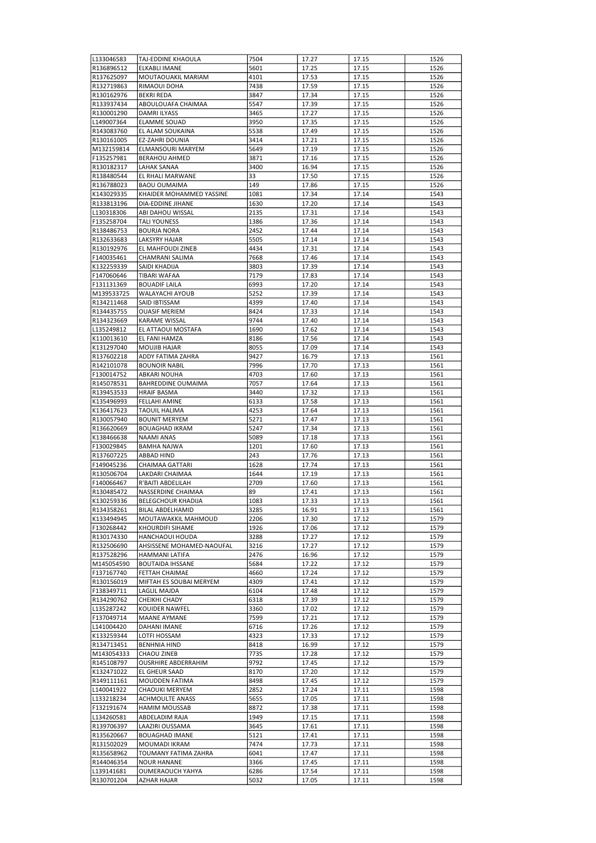| L133046583               | ITAJ-EDDINE KHAOULA                        | 7504         | 17.27          | 17.15          | 1526         |
|--------------------------|--------------------------------------------|--------------|----------------|----------------|--------------|
| R136896512               | <b>ELKABLI IMANE</b>                       | 5601         | 17.25          | 17.15          | 1526         |
| R137625097               | MOUTAOUAKIL MARIAM                         | 4101         | 17.53          | 17.15          | 1526         |
| R132719863               | RIMAOUI DOHA                               | 7438         | 17.59          | 17.15          | 1526         |
| R130162976               | <b>BEKRI REDA</b>                          | 3847         | 17.34          | 17.15          | 1526         |
| R133937434               | ABOULOUAFA CHAIMAA                         | 5547         | 17.39          | 17.15          | 1526         |
| R130001290               | DAMRI ILYASS                               | 3465         | 17.27          | 17.15          | 1526         |
| L149007364               | <b>ELAMME SOUAD</b>                        | 3950         | 17.35          | 17.15          | 1526         |
| R143083760               | EL ALAM SOUKAINA                           | 5538         | 17.49          | 17.15          | 1526         |
| R130161005               | EZ-ZAHRI DOUNIA                            | 3414         | 17.21          | 17.15          | 1526         |
| M132159814               | ELMANSOURI MARYEM                          | 5649         | 17.19          | 17.15          | 1526         |
| F135257981<br>R130182317 | <b>BERAHOU AHMED</b><br><b>LAHAK SANAA</b> | 3871<br>3400 | 17.16<br>16.94 | 17.15<br>17.15 | 1526<br>1526 |
| R138480544               | EL RHALI MARWANE                           | 33           | 17.50          | 17.15          | 1526         |
| R136788023               | <b>BAOU OUMAIMA</b>                        | 149          | 17.86          | 17.15          | 1526         |
| K143029335               | KHAIDER MOHAMMED YASSINE                   | 1081         | 17.34          | 17.14          | 1543         |
| R133813196               | DIA-EDDINE JIHANE                          | 1630         | 17.20          | 17.14          | 1543         |
| L130318306               | ABI DAHOU WISSAL                           | 2135         | 17.31          | 17.14          | 1543         |
| F135258704               | <b>TALI YOUNESS</b>                        | 1386         | 17.36          | 17.14          | 1543         |
| R138486753               | <b>BOURJA NORA</b>                         | 2452         | 17.44          | 17.14          | 1543         |
| R132633683               | LAKSYRY HAJAR                              | 5505         | 17.14          | 17.14          | 1543         |
| R130192976               | EL MAHFOUDI ZINEB                          | 4434         | 17.31          | 17.14          | 1543         |
| F140035461               | <b>CHAMRANI SALIMA</b>                     | 7668         | 17.46          | 17.14          | 1543         |
| K132259339               | SAIDI KHADIJA                              | 3803         | 17.39          | 17.14          | 1543         |
| F147060646               | <b>TIBARI WAFAA</b>                        | 7179         | 17.83          | 17.14          | 1543         |
| F131131369               | <b>BOUADIF LAILA</b>                       | 6993         | 17.20          | 17.14          | 1543         |
| M139533725               | <b>WALAYACHI AYOUB</b>                     | 5252         | 17.39          | 17.14          | 1543         |
| R134211468               | SAID IBTISSAM                              | 4399         | 17.40          | 17.14          | 1543         |
| R134435755               | <b>OUASIF MERIEM</b>                       | 8424         | 17.33          | 17.14          | 1543         |
| R134323669               | <b>KARAME WISSAL</b>                       | 9744         | 17.40          | 17.14          | 1543         |
| L135249812               | EL ATTAOUI MOSTAFA                         | 1690         | 17.62          | 17.14          | 1543         |
| K110013610               | EL FANI HAMZA                              | 8186         | 17.56          | 17.14          | 1543         |
| K131297040               | MOUJIB HAJAR                               | 8055         | 17.09          | 17.14          | 1543         |
| R137602218               | ADDY FATIMA ZAHRA                          | 9427         | 16.79          | 17.13          | 1561         |
| R142101078               | <b>BOUNOIR NABIL</b>                       | 7996         | 17.70          | 17.13          | 1561         |
| F130014752               | ABKARI NOUHA                               | 4703         | 17.60          | 17.13          | 1561         |
| R145078531               | <b>BAHREDDINE OUMAIMA</b>                  | 7057         | 17.64          | 17.13          | 1561         |
| R139453533               | <b>HRAIF BASMA</b>                         | 3440         | 17.32          | 17.13          | 1561         |
| K135496993               | FELLAHI AMINE                              | 6133         | 17.58          | 17.13          | 1561         |
| K136417623               | <b>TAOUIL HALIMA</b>                       | 4253         | 17.64          | 17.13          | 1561         |
| R130057940               | <b>BOUNIT MERYEM</b>                       | 5271         | 17.47          | 17.13          | 1561         |
| R136620669               | <b>BOUAGHAD IKRAM</b>                      | 5247         | 17.34          | 17.13          | 1561         |
| K138466638<br>F130029845 | <b>NAAMI ANAS</b><br><b>BAMHA NAJWA</b>    | 5089<br>1201 | 17.18<br>17.60 | 17.13          | 1561         |
| R137607225               | ABBAD HIND                                 | 243          | 17.76          | 17.13<br>17.13 | 1561<br>1561 |
| F149045236               | CHAIMAA GATTARI                            | 1628         | 17.74          | 17.13          | 1561         |
| R130506704               | LAKDARI CHAIMAA                            | 1644         | 17.19          | 17.13          | 1561         |
| F140066467               | R'BAITI ABDELILAH                          | 2709         | 17.60          | 17.13          | 1561         |
| R130485472               | NASSERDINE CHAIMAA                         | 89           | 17.41          | 17.13          | 1561         |
| K130259336               | <b>BELEGCHOUR KHADIJA</b>                  | 1083         | 17.33          | 17.13          | 1561         |
| R134358261               | <b>BILAL ABDELHAMID</b>                    | 3285         | 16.91          | 17.13          | 1561         |
| K133494945               | MOUTAWAKKIL MAHMOUD                        | 2206         | 17.30          | 17.12          | 1579         |
| F130268442               | KHOURDIFI SIHAME                           | 1926         | 17.06          | 17.12          | 1579         |
| R130174330               | HANCHAOUI HOUDA                            | 3288         | 17.27          | 17.12          | 1579         |
| R132506690               | AHSISSENE MOHAMED-NAOUFAL                  | 3216         | 17.27          | 17.12          | 1579         |
| R137528296               | HAMMANI LATIFA                             | 2476         | 16.96          | 17.12          | 1579         |
| M145054590               | <b>BOUTAIDA IHSSANE</b>                    | 5684         | 17.22          | 17.12          | 1579         |
| F137167740               | FETTAH CHAIMAE                             | 4660         | 17.24          | 17.12          | 1579         |
| R130156019               | MIFTAH ES SOUBAI MERYEM                    | 4309         | 17.41          | 17.12          | 1579         |
| F138349711               | LAGLIL MAJDA                               | 6104         | 17.48          | 17.12          | 1579         |
| R134290762               | CHEIKHI CHADY                              | 6318         | 17.39          | 17.12          | 1579         |
| L135287242               | KOUIDER NAWFEL                             | 3360         | 17.02          | 17.12          | 1579         |
| F137049714               | <b>MAANE AYMANE</b>                        | 7599         | 17.21          | 17.12          | 1579         |
| L141004420               | DAHANI IMANE                               | 6716         | 17.26          | 17.12          | 1579         |
| K133259344               | LOTFI HOSSAM                               | 4323         | 17.33          | 17.12          | 1579         |
| R134713451               | <b>BENHNIA HIND</b>                        | 8418         | 16.99          | 17.12          | 1579         |
| M143054333               | CHAOU ZINEB                                | 7735         | 17.28          | 17.12          | 1579         |
| R145108797               | OUSRHIRE ABDERRAHIM                        | 9792         | 17.45          | 17.12          | 1579         |
| K132471022               | EL GHEUR SAAD                              | 8170         | 17.20          | 17.12          | 1579         |
| R149111161               | MOUDDEN FATIMA                             | 8498         | 17.45          | 17.12          | 1579         |
| L140041922               | CHAOUKI MERYEM                             | 2852         | 17.24          | 17.11          | 1598         |
| L133218234               | ACHMOULTE ANASS                            | 5655         | 17.05          | 17.11          | 1598         |
| F132191674               | HAMIM MOUSSAB                              | 8872         | 17.38          | 17.11          | 1598         |
| L134260581               | ABDELADIM RAJA                             | 1949         | 17.15          | 17.11          | 1598         |
| R139706397               | LAAZIRI OUSSAMA                            | 3645         | 17.61          | 17.11          | 1598         |
| R135620667               | <b>BOUAGHAD IMANE</b>                      | 5121         | 17.41          | 17.11          | 1598         |
| R131502029               | MOUMADI IKRAM                              | 7474         | 17.73          | 17.11          | 1598         |
| R135658962               | TOUMANY FATIMA ZAHRA                       | 6041         | 17.47          | 17.11          | 1598         |
| R144046354<br>L139141681 | <b>NOUR HANANE</b><br>OUMERAOUCH YAHYA     | 3366<br>6286 | 17.45<br>17.54 | 17.11<br>17.11 | 1598<br>1598 |
| R130701204               | AZHAR HAJAR                                | 5032         | 17.05          | 17.11          | 1598         |
|                          |                                            |              |                |                |              |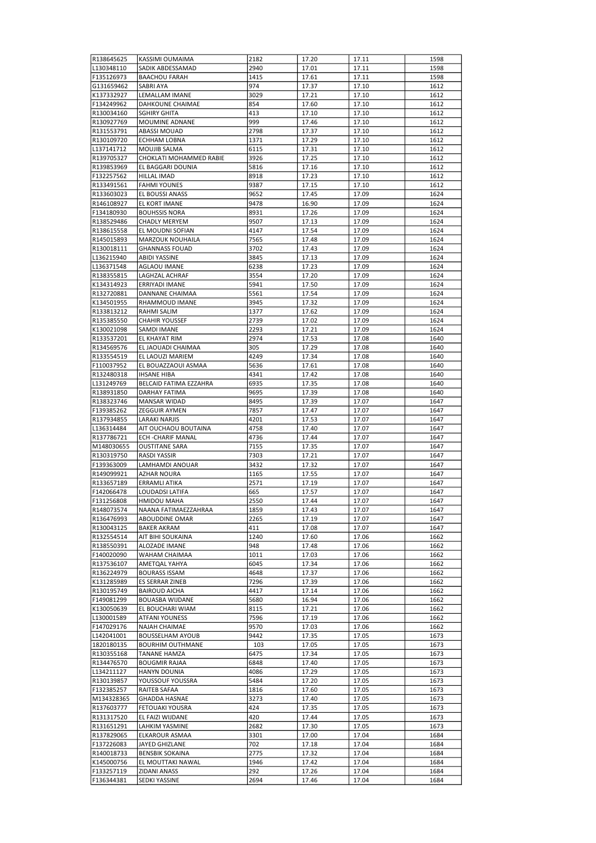| R138645625               | KASSIMI OUMAIMA                           | 2182         | 17.20          | 17.11          | 1598         |
|--------------------------|-------------------------------------------|--------------|----------------|----------------|--------------|
| L130348110               | SADIK ABDESSAMAD                          | 2940         | 17.01          | 17.11          | 1598         |
| F135126973               | <b>BAACHOU FARAH</b>                      | 1415         | 17.61          | 17.11          | 1598         |
| G131659462               | SABRI AYA                                 | 974          | 17.37          | 17.10          | 1612         |
| K137332927               | LEMALLAM IMANE                            | 3029         | 17.21          | 17.10          | 1612         |
| F134249962               | DAHKOUNE CHAIMAE                          | 854          | 17.60          | 17.10          | 1612         |
| R130034160               | <b>SGHIRY GHITA</b>                       | 413          | 17.10          | 17.10          | 1612         |
| R130927769               | MOUMINE ADNANE                            | 999          | 17.46          | 17.10          | 1612         |
| R131553791               | ABASSI MOUAD                              | 2798         | 17.37          | 17.10          | 1612         |
| R130109720               | ECHHAM LOBNA                              | 1371         | 17.29          | 17.10          | 1612         |
| L137141712               | MOUJIB SALMA<br>CHOKLATI MOHAMMED RABIE   | 6115         | 17.31          | 17.10          | 1612         |
| R139705327<br>R139853969 | EL BAGGARI DOUNIA                         | 3926<br>5816 | 17.25<br>17.16 | 17.10<br>17.10 | 1612<br>1612 |
| F132257562               | <b>HILLAL IMAD</b>                        | 8918         | 17.23          | 17.10          | 1612         |
| R133491561               | <b>FAHMI YOUNES</b>                       | 9387         | 17.15          | 17.10          | 1612         |
| R133603023               | EL BOUSSI ANASS                           | 9652         | 17.45          | 17.09          | 1624         |
| R146108927               | EL KORT IMANE                             | 9478         | 16.90          | 17.09          | 1624         |
| F134180930               | <b>BOUHSSIS NORA</b>                      | 8931         | 17.26          | 17.09          | 1624         |
| R138529486               | <b>CHADLY MERYEM</b>                      | 9507         | 17.13          | 17.09          | 1624         |
| R138615558               | EL MOUDNI SOFIAN                          | 4147         | 17.54          | 17.09          | 1624         |
| R145015893               | MARZOUK NOUHAILA                          | 7565         | 17.48          | 17.09          | 1624         |
| R130018111               | <b>GHANNASS FOUAD</b>                     | 3702         | 17.43          | 17.09          | 1624         |
| L136215940               | ABIDI YASSINE                             | 3845         | 17.13          | 17.09          | 1624         |
| L136371548               | <b>AGLAOU IMANE</b>                       | 6238         | 17.23          | 17.09          | 1624         |
| R138355815               | LAGHZAL ACHRAF                            | 3554         | 17.20          | 17.09          | 1624         |
| K134314923               | ERRIYADI IMANE                            | 5941         | 17.50          | 17.09          | 1624         |
| R132720881               | DANNANE CHAIMAA                           | 5561         | 17.54          | 17.09          | 1624         |
| K134501955               | RHAMMOUD IMANE                            | 3945         | 17.32          | 17.09          | 1624         |
| R133813212               | <b>RAHMI SALIM</b>                        | 1377         | 17.62          | 17.09          | 1624         |
| R135385550               | <b>CHAHIR YOUSSEF</b>                     | 2739         | 17.02          | 17.09          | 1624         |
| K130021098               | SAMDI IMANE                               | 2293         | 17.21          | 17.09          | 1624         |
| R133537201               | EL KHAYAT RIM                             | 2974         | 17.53          | 17.08          | 1640         |
| R134569576               | EL JAOUADI CHAIMAA                        | 305          | 17.29          | 17.08          | 1640         |
| R133554519               | EL LAOUZI MARIEM                          | 4249         | 17.34          | 17.08          | 1640         |
| F110037952               | EL BOUAZZAOUI ASMAA                       | 5636         | 17.61          | 17.08          | 1640         |
| R132480318               | <b>IHSANE HIBA</b>                        | 4341         | 17.42          | 17.08          | 1640         |
| L131249769               | BELCAID FATIMA EZZAHRA                    | 6935         | 17.35          | 17.08          | 1640         |
| R138931850               | <b>DARHAY FATIMA</b>                      | 9695         | 17.39          | 17.08          | 1640         |
| R138323746               | <b>MANSAR WIDAD</b>                       | 8495         | 17.39          | 17.07          | 1647         |
| F139385262               | ZEGGUIR AYMEN                             | 7857         | 17.47          | 17.07          | 1647         |
| R137934855               | LARAKI NARJIS                             | 4201         | 17.53          | 17.07          | 1647         |
| L136314484               | AIT OUCHAOU BOUTAINA                      | 4758         | 17.40          | 17.07          | 1647         |
| R137786721<br>M148030655 | ECH-CHARIF MANAL<br><b>OUSTITANE SARA</b> | 4736<br>7155 | 17.44<br>17.35 | 17.07          | 1647<br>1647 |
| R130319750               | RASDI YASSIR                              | 7303         | 17.21          | 17.07<br>17.07 | 1647         |
| F139363009               | <b>LAMHAMDI ANOUAR</b>                    | 3432         | 17.32          | 17.07          | 1647         |
| R149099921               | AZHAR NOURA                               | 1165         | 17.55          | 17.07          | 1647         |
| R133657189               | <b>ERRAMLI ATIKA</b>                      | 2571         | 17.19          | 17.07          | 1647         |
| F142066478               | LOUDADSI LATIFA                           | 665          | 17.57          | 17.07          | 1647         |
| F131256808               | HMIDOU MAHA                               | 2550         | 17.44          | 17.07          | 1647         |
| R148073574               | NAANA FATIMAEZZAHRAA                      | 1859         | 17.43          | 17.07          | 1647         |
| R136476993               | ABOUDDINE OMAR                            | 2265         | 17.19          | 17.07          | 1647         |
| R130043125               | <b>BAKER AKRAM</b>                        | 411          | 17.08          | 17.07          | 1647         |
| R132554514               | AIT BIHI SOUKAINA                         | 1240         | 17.60          | 17.06          | 1662         |
| R138550391               | ALOZADE IMANE                             | 948          | 17.48          | 17.06          | 1662         |
| F140020090               | WAHAM CHAIMAA                             | 1011         | 17.03          | 17.06          | 1662         |
| R137536107               | AMETQAL YAHYA                             | 6045         | 17.34          | 17.06          | 1662         |
| R136224979               | <b>BOURASS ISSAM</b>                      | 4648         | 17.37          | 17.06          | 1662         |
| K131285989               | ES SERRAR ZINEB                           | 7296         | 17.39          | 17.06          | 1662         |
| R130195749               | <b>BAIROUD AICHA</b>                      | 4417         | 17.14          | 17.06          | 1662         |
| F149081299               | <b>BOUASBA WIJDANE</b>                    | 5680         | 16.94          | 17.06          | 1662         |
| K130050639               | EL BOUCHARI WIAM                          | 8115         | 17.21          | 17.06          | 1662         |
| L130001589               | ATFANI YOUNESS                            | 7596         | 17.19          | 17.06          | 1662         |
| F147029176               | NAJAH CHAIMAE                             | 9570         | 17.03          | 17.06          | 1662         |
| L142041001               | <b>BOUSSELHAM AYOUB</b>                   | 9442         | 17.35          | 17.05          | 1673         |
| 1820180135               | <b>BOURHIM OUTHMANE</b>                   | 103          | 17.05          | 17.05          | 1673         |
| R130355168               | TANANE HAMZA                              | 6475         | 17.34          | 17.05          | 1673         |
| R134476570               | <b>BOUGMIR RAJAA</b>                      | 6848         | 17.40          | 17.05          | 1673         |
| L134211127               | HANYN DOUNIA                              | 4086         | 17.29          | 17.05          | 1673         |
| R130139857               | YOUSSOUF YOUSSRA                          | 5484         | 17.20          | 17.05          | 1673         |
| F132385257               | RAITEB SAFAA                              | 1816         | 17.60          | 17.05          | 1673         |
| M134328365               | <b>GHADDA HASNAE</b>                      | 3273         | 17.40          | 17.05          | 1673         |
| R137603777               | FETOUAKI YOUSRA                           | 424          | 17.35          | 17.05          | 1673         |
| R131317520               | EL FAIZI WIJDANE                          | 420          | 17.44          | 17.05          | 1673         |
| R131651291               | LAHKIM YASMINE                            | 2682         | 17.30          | 17.05          | 1673         |
| R137829065<br>F137226083 | ELKAROUR ASMAA<br>JAYED GHIZLANE          | 3301<br>702  | 17.00          | 17.04<br>17.04 | 1684<br>1684 |
| R140018733               | <b>BENSBIK SOKAINA</b>                    | 2775         | 17.18<br>17.32 | 17.04          | 1684         |
| K145000756               | EL MOUTTAKI NAWAL                         | 1946         | 17.42          | 17.04          | 1684         |
| F133257119               | ZIDANI ANASS                              | 292          | 17.26          | 17.04          | 1684         |
| F136344381               | SEDKI YASSINE                             | 2694         | 17.46          | 17.04          | 1684         |
|                          |                                           |              |                |                |              |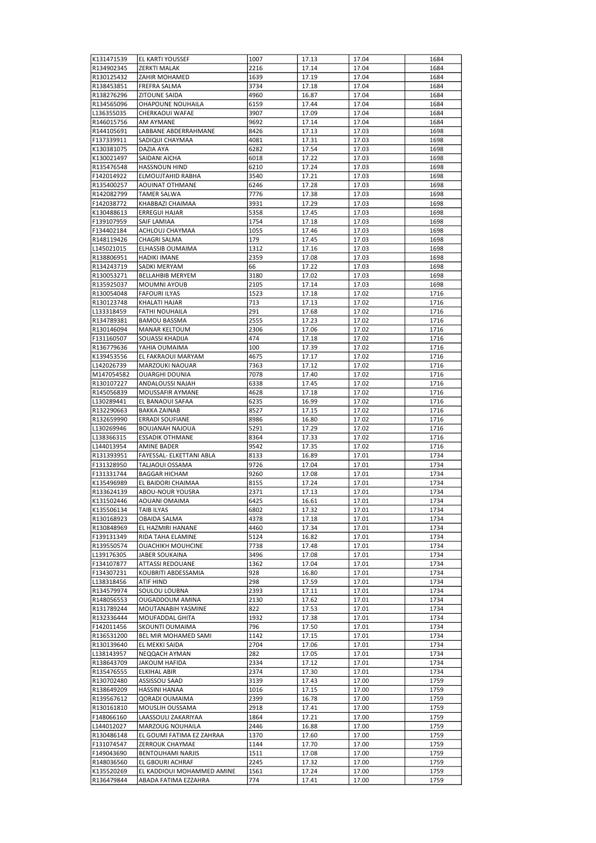| K131471539 | <b>EL KARTI YOUSSEF</b>    | 1007 | 17.13 | 17.04 | 1684 |
|------------|----------------------------|------|-------|-------|------|
| R134902345 | <b>ZERKTI MALAK</b>        | 2216 | 17.14 | 17.04 | 1684 |
| R130125432 | ZAHIR MOHAMED              | 1639 | 17.19 | 17.04 | 1684 |
| R138453851 | <b>FREFRA SALMA</b>        | 3734 | 17.18 | 17.04 | 1684 |
| R138276296 | <b>ZITOUNE SAIDA</b>       | 4960 | 16.87 | 17.04 | 1684 |
| R134565096 | OHAPOUNE NOUHAILA          | 6159 | 17.44 | 17.04 | 1684 |
| L136355035 | CHERKAOUI WAFAE            | 3907 | 17.09 | 17.04 | 1684 |
|            |                            |      |       |       |      |
| R146015756 | AM AYMANE                  | 9692 | 17.14 | 17.04 | 1684 |
| R144105691 | LABBANE ABDERRAHMANE       | 8426 | 17.13 | 17.03 | 1698 |
| F137339911 | SADIQUI CHAYMAA            | 4081 | 17.31 | 17.03 | 1698 |
| K130381075 | DAZIA AYA                  | 6282 | 17.54 | 17.03 | 1698 |
| K130021497 | SAIDANI AICHA              | 6018 | 17.22 | 17.03 | 1698 |
| R135476548 | <b>HASSNOUN HIND</b>       | 6210 | 17.24 | 17.03 | 1698 |
| F142014922 | ELMOUJTAHID RABHA          | 3540 | 17.21 | 17.03 | 1698 |
| R135400257 | <b>AOUINAT OTHMANE</b>     | 6246 | 17.28 | 17.03 | 1698 |
| R142082799 | <b>TAMER SALWA</b>         | 7776 | 17.38 | 17.03 | 1698 |
|            |                            | 3931 | 17.29 |       |      |
| F142038772 | KHABBAZI CHAIMAA           |      |       | 17.03 | 1698 |
| K130488613 | <b>ERREGUI HAJAR</b>       | 5358 | 17.45 | 17.03 | 1698 |
| F139107959 | SAIF LAMIAA                | 1754 | 17.18 | 17.03 | 1698 |
| F134402184 | ACHLOUJ CHAYMAA            | 1055 | 17.46 | 17.03 | 1698 |
| R148119426 | CHAGRI SALMA               | 179  | 17.45 | 17.03 | 1698 |
| L145021015 | ELHASSIB OUMAIMA           | 1312 | 17.16 | 17.03 | 1698 |
| R138806951 | <b>HADIKI IMANE</b>        | 2359 | 17.08 | 17.03 | 1698 |
| R134243719 | SADKI MERYAM               | 66   | 17.22 | 17.03 | 1698 |
| R130053271 | <b>BELLAHBIB MERYEM</b>    | 3180 | 17.02 | 17.03 | 1698 |
| R135925037 | MOUMNI AYOUB               | 2105 | 17.14 | 17.03 | 1698 |
| R130054048 | <b>FAFOURI ILYAS</b>       | 1523 | 17.18 | 17.02 | 1716 |
|            |                            |      |       |       |      |
| R130123748 | KHALATI HAJAR              | 713  | 17.13 | 17.02 | 1716 |
| L133318459 | <b>FATHI NOUHAILA</b>      | 291  | 17.68 | 17.02 | 1716 |
| R134789381 | <b>BAMOU BASSMA</b>        | 2555 | 17.23 | 17.02 | 1716 |
| R130146094 | MANAR KELTOUM              | 2306 | 17.06 | 17.02 | 1716 |
| F131160507 | SOUASSI KHADIJA            | 474  | 17.18 | 17.02 | 1716 |
| R136779636 | YAHIA OUMAIMA              | 100  | 17.39 | 17.02 | 1716 |
| K139453556 | EL FAKRAOUI MARYAM         | 4675 | 17.17 | 17.02 | 1716 |
| L142026739 | MARZOUKI NAOUAR            | 7363 | 17.12 | 17.02 | 1716 |
| M147054582 | <b>OUARGHI DOUNIA</b>      | 7078 | 17.40 | 17.02 | 1716 |
| R130107227 | ANDALOUSSI NAJAH           | 6338 | 17.45 | 17.02 | 1716 |
|            |                            |      |       |       |      |
| R145056839 | MOUSSAFIR AYMANE           | 4628 | 17.18 | 17.02 | 1716 |
| L130289441 | EL BANAOUI SAFAA           | 6235 | 16.99 | 17.02 | 1716 |
| R132290663 | <b>BAKKA ZAINAB</b>        | 8527 | 17.15 | 17.02 | 1716 |
| R132659990 | <b>ERRADI SOUFIANE</b>     | 8986 | 16.80 | 17.02 | 1716 |
| L130269946 | BOUJANAH NAJOUA            | 5291 | 17.29 | 17.02 | 1716 |
| L138366315 | <b>ESSADIK OTHMANE</b>     | 8364 | 17.33 | 17.02 | 1716 |
| L144013954 | <b>AMINE BADER</b>         | 9542 | 17.35 | 17.02 | 1716 |
| R131393951 | FAYESSAL- ELKETTANI ABLA   | 8133 | 16.89 | 17.01 | 1734 |
| F131328950 | TALJAOUI OSSAMA            | 9726 | 17.04 | 17.01 | 1734 |
| F131331744 | <b>BAGGAR HICHAM</b>       | 9260 | 17.08 | 17.01 | 1734 |
| K135496989 | EL BAIDORI CHAIMAA         | 8155 | 17.24 | 17.01 | 1734 |
|            |                            | 2371 |       |       | 1734 |
| R133624139 | ABOU-NOUR YOUSRA           |      | 17.13 | 17.01 |      |
| K131502446 | AOUANI OMAIMA              | 6425 | 16.61 | 17.01 | 1734 |
| K135506134 | <b>TAIB ILYAS</b>          | 6802 | 17.32 | 17.01 | 1734 |
| R130168923 | <b>OBAIDA SALMA</b>        | 4378 | 17.18 | 17.01 | 1734 |
| R130848969 | EL HAZMIRI HANANE          | 4460 | 17.34 | 17.01 | 1734 |
| F139131349 | RIDA TAHA ELAMINE          | 5124 | 16.82 | 17.01 | 1734 |
| R139550574 | <b>OUACHIKH MOUHCINE</b>   | 7738 | 17.48 | 17.01 | 1734 |
| L139176305 | <b>JABER SOUKAINA</b>      | 3496 | 17.08 | 17.01 | 1734 |
| F134107877 | ATTASSI REDOUANE           | 1362 | 17.04 | 17.01 | 1734 |
| F134307231 | KOUBRITI ABDESSAMIA        | 928  | 16.80 | 17.01 | 1734 |
| L138318456 | ATIF HIND                  | 298  | 17.59 | 17.01 | 1734 |
| R134579974 | SOULOU LOUBNA              | 2393 | 17.11 | 17.01 | 1734 |
|            |                            |      |       |       |      |
| R148056553 | OUGADDOUM AMINA            | 2130 | 17.62 | 17.01 | 1734 |
| R131789244 | MOUTANABIH YASMINE         | 822  | 17.53 | 17.01 | 1734 |
| R132336444 | MOUFADDAL GHITA            | 1932 | 17.38 | 17.01 | 1734 |
| F142011456 | SKOUNTI OUMAIMA            | 796  | 17.50 | 17.01 | 1734 |
| R136531200 | BEL MIR MOHAMED SAMI       | 1142 | 17.15 | 17.01 | 1734 |
| R130139640 | EL MEKKI SAIDA             | 2704 | 17.06 | 17.01 | 1734 |
| L138143957 | NEQQACH AYMAN              | 282  | 17.05 | 17.01 | 1734 |
| R138643709 | <b>JAKOUM HAFIDA</b>       | 2334 | 17.12 | 17.01 | 1734 |
| R135476555 | <b>ELKIHAL ABIR</b>        | 2374 | 17.30 | 17.01 | 1734 |
| R130702480 | ASSISSOU SAAD              | 3139 | 17.43 | 17.00 | 1759 |
|            |                            |      |       |       |      |
| R138649209 | HASSINI HANAA              | 1016 | 17.15 | 17.00 | 1759 |
| R139567612 | QORADI OUMAIMA             | 2399 | 16.78 | 17.00 | 1759 |
| R130161810 | MOUSLIH OUSSAMA            | 2918 | 17.41 | 17.00 | 1759 |
| F148066160 | LAASSOULI ZAKARIYAA        | 1864 | 17.21 | 17.00 | 1759 |
| L144012027 | MARZOUG NOUHAILA           | 2446 | 16.88 | 17.00 | 1759 |
| R130486148 | EL GOUMI FATIMA EZ ZAHRAA  | 1370 | 17.60 | 17.00 | 1759 |
| F131074547 | ZERROUK CHAYMAE            | 1144 | 17.70 | 17.00 | 1759 |
| F149043690 | <b>BENTOUHAMI NARJIS</b>   | 1511 | 17.08 | 17.00 | 1759 |
| R148036560 | EL GBOURI ACHRAF           | 2245 | 17.32 | 17.00 | 1759 |
| K135520269 | EL KADDIOUI MOHAMMED AMINE | 1561 | 17.24 | 17.00 | 1759 |
| R136479844 | ABADA FATIMA EZZAHRA       | 774  | 17.41 |       | 1759 |
|            |                            |      |       | 17.00 |      |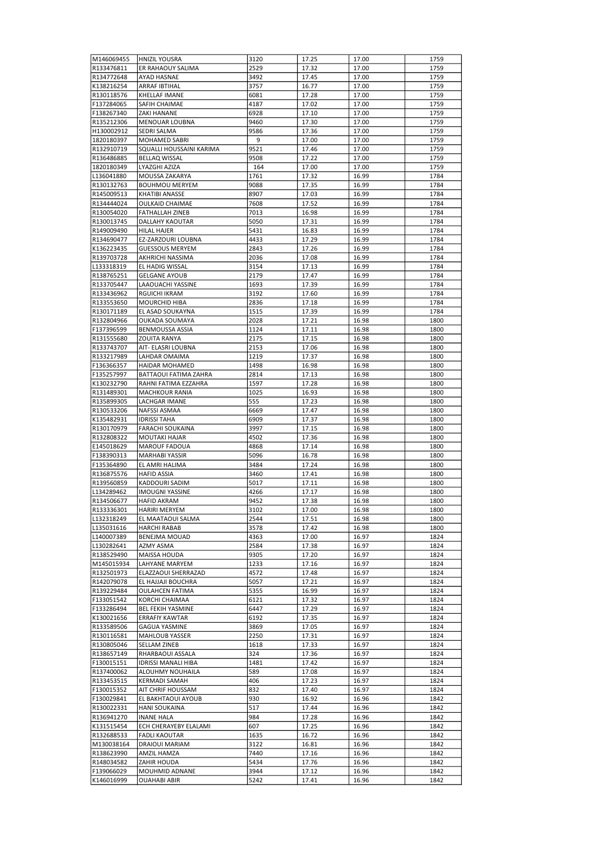| M146069455               | <b>HNIZIL YOUSRA</b>                  | 3120         | 17.25          | 17.00          | 1759         |
|--------------------------|---------------------------------------|--------------|----------------|----------------|--------------|
| R133476811               | ER RAHAOUY SALIMA                     | 2529         | 17.32          | 17.00          | 1759         |
| R134772648               | AYAD HASNAE                           | 3492         | 17.45          | 17.00          | 1759         |
| K138216254               | <b>ARRAF IBTIHAL</b>                  | 3757         | 16.77          | 17.00          | 1759         |
| R130118576               | KHELLAF IMANE                         | 6081         | 17.28          | 17.00          | 1759         |
| F137284065               | SAFIH CHAIMAE                         | 4187         | 17.02          | 17.00          | 1759         |
| F138267340               | ZAKI HANANE                           | 6928         | 17.10          | 17.00          | 1759         |
| R135212306               | MENOUAR LOUBNA                        | 9460         | 17.30          | 17.00          | 1759         |
| H130002912               | SEDRI SALMA                           | 9586         | 17.36          | 17.00          | 1759         |
| 1820180397               | MOHAMED SABRI                         | 9            | 17.00          | 17.00          | 1759         |
| R132910719               | SQUALLI HOUSSAINI KARIMA              | 9521         | 17.46          | 17.00          | 1759         |
|                          |                                       |              | 17.22          |                |              |
| R136486885               | <b>BELLAQ WISSAL</b>                  | 9508         |                | 17.00          | 1759         |
| 1820180349               | LYAZGHI AZIZA                         | 164          | 17.00          | 17.00          | 1759         |
| L136041880               | MOUSSA ZAKARYA                        | 1761         | 17.32          | 16.99          | 1784         |
| R130132763               | <b>BOUHMOU MERYEM</b>                 | 9088         | 17.35          | 16.99          | 1784         |
| R145009513               | KHATIBI ANASSE                        | 8907         | 17.03          | 16.99          | 1784         |
| R134444024               | OULKAID CHAIMAE                       | 7608         | 17.52          | 16.99          | 1784         |
| R130054020               | <b>FATHALLAH ZINEB</b>                | 7013         | 16.98          | 16.99          | 1784         |
| R130013745               | DALLAHY KAOUTAR                       | 5050         | 17.31          | 16.99          | 1784         |
| R149009490               | HILAL HAJER                           | 5431         | 16.83          | 16.99          | 1784         |
| R134690477               | EZ-ZARZOURI LOUBNA                    | 4433         | 17.29          | 16.99          | 1784         |
| K136223435               | <b>GUESSOUS MERYEM</b>                | 2843         | 17.26          | 16.99          | 1784         |
| R139703728               | AKHRICHI NASSIMA                      | 2036         | 17.08          | 16.99          | 1784         |
| L133318319               | EL HADIG WISSAL                       | 3154         | 17.13          | 16.99          | 1784         |
| R138765251               | <b>GELGANE AYOUB</b>                  | 2179         | 17.47          | 16.99          | 1784         |
| R133705447               | LAAOUACHI YASSINE                     | 1693         | 17.39          | 16.99          | 1784         |
|                          | RGUICHI IKRAM                         | 3192         | 17.60          | 16.99          | 1784         |
| R133436962               |                                       |              |                |                |              |
| R133553650               | MOURCHID HIBA                         | 2836         | 17.18          | 16.99          | 1784         |
| R130171189               | EL ASAD SOUKAYNA                      | 1515         | 17.39          | 16.99          | 1784         |
| R132804966               | OUKADA SOUMAYA                        | 2028         | 17.21          | 16.98          | 1800         |
| F137396599               | BENMOUSSA ASSIA                       | 1124         | 17.11          | 16.98          | 1800         |
| R131555680               | ZOUITA RANYA                          | 2175         | 17.15          | 16.98          | 1800         |
| R133743707               | AIT- ELASRI LOUBNA                    | 2153         | 17.06          | 16.98          | 1800         |
| R133217989               | LAHDAR OMAIMA                         | 1219         | 17.37          | 16.98          | 1800         |
| F136366357               | HAIDAR MOHAMED                        | 1498         | 16.98          | 16.98          | 1800         |
| F135257997               | BATTAOUI FATIMA ZAHRA                 | 2814         | 17.13          | 16.98          | 1800         |
| K130232790               | RAHNI FATIMA EZZAHRA                  | 1597         | 17.28          | 16.98          | 1800         |
| R131489301               | MACHKOUR RANIA                        | 1025         | 16.93          | 16.98          | 1800         |
| R135899305               | LACHGAR IMANE                         | 555          | 17.23          | 16.98          | 1800         |
| R130533206               | NAFSSI ASMAA                          | 6669         | 17.47          | 16.98          | 1800         |
| K135482931               | <b>IDRISSI TAHA</b>                   | 6909         | 17.37          | 16.98          | 1800         |
| R130170979               | FARACHI SOUKAINA                      | 3997         | 17.15          | 16.98          | 1800         |
|                          | MOUTAKI HAJAR                         | 4502         | 17.36          | 16.98          | 1800         |
| R132808322               |                                       |              |                |                |              |
| E145018629               | MAROUF FADOUA                         | 4868         | 17.14          | 16.98          | 1800         |
| F138390313               | <b>MARHABI YASSIR</b>                 | 5096         | 16.78          | 16.98          | 1800         |
| F135364890               | EL AMRI HALIMA                        | 3484         | 17.24          | 16.98          | 1800         |
| R136875576               | <b>HAFID ASSIA</b>                    | 3460         | 17.41          | 16.98          | 1800         |
| R139560859               | <b>KADDOURI SADIM</b>                 | 5017         | 17.11          | 16.98          | 1800         |
| L134289462               | <b>IMOUGNI YASSINE</b>                | 4266         | 17.17          | 16.98          | 1800         |
| R134506677               | <b>HAFID AKRAM</b>                    | 9452         | 17.38          | 16.98          | 1800         |
| R133336301               | <b>HARIRI MERYEM</b>                  | 3102         | 17.00          | 16.98          | 1800         |
| L132318249               | EL MAATAOUI SALMA                     | 2544         | 17.51          | 16.98          | 1800         |
| L135031616               | <b>HARCHI RABAB</b>                   | 3578         | 17.42          | 16.98          | 1800         |
| L140007389               | <b>BENEJMA MOUAD</b>                  | 4363         | 17.00          | 16.97          | 1824         |
| L130282641               | AZMY ASMA                             | 2584         | 17.38          | 16.97          | 1824         |
| R138529490               | MAISSA HOUDA                          | 9305         | 17.20          | 16.97          | 1824         |
| M145015934               | LAHYANE MARYEM                        | 1233         | 17.16          | 16.97          | 1824         |
| R132501973               | ELAZZAOUI SHERRAZAD                   | 4572         | 17.48          | 16.97          | 1824         |
| R142079078               | EL HAJJAJI BOUCHRA                    | 5057         | 17.21          | 16.97          | 1824         |
| R139229484               | <b>OULAHCEN FATIMA</b>                | 5355         | 16.99          | 16.97          | 1824         |
| F133051542               | KORCHI CHAIMAA                        | 6121         | 17.32          | 16.97          | 1824         |
| F133286494               | <b>BEL FEKIH YASMINE</b>              | 6447         | 17.29          | 16.97          | 1824         |
|                          |                                       |              |                |                |              |
| K130021656               | <b>ERRAFIY KAWTAR</b>                 | 6192         | 17.35          | 16.97          | 1824         |
| R133589506               | <b>GAGUA YASMINE</b>                  | 3869         | 17.05          | 16.97          | 1824         |
| R130116581               | <b>MAHLOUB YASSER</b>                 | 2250         | 17.31          | 16.97          | 1824         |
| R130805046               | <b>SELLAM ZINEB</b>                   | 1618         | 17.33          | 16.97          | 1824         |
| R138657149               | RHARBAOUI ASSALA                      | 324          | 17.36          | 16.97          | 1824         |
| F130015151               | <b>IDRISSI MANALI HIBA</b>            | 1481         | 17.42          | 16.97          | 1824         |
| R137400062               | ALOUHMY NOUHAILA                      | 589          | 17.08          | 16.97          | 1824         |
| R133453515               | <b>KERMADI SAMAH</b>                  | 406          | 17.23          | 16.97          | 1824         |
| F130015352               | AIT CHRIF HOUSSAM                     | 832          | 17.40          | 16.97          | 1824         |
| F130029841               | EL BAKHTAOUI AYOUB                    | 930          | 16.92          | 16.96          | 1842         |
| R130022331               | <b>HANI SOUKAINA</b>                  | 517          | 17.44          | 16.96          | 1842         |
| R136941270               | <b>INANE HALA</b>                     | 984          | 17.28          | 16.96          | 1842         |
| K131515454               | ECH CHERAYEBY ELALAMI                 | 607          | 17.25          | 16.96          | 1842         |
| R132688533               | <b>FADLI KAOUTAR</b>                  | 1635         | 16.72          | 16.96          | 1842         |
| M130038164               | DRAIOUI MARIAM                        | 3122         | 16.81          | 16.96          | 1842         |
| R138623990               | AMZIL HAMZA                           | 7440         | 17.16          | 16.96          | 1842         |
| R148034582               | ZAHIR HOUDA                           | 5434         | 17.76          | 16.96          | 1842         |
|                          |                                       |              |                |                |              |
|                          |                                       |              |                |                |              |
| F139066029<br>K146016999 | MOUHMID ADNANE<br><b>OUAHABI ABIR</b> | 3944<br>5242 | 17.12<br>17.41 | 16.96<br>16.96 | 1842<br>1842 |